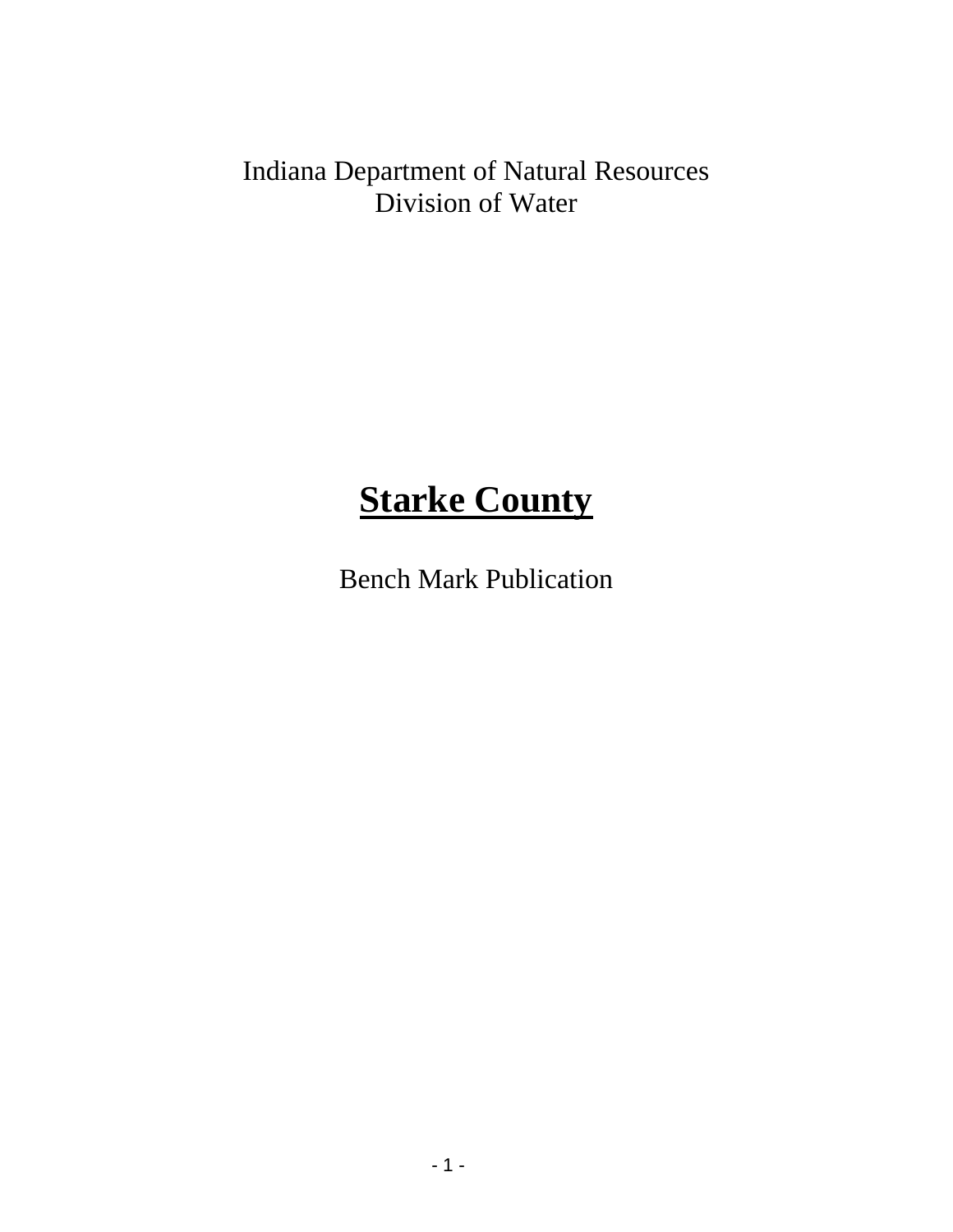Indiana Department of Natural Resources Division of Water

# **Starke County**

Bench Mark Publication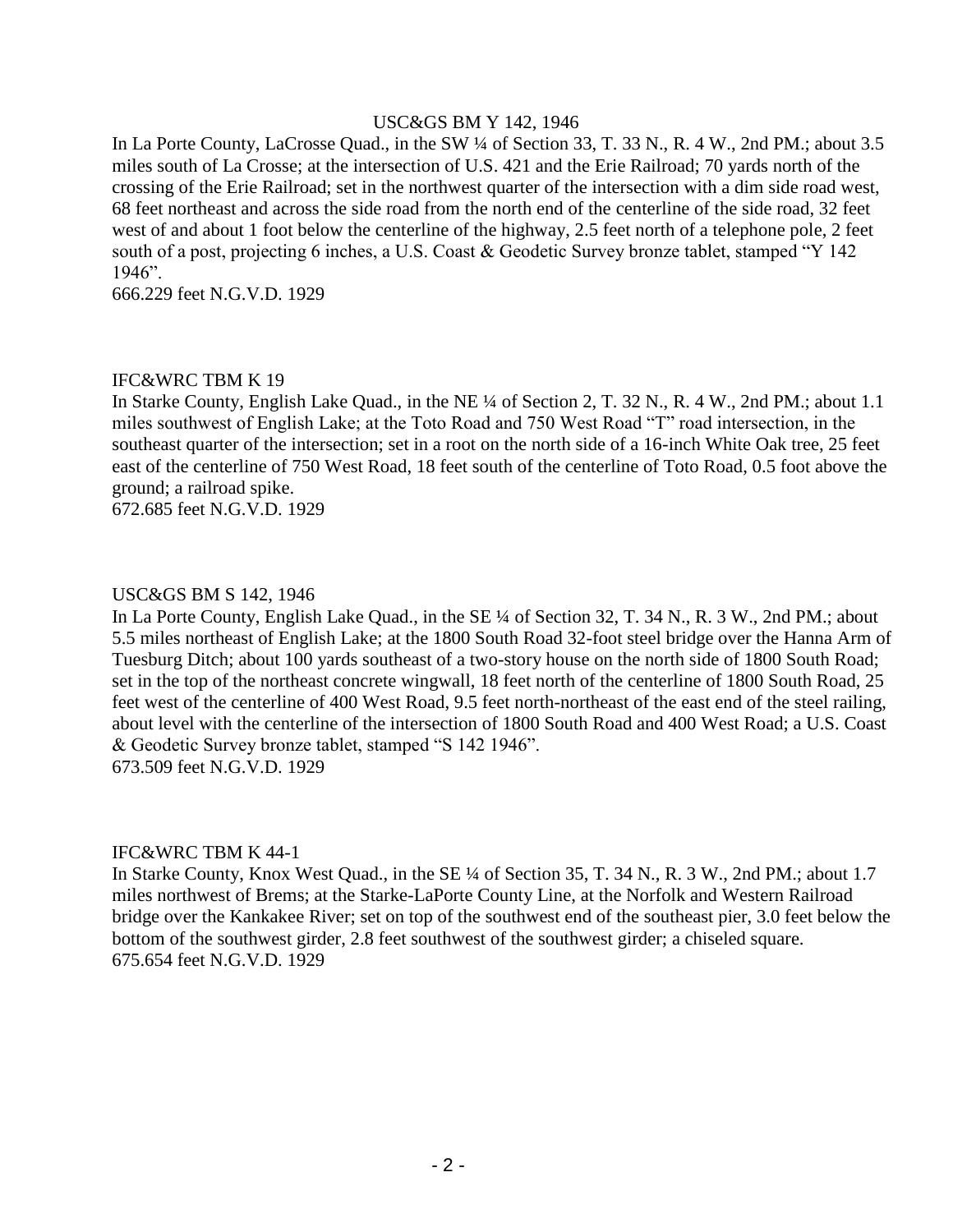#### USC&GS BM Y 142, 1946

In La Porte County, LaCrosse Quad., in the SW ¼ of Section 33, T. 33 N., R. 4 W., 2nd PM.; about 3.5 miles south of La Crosse; at the intersection of U.S. 421 and the Erie Railroad; 70 yards north of the crossing of the Erie Railroad; set in the northwest quarter of the intersection with a dim side road west, 68 feet northeast and across the side road from the north end of the centerline of the side road, 32 feet west of and about 1 foot below the centerline of the highway, 2.5 feet north of a telephone pole, 2 feet south of a post, projecting 6 inches, a U.S. Coast & Geodetic Survey bronze tablet, stamped "Y 142 1946".

666.229 feet N.G.V.D. 1929

#### IFC&WRC TBM K 19

In Starke County, English Lake Quad., in the NE ¼ of Section 2, T. 32 N., R. 4 W., 2nd PM.; about 1.1 miles southwest of English Lake; at the Toto Road and 750 West Road "T" road intersection, in the southeast quarter of the intersection; set in a root on the north side of a 16-inch White Oak tree, 25 feet east of the centerline of 750 West Road, 18 feet south of the centerline of Toto Road, 0.5 foot above the ground; a railroad spike.

672.685 feet N.G.V.D. 1929

#### USC&GS BM S 142, 1946

In La Porte County, English Lake Quad., in the SE ¼ of Section 32, T. 34 N., R. 3 W., 2nd PM.; about 5.5 miles northeast of English Lake; at the 1800 South Road 32-foot steel bridge over the Hanna Arm of Tuesburg Ditch; about 100 yards southeast of a two-story house on the north side of 1800 South Road; set in the top of the northeast concrete wingwall, 18 feet north of the centerline of 1800 South Road, 25 feet west of the centerline of 400 West Road, 9.5 feet north-northeast of the east end of the steel railing, about level with the centerline of the intersection of 1800 South Road and 400 West Road; a U.S. Coast & Geodetic Survey bronze tablet, stamped "S 142 1946". 673.509 feet N.G.V.D. 1929

#### IFC&WRC TBM K 44-1

In Starke County, Knox West Quad., in the SE ¼ of Section 35, T. 34 N., R. 3 W., 2nd PM.; about 1.7 miles northwest of Brems; at the Starke-LaPorte County Line, at the Norfolk and Western Railroad bridge over the Kankakee River; set on top of the southwest end of the southeast pier, 3.0 feet below the bottom of the southwest girder, 2.8 feet southwest of the southwest girder; a chiseled square. 675.654 feet N.G.V.D. 1929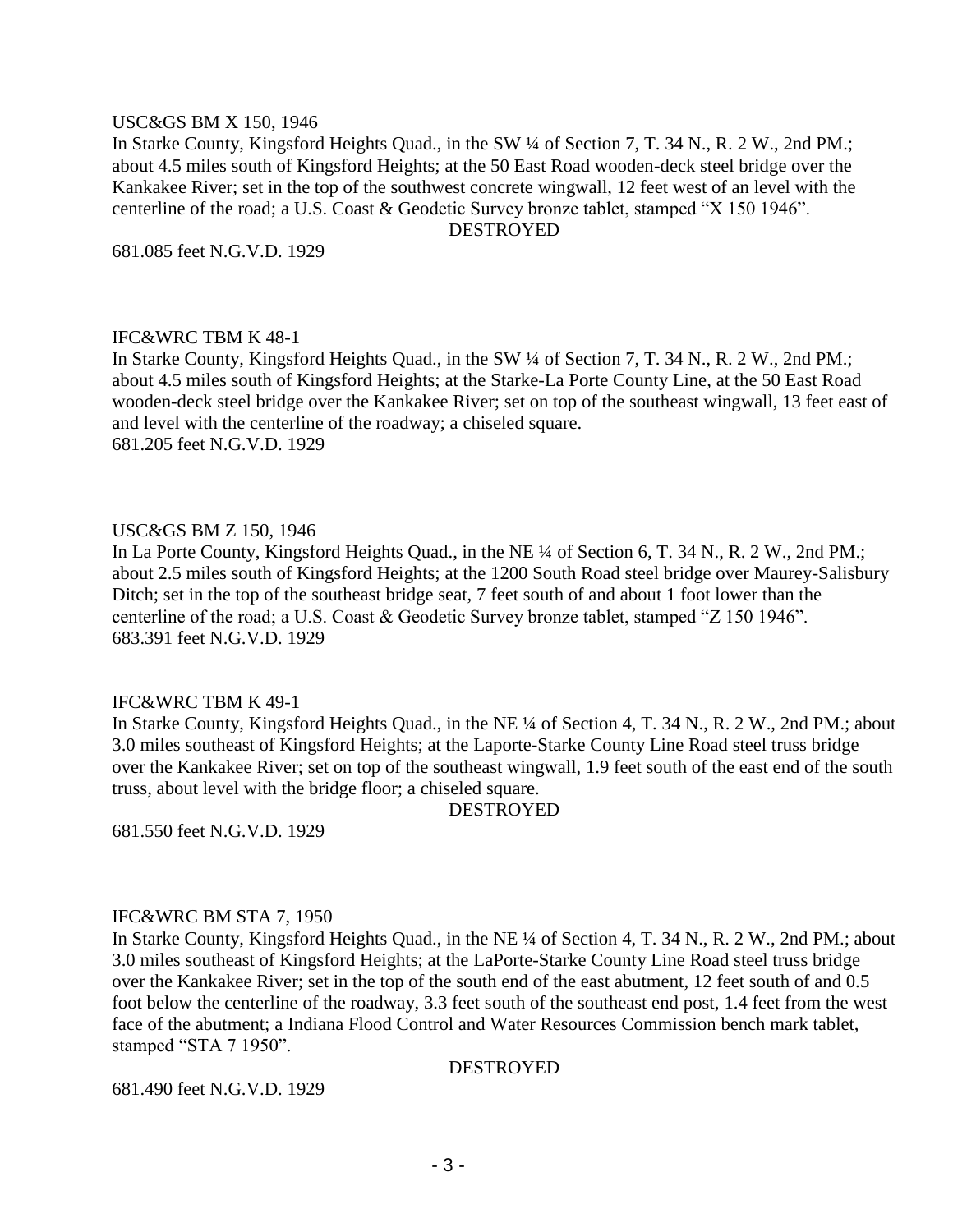#### USC&GS BM X 150, 1946

In Starke County, Kingsford Heights Quad., in the SW ¼ of Section 7, T. 34 N., R. 2 W., 2nd PM.; about 4.5 miles south of Kingsford Heights; at the 50 East Road wooden-deck steel bridge over the Kankakee River; set in the top of the southwest concrete wingwall, 12 feet west of an level with the centerline of the road; a U.S. Coast & Geodetic Survey bronze tablet, stamped "X 150 1946".

DESTROYED

681.085 feet N.G.V.D. 1929

#### IFC&WRC TBM K 48-1

In Starke County, Kingsford Heights Quad., in the SW ¼ of Section 7, T. 34 N., R. 2 W., 2nd PM.; about 4.5 miles south of Kingsford Heights; at the Starke-La Porte County Line, at the 50 East Road wooden-deck steel bridge over the Kankakee River; set on top of the southeast wingwall, 13 feet east of and level with the centerline of the roadway; a chiseled square. 681.205 feet N.G.V.D. 1929

#### USC&GS BM Z 150, 1946

In La Porte County, Kingsford Heights Quad., in the NE ¼ of Section 6, T. 34 N., R. 2 W., 2nd PM.; about 2.5 miles south of Kingsford Heights; at the 1200 South Road steel bridge over Maurey-Salisbury Ditch; set in the top of the southeast bridge seat, 7 feet south of and about 1 foot lower than the centerline of the road; a U.S. Coast & Geodetic Survey bronze tablet, stamped "Z 150 1946". 683.391 feet N.G.V.D. 1929

#### IFC&WRC TBM K 49-1

In Starke County, Kingsford Heights Quad., in the NE ¼ of Section 4, T. 34 N., R. 2 W., 2nd PM.; about 3.0 miles southeast of Kingsford Heights; at the Laporte-Starke County Line Road steel truss bridge over the Kankakee River; set on top of the southeast wingwall, 1.9 feet south of the east end of the south truss, about level with the bridge floor; a chiseled square.

**DESTROYED** 

681.550 feet N.G.V.D. 1929

#### IFC&WRC BM STA 7, 1950

In Starke County, Kingsford Heights Quad., in the NE ¼ of Section 4, T. 34 N., R. 2 W., 2nd PM.; about 3.0 miles southeast of Kingsford Heights; at the LaPorte-Starke County Line Road steel truss bridge over the Kankakee River; set in the top of the south end of the east abutment, 12 feet south of and 0.5 foot below the centerline of the roadway, 3.3 feet south of the southeast end post, 1.4 feet from the west face of the abutment; a Indiana Flood Control and Water Resources Commission bench mark tablet, stamped "STA 7 1950".

#### DESTROYED

681.490 feet N.G.V.D. 1929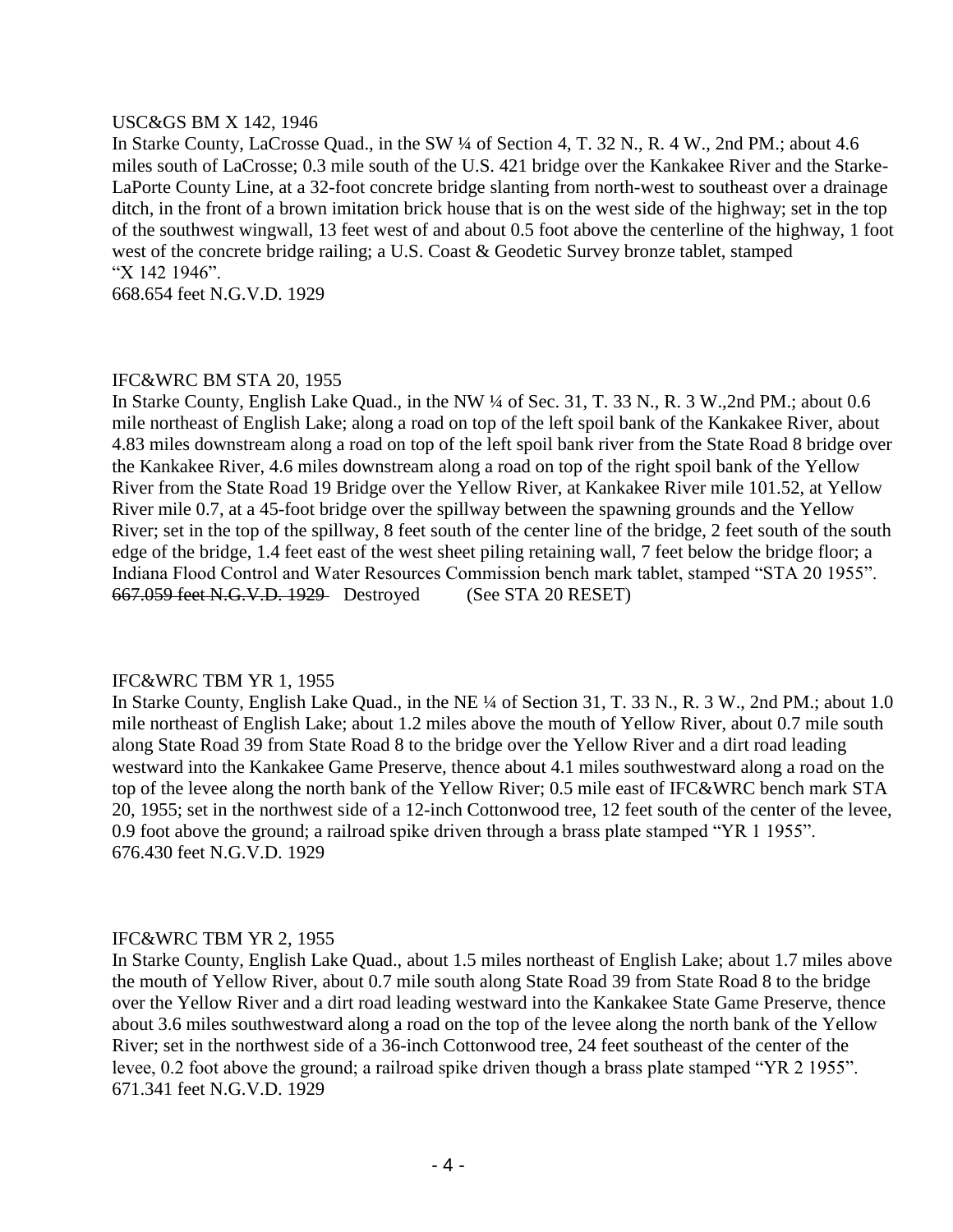#### USC&GS BM X 142, 1946

In Starke County, LaCrosse Quad., in the SW ¼ of Section 4, T. 32 N., R. 4 W., 2nd PM.; about 4.6 miles south of LaCrosse; 0.3 mile south of the U.S. 421 bridge over the Kankakee River and the Starke-LaPorte County Line, at a 32-foot concrete bridge slanting from north-west to southeast over a drainage ditch, in the front of a brown imitation brick house that is on the west side of the highway; set in the top of the southwest wingwall, 13 feet west of and about 0.5 foot above the centerline of the highway, 1 foot west of the concrete bridge railing; a U.S. Coast & Geodetic Survey bronze tablet, stamped "X 142 1946".

668.654 feet N.G.V.D. 1929

#### IFC&WRC BM STA 20, 1955

In Starke County, English Lake Quad., in the NW ¼ of Sec. 31, T. 33 N., R. 3 W.,2nd PM.; about 0.6 mile northeast of English Lake; along a road on top of the left spoil bank of the Kankakee River, about 4.83 miles downstream along a road on top of the left spoil bank river from the State Road 8 bridge over the Kankakee River, 4.6 miles downstream along a road on top of the right spoil bank of the Yellow River from the State Road 19 Bridge over the Yellow River, at Kankakee River mile 101.52, at Yellow River mile 0.7, at a 45-foot bridge over the spillway between the spawning grounds and the Yellow River; set in the top of the spillway, 8 feet south of the center line of the bridge, 2 feet south of the south edge of the bridge, 1.4 feet east of the west sheet piling retaining wall, 7 feet below the bridge floor; a Indiana Flood Control and Water Resources Commission bench mark tablet, stamped "STA 20 1955". 667.059 feet N.G.V.D. 1929 Destroyed (See STA 20 RESET)

#### IFC&WRC TBM YR 1, 1955

In Starke County, English Lake Quad., in the NE ¼ of Section 31, T. 33 N., R. 3 W., 2nd PM.; about 1.0 mile northeast of English Lake; about 1.2 miles above the mouth of Yellow River, about 0.7 mile south along State Road 39 from State Road 8 to the bridge over the Yellow River and a dirt road leading westward into the Kankakee Game Preserve, thence about 4.1 miles southwestward along a road on the top of the levee along the north bank of the Yellow River; 0.5 mile east of IFC&WRC bench mark STA 20, 1955; set in the northwest side of a 12-inch Cottonwood tree, 12 feet south of the center of the levee, 0.9 foot above the ground; a railroad spike driven through a brass plate stamped "YR 1 1955". 676.430 feet N.G.V.D. 1929

#### IFC&WRC TBM YR 2, 1955

In Starke County, English Lake Quad., about 1.5 miles northeast of English Lake; about 1.7 miles above the mouth of Yellow River, about 0.7 mile south along State Road 39 from State Road 8 to the bridge over the Yellow River and a dirt road leading westward into the Kankakee State Game Preserve, thence about 3.6 miles southwestward along a road on the top of the levee along the north bank of the Yellow River; set in the northwest side of a 36-inch Cottonwood tree, 24 feet southeast of the center of the levee, 0.2 foot above the ground; a railroad spike driven though a brass plate stamped "YR 2 1955". 671.341 feet N.G.V.D. 1929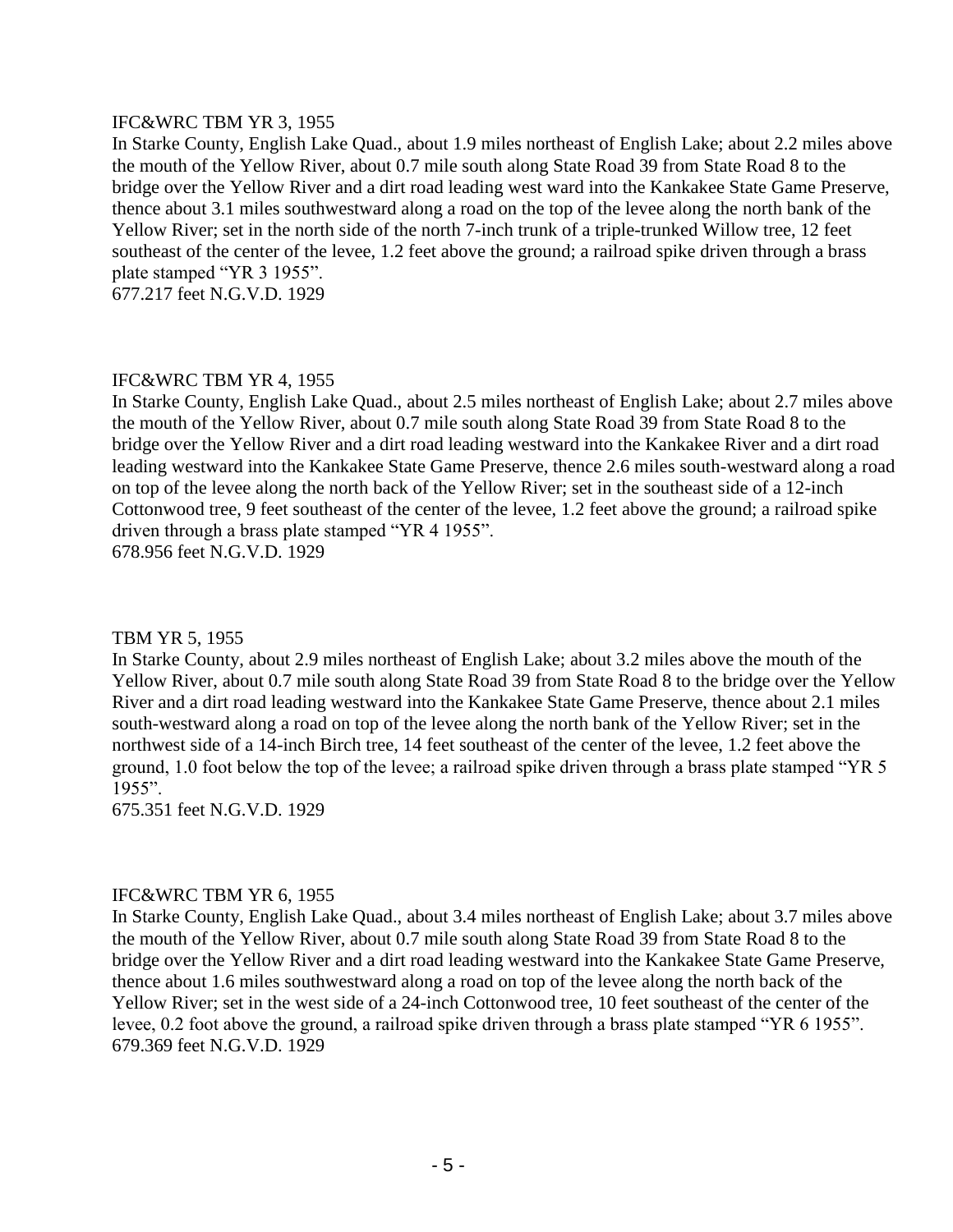#### IFC&WRC TBM YR 3, 1955

In Starke County, English Lake Quad., about 1.9 miles northeast of English Lake; about 2.2 miles above the mouth of the Yellow River, about 0.7 mile south along State Road 39 from State Road 8 to the bridge over the Yellow River and a dirt road leading west ward into the Kankakee State Game Preserve, thence about 3.1 miles southwestward along a road on the top of the levee along the north bank of the Yellow River; set in the north side of the north 7-inch trunk of a triple-trunked Willow tree, 12 feet southeast of the center of the levee, 1.2 feet above the ground; a railroad spike driven through a brass plate stamped "YR 3 1955".

677.217 feet N.G.V.D. 1929

#### IFC&WRC TBM YR 4, 1955

In Starke County, English Lake Quad., about 2.5 miles northeast of English Lake; about 2.7 miles above the mouth of the Yellow River, about 0.7 mile south along State Road 39 from State Road 8 to the bridge over the Yellow River and a dirt road leading westward into the Kankakee River and a dirt road leading westward into the Kankakee State Game Preserve, thence 2.6 miles south-westward along a road on top of the levee along the north back of the Yellow River; set in the southeast side of a 12-inch Cottonwood tree, 9 feet southeast of the center of the levee, 1.2 feet above the ground; a railroad spike driven through a brass plate stamped "YR 4 1955". 678.956 feet N.G.V.D. 1929

#### TBM YR 5, 1955

In Starke County, about 2.9 miles northeast of English Lake; about 3.2 miles above the mouth of the Yellow River, about 0.7 mile south along State Road 39 from State Road 8 to the bridge over the Yellow River and a dirt road leading westward into the Kankakee State Game Preserve, thence about 2.1 miles south-westward along a road on top of the levee along the north bank of the Yellow River; set in the northwest side of a 14-inch Birch tree, 14 feet southeast of the center of the levee, 1.2 feet above the ground, 1.0 foot below the top of the levee; a railroad spike driven through a brass plate stamped "YR 5 1955".

675.351 feet N.G.V.D. 1929

#### IFC&WRC TBM YR 6, 1955

In Starke County, English Lake Quad., about 3.4 miles northeast of English Lake; about 3.7 miles above the mouth of the Yellow River, about 0.7 mile south along State Road 39 from State Road 8 to the bridge over the Yellow River and a dirt road leading westward into the Kankakee State Game Preserve, thence about 1.6 miles southwestward along a road on top of the levee along the north back of the Yellow River; set in the west side of a 24-inch Cottonwood tree, 10 feet southeast of the center of the levee, 0.2 foot above the ground, a railroad spike driven through a brass plate stamped "YR 6 1955". 679.369 feet N.G.V.D. 1929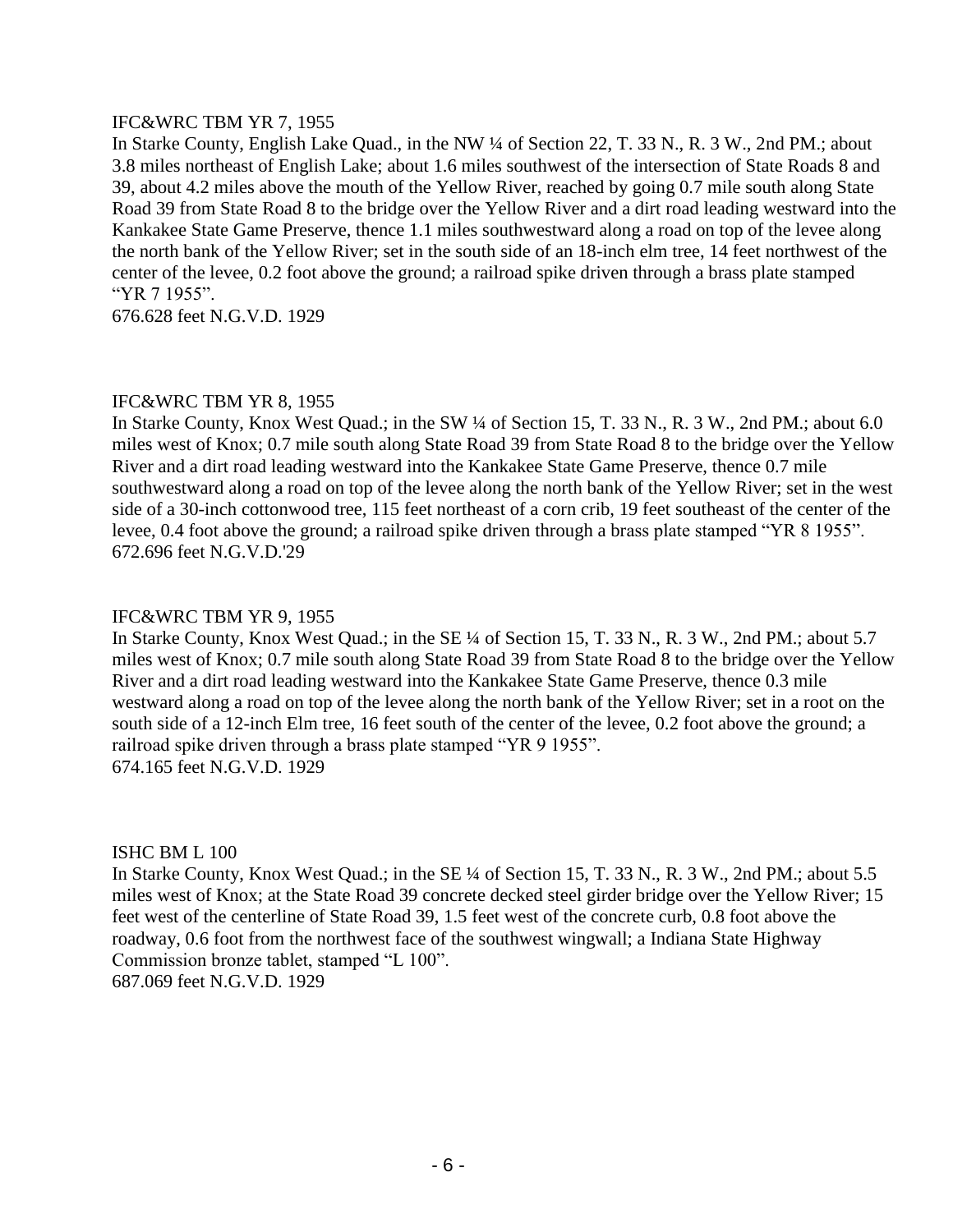# IFC&WRC TBM YR 7, 1955

In Starke County, English Lake Quad., in the NW ¼ of Section 22, T. 33 N., R. 3 W., 2nd PM.; about 3.8 miles northeast of English Lake; about 1.6 miles southwest of the intersection of State Roads 8 and 39, about 4.2 miles above the mouth of the Yellow River, reached by going 0.7 mile south along State Road 39 from State Road 8 to the bridge over the Yellow River and a dirt road leading westward into the Kankakee State Game Preserve, thence 1.1 miles southwestward along a road on top of the levee along the north bank of the Yellow River; set in the south side of an 18-inch elm tree, 14 feet northwest of the center of the levee, 0.2 foot above the ground; a railroad spike driven through a brass plate stamped "YR 7 1955".

676.628 feet N.G.V.D. 1929

# IFC&WRC TBM YR 8, 1955

In Starke County, Knox West Quad.; in the SW ¼ of Section 15, T. 33 N., R. 3 W., 2nd PM.; about 6.0 miles west of Knox; 0.7 mile south along State Road 39 from State Road 8 to the bridge over the Yellow River and a dirt road leading westward into the Kankakee State Game Preserve, thence 0.7 mile southwestward along a road on top of the levee along the north bank of the Yellow River; set in the west side of a 30-inch cottonwood tree, 115 feet northeast of a corn crib, 19 feet southeast of the center of the levee, 0.4 foot above the ground; a railroad spike driven through a brass plate stamped "YR 8 1955". 672.696 feet N.G.V.D.'29

#### IFC&WRC TBM YR 9, 1955

In Starke County, Knox West Quad.; in the SE ¼ of Section 15, T. 33 N., R. 3 W., 2nd PM.; about 5.7 miles west of Knox; 0.7 mile south along State Road 39 from State Road 8 to the bridge over the Yellow River and a dirt road leading westward into the Kankakee State Game Preserve, thence 0.3 mile westward along a road on top of the levee along the north bank of the Yellow River; set in a root on the south side of a 12-inch Elm tree, 16 feet south of the center of the levee, 0.2 foot above the ground; a railroad spike driven through a brass plate stamped "YR 9 1955". 674.165 feet N.G.V.D. 1929

#### ISHC BM L 100

In Starke County, Knox West Quad.; in the SE ¼ of Section 15, T. 33 N., R. 3 W., 2nd PM.; about 5.5 miles west of Knox; at the State Road 39 concrete decked steel girder bridge over the Yellow River; 15 feet west of the centerline of State Road 39, 1.5 feet west of the concrete curb, 0.8 foot above the roadway, 0.6 foot from the northwest face of the southwest wingwall; a Indiana State Highway Commission bronze tablet, stamped "L 100".

687.069 feet N.G.V.D. 1929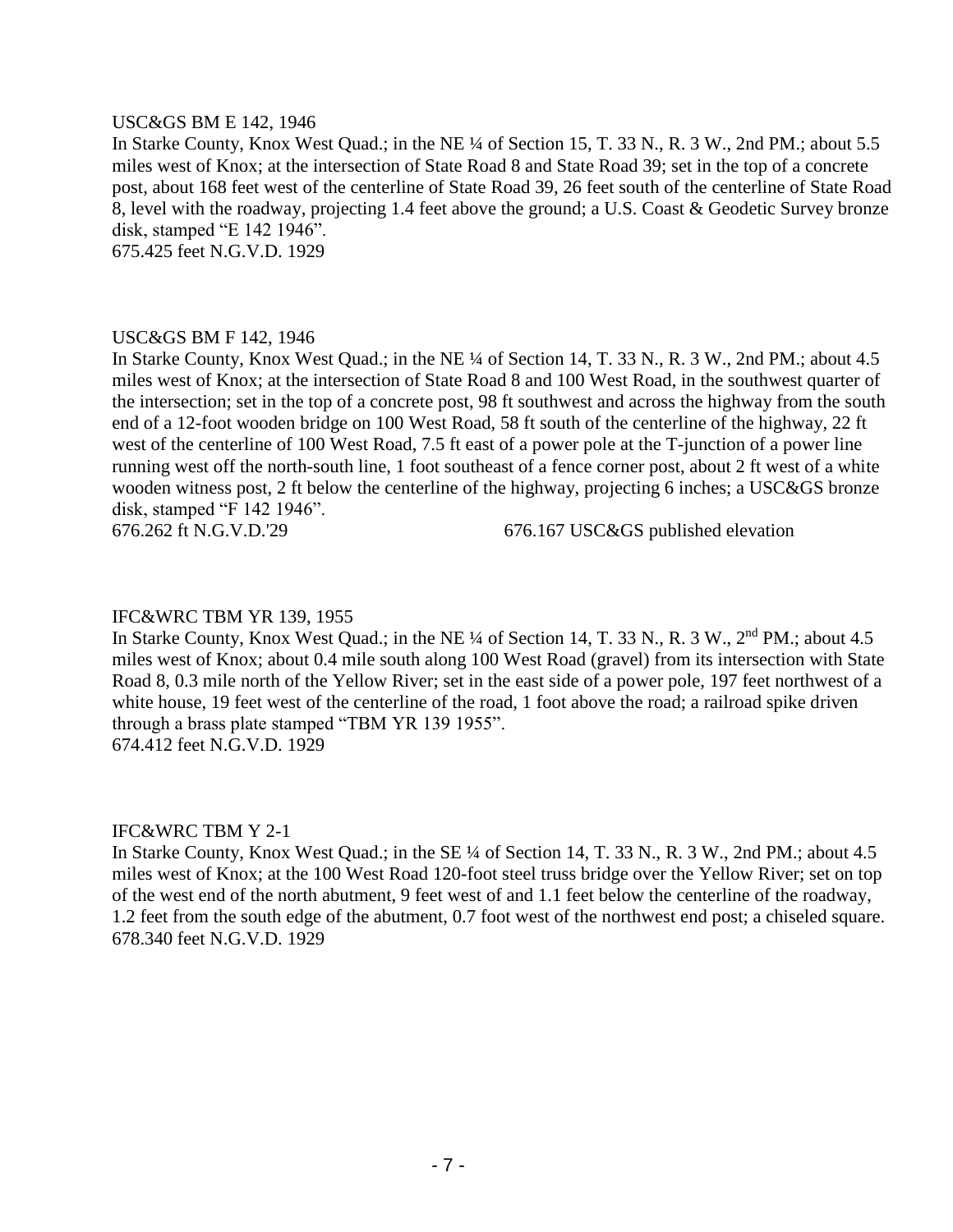#### USC&GS BM E 142, 1946

In Starke County, Knox West Quad.; in the NE ¼ of Section 15, T. 33 N., R. 3 W., 2nd PM.; about 5.5 miles west of Knox; at the intersection of State Road 8 and State Road 39; set in the top of a concrete post, about 168 feet west of the centerline of State Road 39, 26 feet south of the centerline of State Road 8, level with the roadway, projecting 1.4 feet above the ground; a U.S. Coast & Geodetic Survey bronze disk, stamped "E 142 1946".

675.425 feet N.G.V.D. 1929

#### USC&GS BM F 142, 1946

In Starke County, Knox West Quad.; in the NE ¼ of Section 14, T. 33 N., R. 3 W., 2nd PM.; about 4.5 miles west of Knox; at the intersection of State Road 8 and 100 West Road, in the southwest quarter of the intersection; set in the top of a concrete post, 98 ft southwest and across the highway from the south end of a 12-foot wooden bridge on 100 West Road, 58 ft south of the centerline of the highway, 22 ft west of the centerline of 100 West Road, 7.5 ft east of a power pole at the T-junction of a power line running west off the north-south line, 1 foot southeast of a fence corner post, about 2 ft west of a white wooden witness post, 2 ft below the centerline of the highway, projecting 6 inches; a USC&GS bronze disk, stamped "F 142 1946".

676.262 ft N.G.V.D.'29 676.167 USC&GS published elevation

#### IFC&WRC TBM YR 139, 1955

In Starke County, Knox West Quad.; in the NE ¼ of Section 14, T. 33 N., R. 3 W., 2<sup>nd</sup> PM.; about 4.5 miles west of Knox; about 0.4 mile south along 100 West Road (gravel) from its intersection with State Road 8, 0.3 mile north of the Yellow River; set in the east side of a power pole, 197 feet northwest of a white house, 19 feet west of the centerline of the road, 1 foot above the road; a railroad spike driven through a brass plate stamped "TBM YR 139 1955". 674.412 feet N.G.V.D. 1929

# IFC&WRC TBM Y 2-1

In Starke County, Knox West Quad.; in the SE ¼ of Section 14, T. 33 N., R. 3 W., 2nd PM.; about 4.5 miles west of Knox; at the 100 West Road 120-foot steel truss bridge over the Yellow River; set on top of the west end of the north abutment, 9 feet west of and 1.1 feet below the centerline of the roadway, 1.2 feet from the south edge of the abutment, 0.7 foot west of the northwest end post; a chiseled square. 678.340 feet N.G.V.D. 1929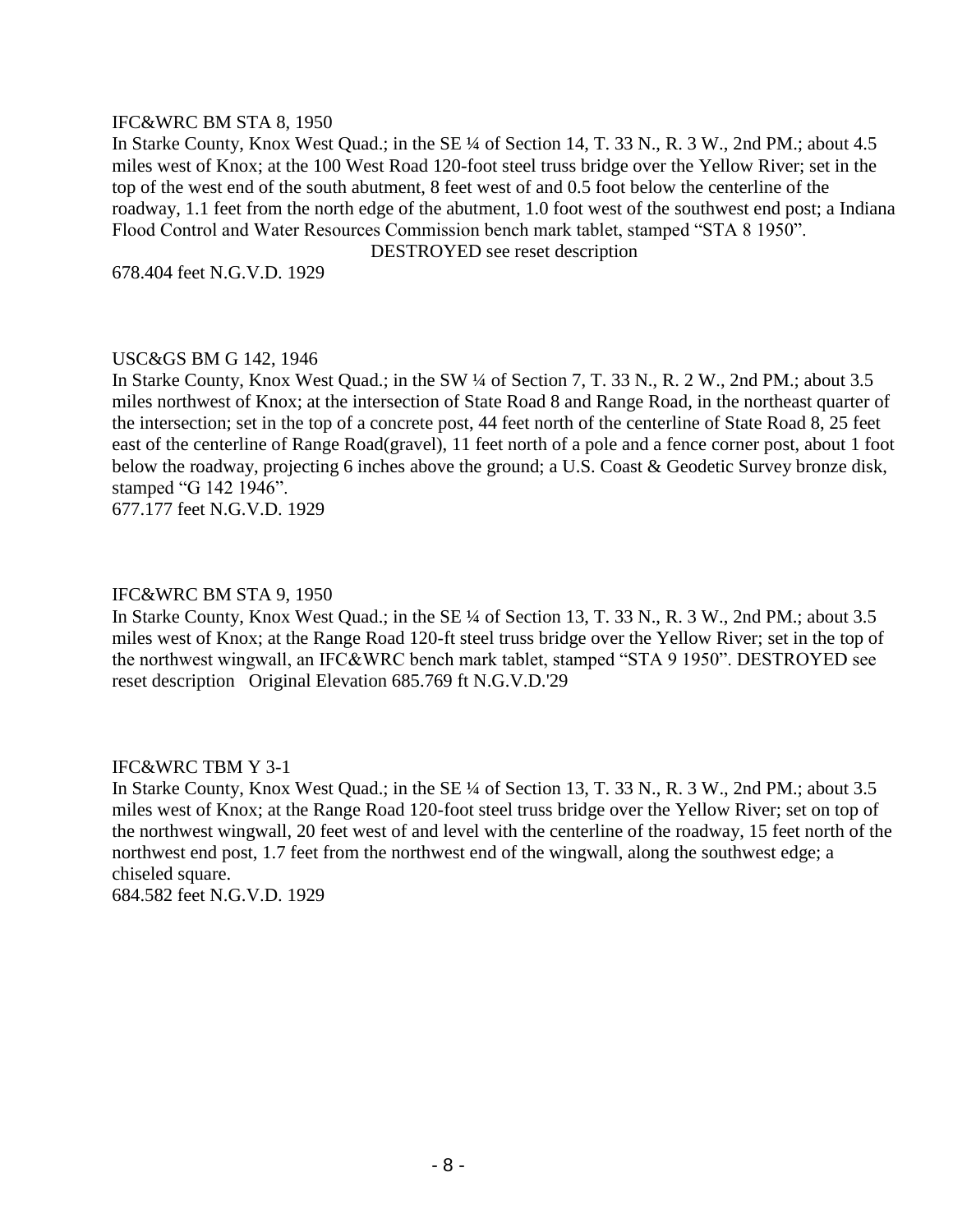#### IFC&WRC BM STA 8, 1950

In Starke County, Knox West Quad.; in the SE ¼ of Section 14, T. 33 N., R. 3 W., 2nd PM.; about 4.5 miles west of Knox; at the 100 West Road 120-foot steel truss bridge over the Yellow River; set in the top of the west end of the south abutment, 8 feet west of and 0.5 foot below the centerline of the roadway, 1.1 feet from the north edge of the abutment, 1.0 foot west of the southwest end post; a Indiana Flood Control and Water Resources Commission bench mark tablet, stamped "STA 8 1950".

DESTROYED see reset description

678.404 feet N.G.V.D. 1929

#### USC&GS BM G 142, 1946

In Starke County, Knox West Quad.; in the SW ¼ of Section 7, T. 33 N., R. 2 W., 2nd PM.; about 3.5 miles northwest of Knox; at the intersection of State Road 8 and Range Road, in the northeast quarter of the intersection; set in the top of a concrete post, 44 feet north of the centerline of State Road 8, 25 feet east of the centerline of Range Road(gravel), 11 feet north of a pole and a fence corner post, about 1 foot below the roadway, projecting 6 inches above the ground; a U.S. Coast & Geodetic Survey bronze disk, stamped "G 142 1946".

677.177 feet N.G.V.D. 1929

#### IFC&WRC BM STA 9, 1950

In Starke County, Knox West Quad.; in the SE ¼ of Section 13, T. 33 N., R. 3 W., 2nd PM.; about 3.5 miles west of Knox; at the Range Road 120-ft steel truss bridge over the Yellow River; set in the top of the northwest wingwall, an IFC&WRC bench mark tablet, stamped "STA 9 1950". DESTROYED see reset description Original Elevation 685.769 ft N.G.V.D.'29

#### IFC&WRC TBM Y 3-1

In Starke County, Knox West Quad.; in the SE ¼ of Section 13, T. 33 N., R. 3 W., 2nd PM.; about 3.5 miles west of Knox; at the Range Road 120-foot steel truss bridge over the Yellow River; set on top of the northwest wingwall, 20 feet west of and level with the centerline of the roadway, 15 feet north of the northwest end post, 1.7 feet from the northwest end of the wingwall, along the southwest edge; a chiseled square.

684.582 feet N.G.V.D. 1929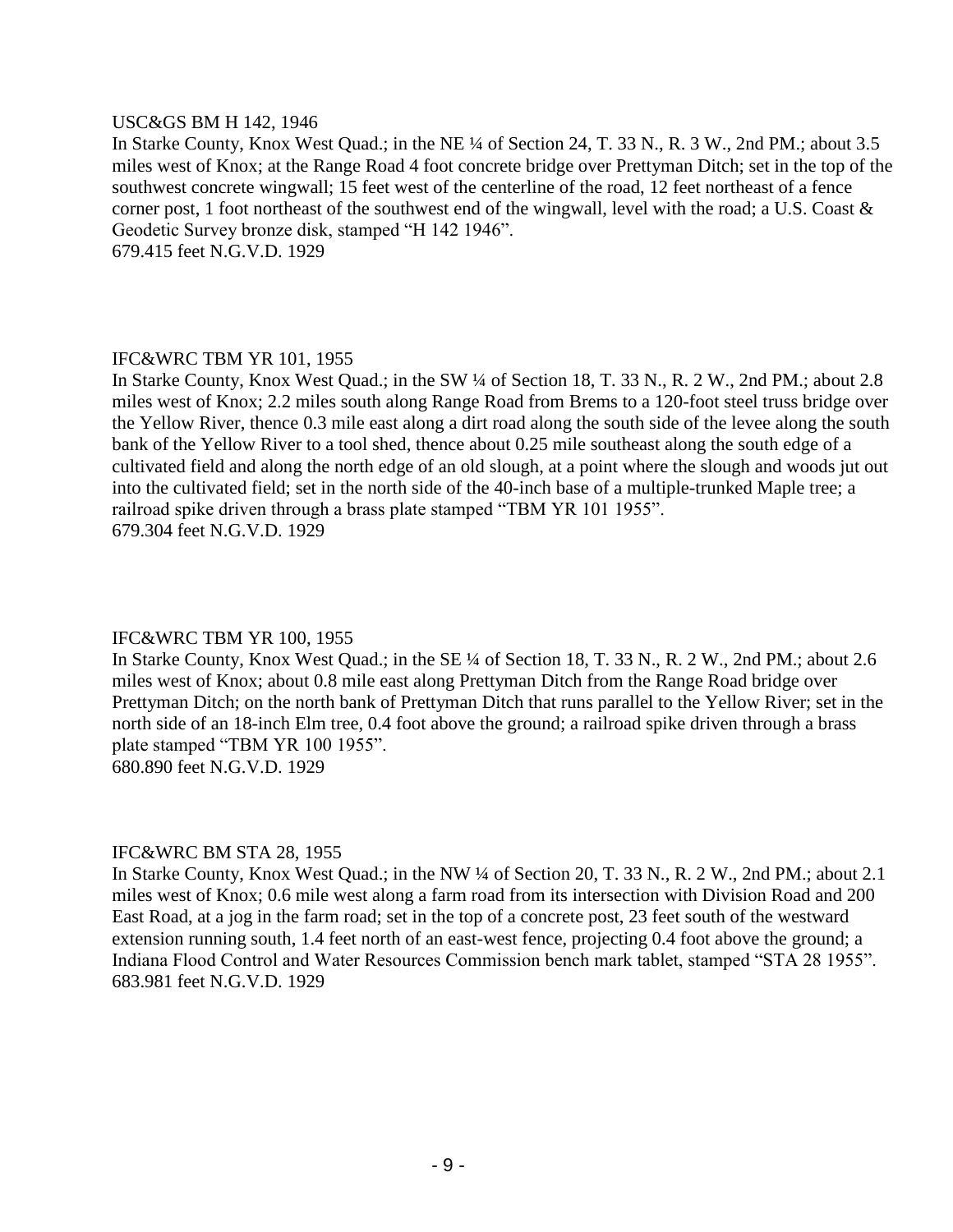#### USC&GS BM H 142, 1946

In Starke County, Knox West Quad.; in the NE ¼ of Section 24, T. 33 N., R. 3 W., 2nd PM.; about 3.5 miles west of Knox; at the Range Road 4 foot concrete bridge over Prettyman Ditch; set in the top of the southwest concrete wingwall; 15 feet west of the centerline of the road, 12 feet northeast of a fence corner post, 1 foot northeast of the southwest end of the wingwall, level with the road; a U.S. Coast & Geodetic Survey bronze disk, stamped "H 142 1946". 679.415 feet N.G.V.D. 1929

IFC&WRC TBM YR 101, 1955 In Starke County, Knox West Quad.; in the SW ¼ of Section 18, T. 33 N., R. 2 W., 2nd PM.; about 2.8 miles west of Knox; 2.2 miles south along Range Road from Brems to a 120-foot steel truss bridge over the Yellow River, thence 0.3 mile east along a dirt road along the south side of the levee along the south bank of the Yellow River to a tool shed, thence about 0.25 mile southeast along the south edge of a cultivated field and along the north edge of an old slough, at a point where the slough and woods jut out into the cultivated field; set in the north side of the 40-inch base of a multiple-trunked Maple tree; a railroad spike driven through a brass plate stamped "TBM YR 101 1955". 679.304 feet N.G.V.D. 1929

# IFC&WRC TBM YR 100, 1955

In Starke County, Knox West Quad.; in the SE ¼ of Section 18, T. 33 N., R. 2 W., 2nd PM.; about 2.6 miles west of Knox; about 0.8 mile east along Prettyman Ditch from the Range Road bridge over Prettyman Ditch; on the north bank of Prettyman Ditch that runs parallel to the Yellow River; set in the north side of an 18-inch Elm tree, 0.4 foot above the ground; a railroad spike driven through a brass plate stamped "TBM YR 100 1955". 680.890 feet N.G.V.D. 1929

#### IFC&WRC BM STA 28, 1955

In Starke County, Knox West Quad.; in the NW ¼ of Section 20, T. 33 N., R. 2 W., 2nd PM.; about 2.1 miles west of Knox; 0.6 mile west along a farm road from its intersection with Division Road and 200 East Road, at a jog in the farm road; set in the top of a concrete post, 23 feet south of the westward extension running south, 1.4 feet north of an east-west fence, projecting 0.4 foot above the ground; a Indiana Flood Control and Water Resources Commission bench mark tablet, stamped "STA 28 1955". 683.981 feet N.G.V.D. 1929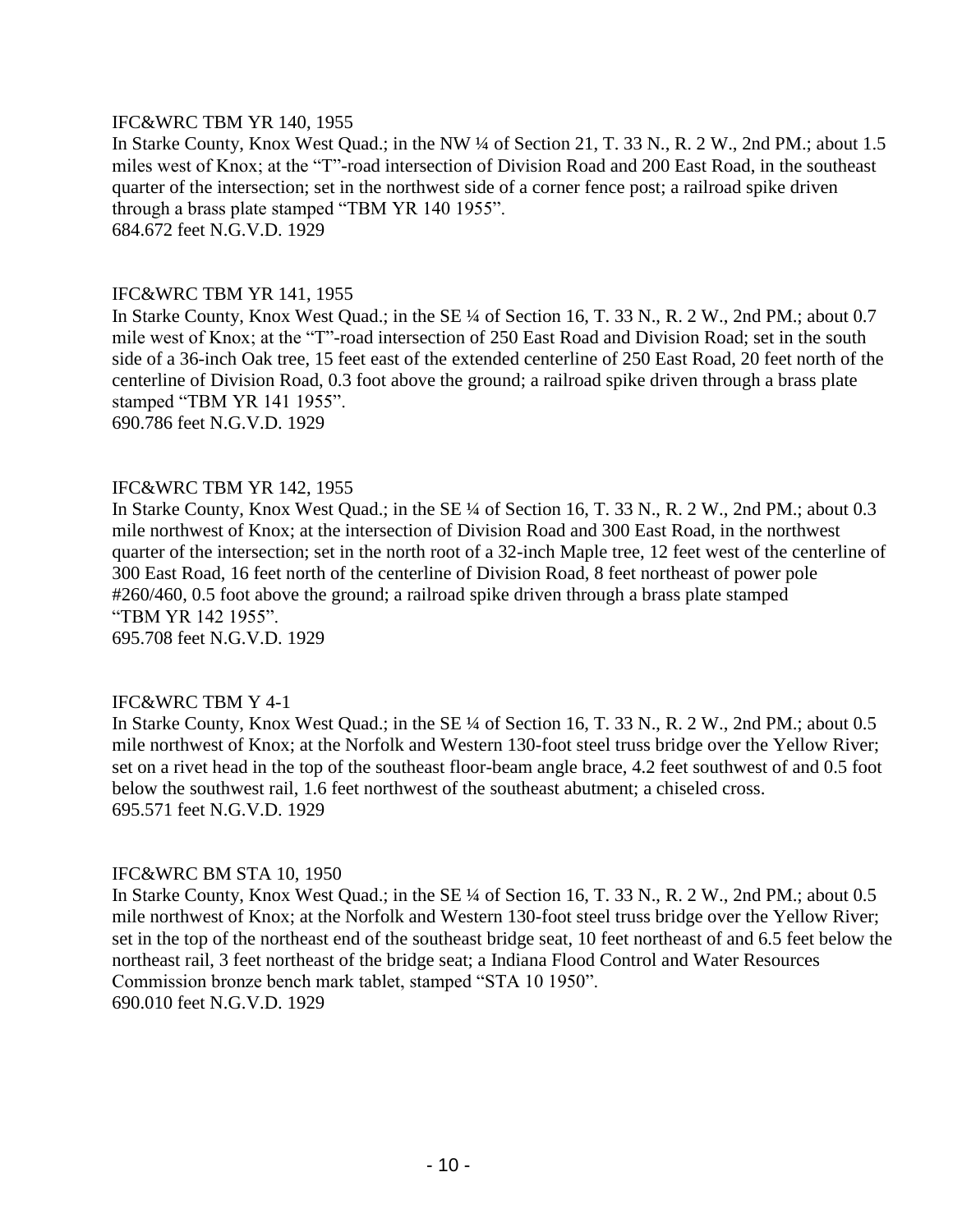#### IFC&WRC TBM YR 140, 1955

In Starke County, Knox West Quad.; in the NW ¼ of Section 21, T. 33 N., R. 2 W., 2nd PM.; about 1.5 miles west of Knox; at the "T"-road intersection of Division Road and 200 East Road, in the southeast quarter of the intersection; set in the northwest side of a corner fence post; a railroad spike driven through a brass plate stamped "TBM YR 140 1955". 684.672 feet N.G.V.D. 1929

#### IFC&WRC TBM YR 141, 1955

In Starke County, Knox West Quad.; in the SE ¼ of Section 16, T. 33 N., R. 2 W., 2nd PM.; about 0.7 mile west of Knox; at the "T"-road intersection of 250 East Road and Division Road; set in the south side of a 36-inch Oak tree, 15 feet east of the extended centerline of 250 East Road, 20 feet north of the centerline of Division Road, 0.3 foot above the ground; a railroad spike driven through a brass plate stamped "TBM YR 141 1955". 690.786 feet N.G.V.D. 1929

#### IFC&WRC TBM YR 142, 1955

In Starke County, Knox West Quad.; in the SE ¼ of Section 16, T. 33 N., R. 2 W., 2nd PM.; about 0.3 mile northwest of Knox; at the intersection of Division Road and 300 East Road, in the northwest quarter of the intersection; set in the north root of a 32-inch Maple tree, 12 feet west of the centerline of 300 East Road, 16 feet north of the centerline of Division Road, 8 feet northeast of power pole #260/460, 0.5 foot above the ground; a railroad spike driven through a brass plate stamped "TBM YR 142 1955". 695.708 feet N.G.V.D. 1929

#### IFC&WRC TBM Y 4-1

In Starke County, Knox West Quad.; in the SE ¼ of Section 16, T. 33 N., R. 2 W., 2nd PM.; about 0.5 mile northwest of Knox; at the Norfolk and Western 130-foot steel truss bridge over the Yellow River; set on a rivet head in the top of the southeast floor-beam angle brace, 4.2 feet southwest of and 0.5 foot below the southwest rail, 1.6 feet northwest of the southeast abutment; a chiseled cross. 695.571 feet N.G.V.D. 1929

#### IFC&WRC BM STA 10, 1950

In Starke County, Knox West Quad.; in the SE ¼ of Section 16, T. 33 N., R. 2 W., 2nd PM.; about 0.5 mile northwest of Knox; at the Norfolk and Western 130-foot steel truss bridge over the Yellow River; set in the top of the northeast end of the southeast bridge seat, 10 feet northeast of and 6.5 feet below the northeast rail, 3 feet northeast of the bridge seat; a Indiana Flood Control and Water Resources Commission bronze bench mark tablet, stamped "STA 10 1950". 690.010 feet N.G.V.D. 1929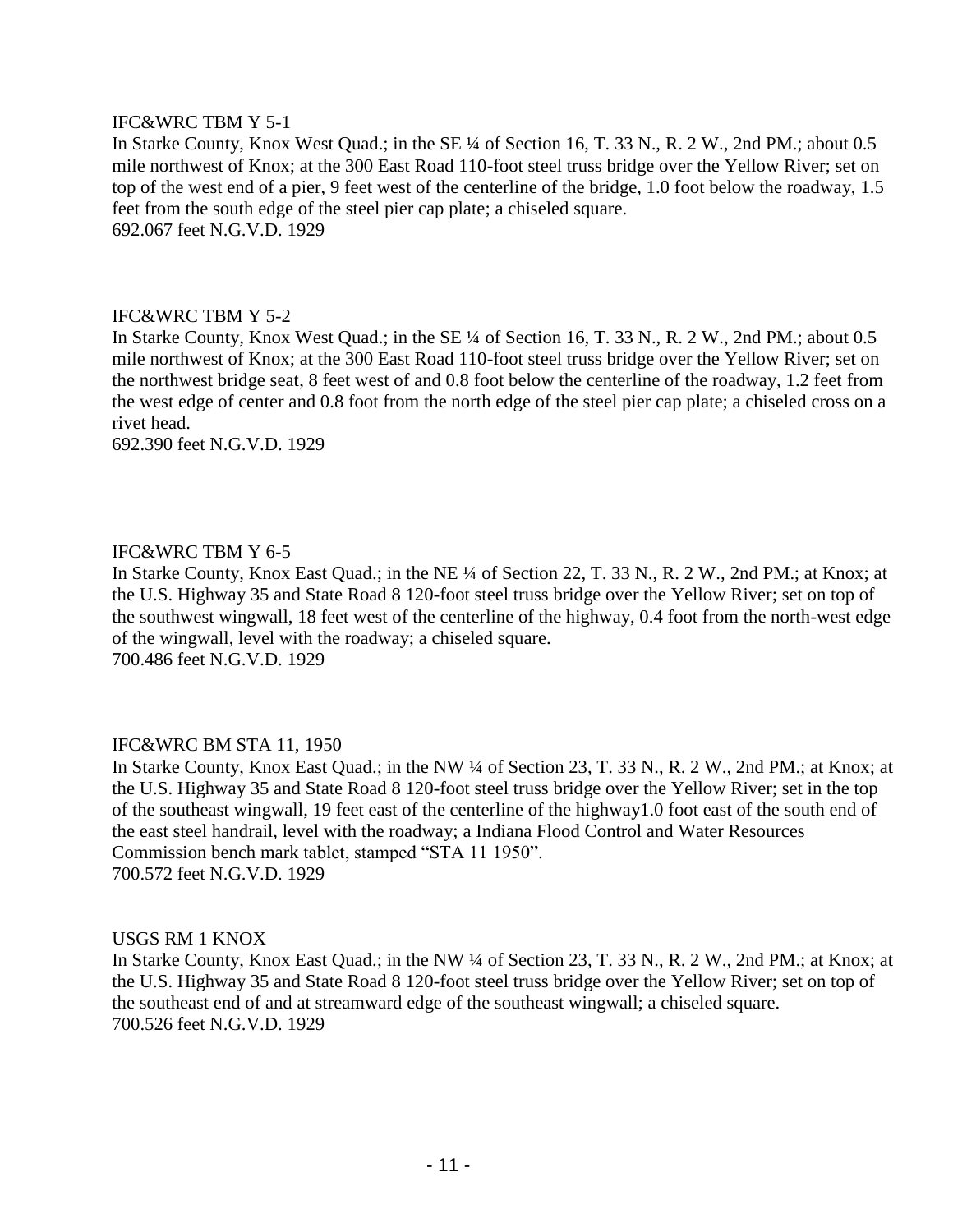# IFC&WRC TBM Y 5-1

In Starke County, Knox West Quad.; in the SE ¼ of Section 16, T. 33 N., R. 2 W., 2nd PM.; about 0.5 mile northwest of Knox; at the 300 East Road 110-foot steel truss bridge over the Yellow River; set on top of the west end of a pier, 9 feet west of the centerline of the bridge, 1.0 foot below the roadway, 1.5 feet from the south edge of the steel pier cap plate; a chiseled square. 692.067 feet N.G.V.D. 1929

# IFC&WRC TBM Y 5-2

In Starke County, Knox West Quad.; in the SE ¼ of Section 16, T. 33 N., R. 2 W., 2nd PM.; about 0.5 mile northwest of Knox; at the 300 East Road 110-foot steel truss bridge over the Yellow River; set on the northwest bridge seat, 8 feet west of and 0.8 foot below the centerline of the roadway, 1.2 feet from the west edge of center and 0.8 foot from the north edge of the steel pier cap plate; a chiseled cross on a rivet head.

692.390 feet N.G.V.D. 1929

# IFC&WRC TBM Y 6-5

In Starke County, Knox East Quad.; in the NE ¼ of Section 22, T. 33 N., R. 2 W., 2nd PM.; at Knox; at the U.S. Highway 35 and State Road 8 120-foot steel truss bridge over the Yellow River; set on top of the southwest wingwall, 18 feet west of the centerline of the highway, 0.4 foot from the north-west edge of the wingwall, level with the roadway; a chiseled square. 700.486 feet N.G.V.D. 1929

# IFC&WRC BM STA 11, 1950

In Starke County, Knox East Quad.; in the NW ¼ of Section 23, T. 33 N., R. 2 W., 2nd PM.; at Knox; at the U.S. Highway 35 and State Road 8 120-foot steel truss bridge over the Yellow River; set in the top of the southeast wingwall, 19 feet east of the centerline of the highway1.0 foot east of the south end of the east steel handrail, level with the roadway; a Indiana Flood Control and Water Resources Commission bench mark tablet, stamped "STA 11 1950". 700.572 feet N.G.V.D. 1929

#### USGS RM 1 KNOX

In Starke County, Knox East Quad.; in the NW ¼ of Section 23, T. 33 N., R. 2 W., 2nd PM.; at Knox; at the U.S. Highway 35 and State Road 8 120-foot steel truss bridge over the Yellow River; set on top of the southeast end of and at streamward edge of the southeast wingwall; a chiseled square. 700.526 feet N.G.V.D. 1929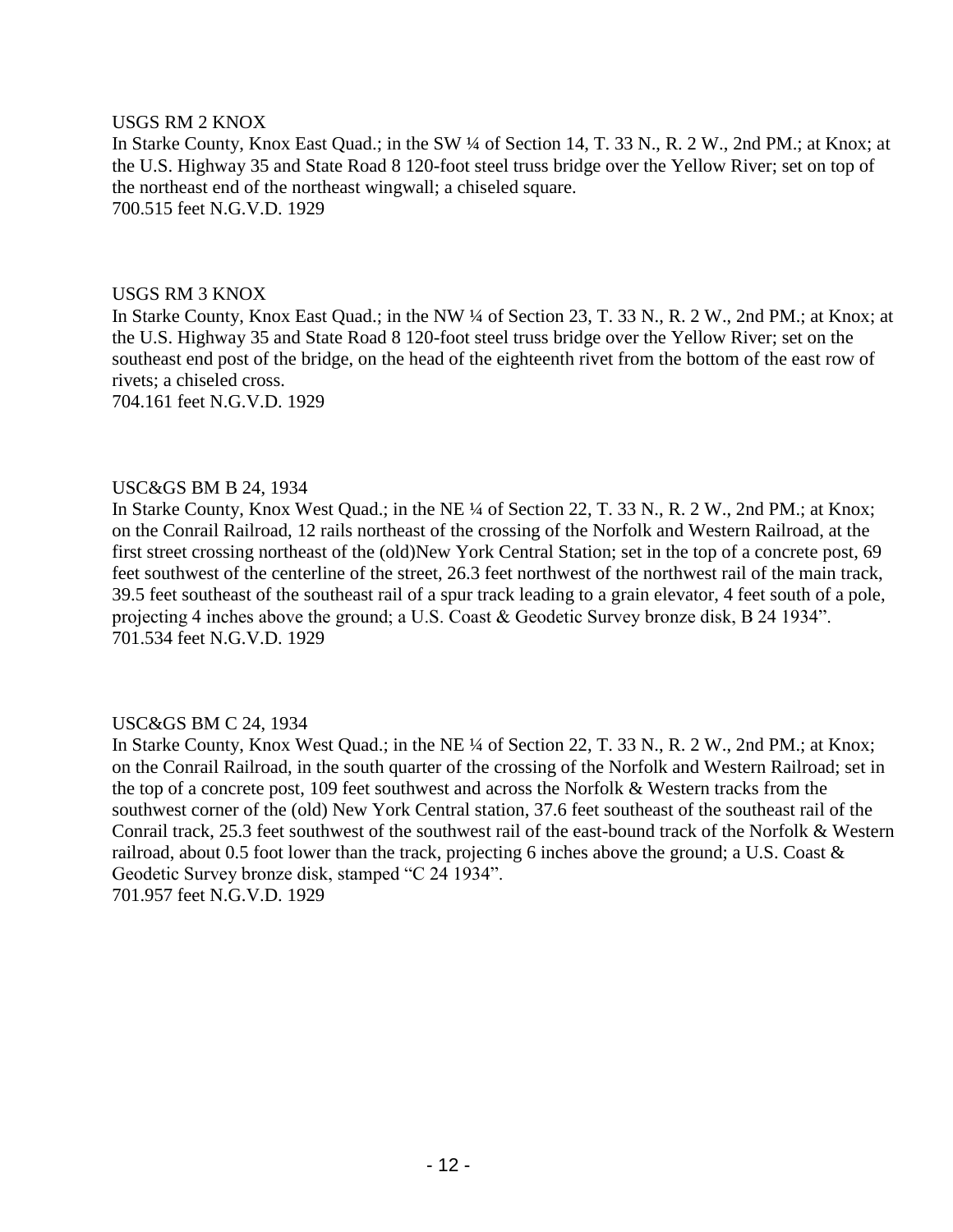#### USGS RM 2 KNOX

In Starke County, Knox East Quad.; in the SW ¼ of Section 14, T. 33 N., R. 2 W., 2nd PM.; at Knox; at the U.S. Highway 35 and State Road 8 120-foot steel truss bridge over the Yellow River; set on top of the northeast end of the northeast wingwall; a chiseled square. 700.515 feet N.G.V.D. 1929

#### USGS RM 3 KNOX

In Starke County, Knox East Quad.; in the NW ¼ of Section 23, T. 33 N., R. 2 W., 2nd PM.; at Knox; at the U.S. Highway 35 and State Road 8 120-foot steel truss bridge over the Yellow River; set on the southeast end post of the bridge, on the head of the eighteenth rivet from the bottom of the east row of rivets; a chiseled cross.

704.161 feet N.G.V.D. 1929

#### USC&GS BM B 24, 1934

In Starke County, Knox West Quad.; in the NE ¼ of Section 22, T. 33 N., R. 2 W., 2nd PM.; at Knox; on the Conrail Railroad, 12 rails northeast of the crossing of the Norfolk and Western Railroad, at the first street crossing northeast of the (old)New York Central Station; set in the top of a concrete post, 69 feet southwest of the centerline of the street, 26.3 feet northwest of the northwest rail of the main track, 39.5 feet southeast of the southeast rail of a spur track leading to a grain elevator, 4 feet south of a pole, projecting 4 inches above the ground; a U.S. Coast & Geodetic Survey bronze disk, B 24 1934". 701.534 feet N.G.V.D. 1929

# USC&GS BM C 24, 1934

In Starke County, Knox West Quad.; in the NE ¼ of Section 22, T. 33 N., R. 2 W., 2nd PM.; at Knox; on the Conrail Railroad, in the south quarter of the crossing of the Norfolk and Western Railroad; set in the top of a concrete post, 109 feet southwest and across the Norfolk & Western tracks from the southwest corner of the (old) New York Central station, 37.6 feet southeast of the southeast rail of the Conrail track, 25.3 feet southwest of the southwest rail of the east-bound track of the Norfolk & Western railroad, about 0.5 foot lower than the track, projecting 6 inches above the ground; a U.S. Coast & Geodetic Survey bronze disk, stamped "C 24 1934". 701.957 feet N.G.V.D. 1929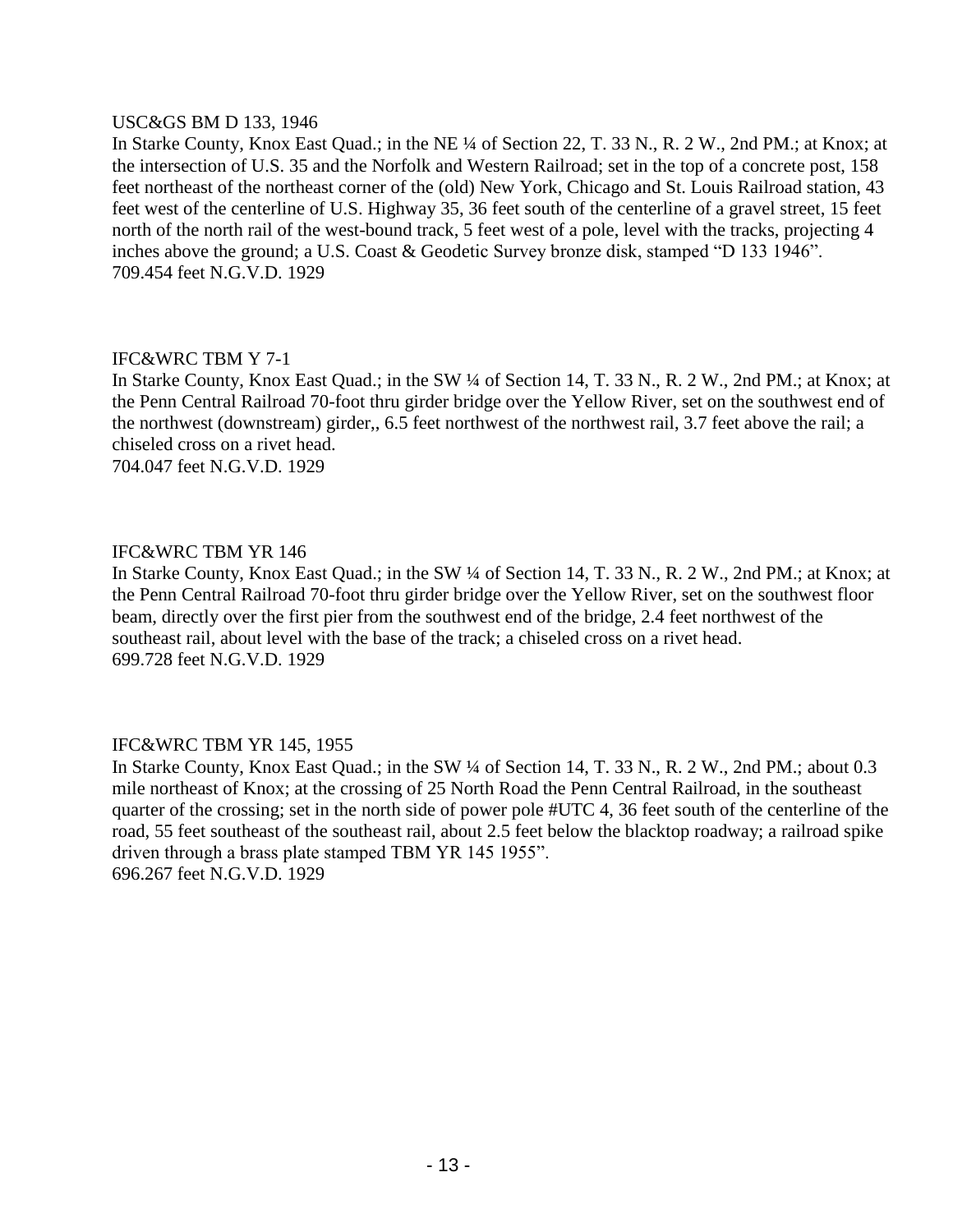#### USC&GS BM D 133, 1946

In Starke County, Knox East Quad.; in the NE ¼ of Section 22, T. 33 N., R. 2 W., 2nd PM.; at Knox; at the intersection of U.S. 35 and the Norfolk and Western Railroad; set in the top of a concrete post, 158 feet northeast of the northeast corner of the (old) New York, Chicago and St. Louis Railroad station, 43 feet west of the centerline of U.S. Highway 35, 36 feet south of the centerline of a gravel street, 15 feet north of the north rail of the west-bound track, 5 feet west of a pole, level with the tracks, projecting 4 inches above the ground; a U.S. Coast & Geodetic Survey bronze disk, stamped "D 133 1946". 709.454 feet N.G.V.D. 1929

# IFC&WRC TBM Y 7-1

In Starke County, Knox East Quad.; in the SW ¼ of Section 14, T. 33 N., R. 2 W., 2nd PM.; at Knox; at the Penn Central Railroad 70-foot thru girder bridge over the Yellow River, set on the southwest end of the northwest (downstream) girder,, 6.5 feet northwest of the northwest rail, 3.7 feet above the rail; a chiseled cross on a rivet head.

704.047 feet N.G.V.D. 1929

# IFC&WRC TBM YR 146

In Starke County, Knox East Quad.; in the SW ¼ of Section 14, T. 33 N., R. 2 W., 2nd PM.; at Knox; at the Penn Central Railroad 70-foot thru girder bridge over the Yellow River, set on the southwest floor beam, directly over the first pier from the southwest end of the bridge, 2.4 feet northwest of the southeast rail, about level with the base of the track; a chiseled cross on a rivet head. 699.728 feet N.G.V.D. 1929

# IFC&WRC TBM YR 145, 1955

In Starke County, Knox East Quad.; in the SW ¼ of Section 14, T. 33 N., R. 2 W., 2nd PM.; about 0.3 mile northeast of Knox; at the crossing of 25 North Road the Penn Central Railroad, in the southeast quarter of the crossing; set in the north side of power pole #UTC 4, 36 feet south of the centerline of the road, 55 feet southeast of the southeast rail, about 2.5 feet below the blacktop roadway; a railroad spike driven through a brass plate stamped TBM YR 145 1955". 696.267 feet N.G.V.D. 1929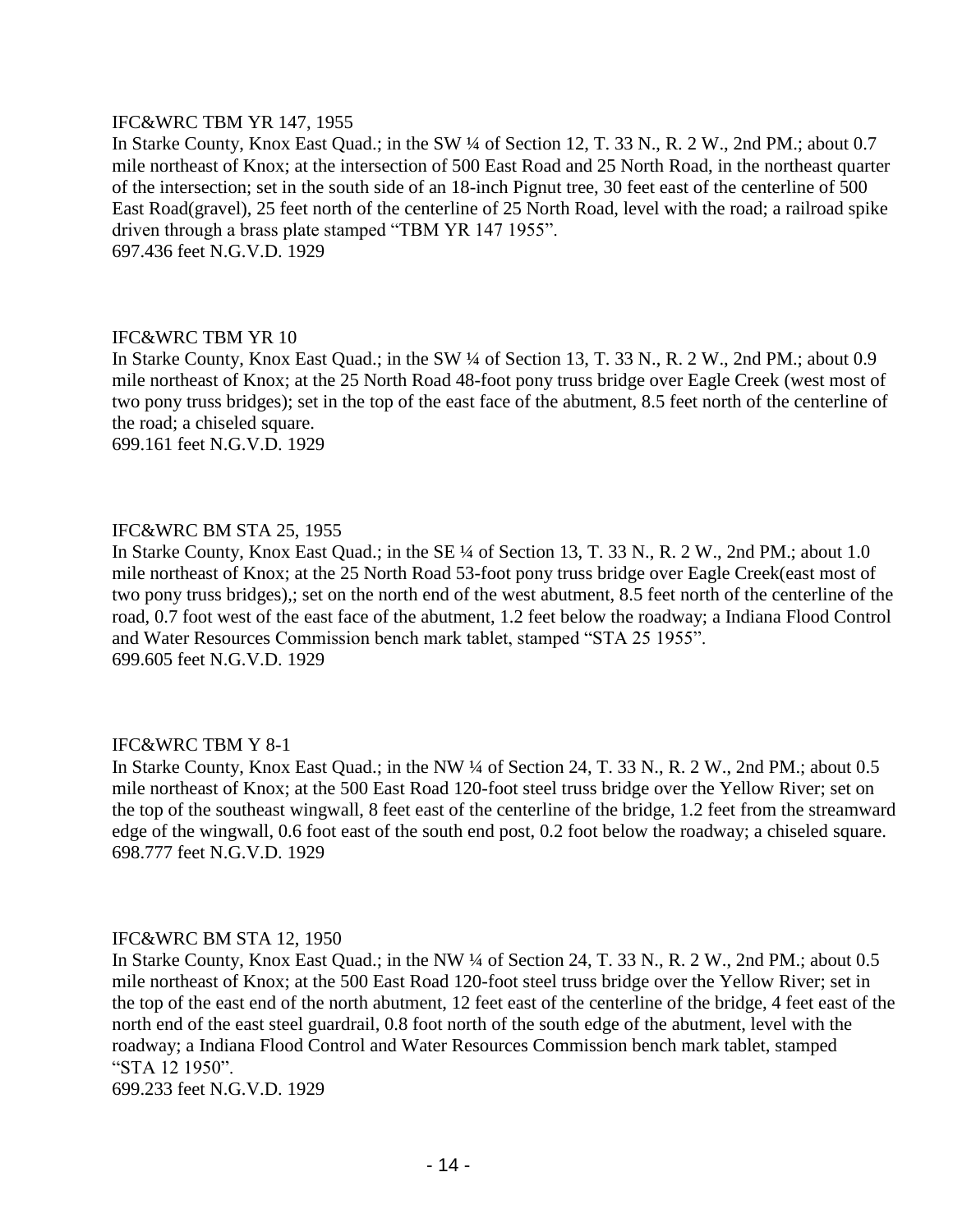#### IFC&WRC TBM YR 147, 1955

In Starke County, Knox East Quad.; in the SW ¼ of Section 12, T. 33 N., R. 2 W., 2nd PM.; about 0.7 mile northeast of Knox; at the intersection of 500 East Road and 25 North Road, in the northeast quarter of the intersection; set in the south side of an 18-inch Pignut tree, 30 feet east of the centerline of 500 East Road(gravel), 25 feet north of the centerline of 25 North Road, level with the road; a railroad spike driven through a brass plate stamped "TBM YR 147 1955". 697.436 feet N.G.V.D. 1929

#### IFC&WRC TBM YR 10

In Starke County, Knox East Quad.; in the SW ¼ of Section 13, T. 33 N., R. 2 W., 2nd PM.; about 0.9 mile northeast of Knox; at the 25 North Road 48-foot pony truss bridge over Eagle Creek (west most of two pony truss bridges); set in the top of the east face of the abutment, 8.5 feet north of the centerline of the road; a chiseled square.

699.161 feet N.G.V.D. 1929

# IFC&WRC BM STA 25, 1955

In Starke County, Knox East Quad.; in the SE ¼ of Section 13, T. 33 N., R. 2 W., 2nd PM.; about 1.0 mile northeast of Knox; at the 25 North Road 53-foot pony truss bridge over Eagle Creek(east most of two pony truss bridges),; set on the north end of the west abutment, 8.5 feet north of the centerline of the road, 0.7 foot west of the east face of the abutment, 1.2 feet below the roadway; a Indiana Flood Control and Water Resources Commission bench mark tablet, stamped "STA 25 1955". 699.605 feet N.G.V.D. 1929

# IFC&WRC TBM Y 8-1

In Starke County, Knox East Quad.; in the NW ¼ of Section 24, T. 33 N., R. 2 W., 2nd PM.; about 0.5 mile northeast of Knox; at the 500 East Road 120-foot steel truss bridge over the Yellow River; set on the top of the southeast wingwall, 8 feet east of the centerline of the bridge, 1.2 feet from the streamward edge of the wingwall, 0.6 foot east of the south end post, 0.2 foot below the roadway; a chiseled square. 698.777 feet N.G.V.D. 1929

#### IFC&WRC BM STA 12, 1950

In Starke County, Knox East Quad.; in the NW ¼ of Section 24, T. 33 N., R. 2 W., 2nd PM.; about 0.5 mile northeast of Knox; at the 500 East Road 120-foot steel truss bridge over the Yellow River; set in the top of the east end of the north abutment, 12 feet east of the centerline of the bridge, 4 feet east of the north end of the east steel guardrail, 0.8 foot north of the south edge of the abutment, level with the roadway; a Indiana Flood Control and Water Resources Commission bench mark tablet, stamped "STA 12 1950".

699.233 feet N.G.V.D. 1929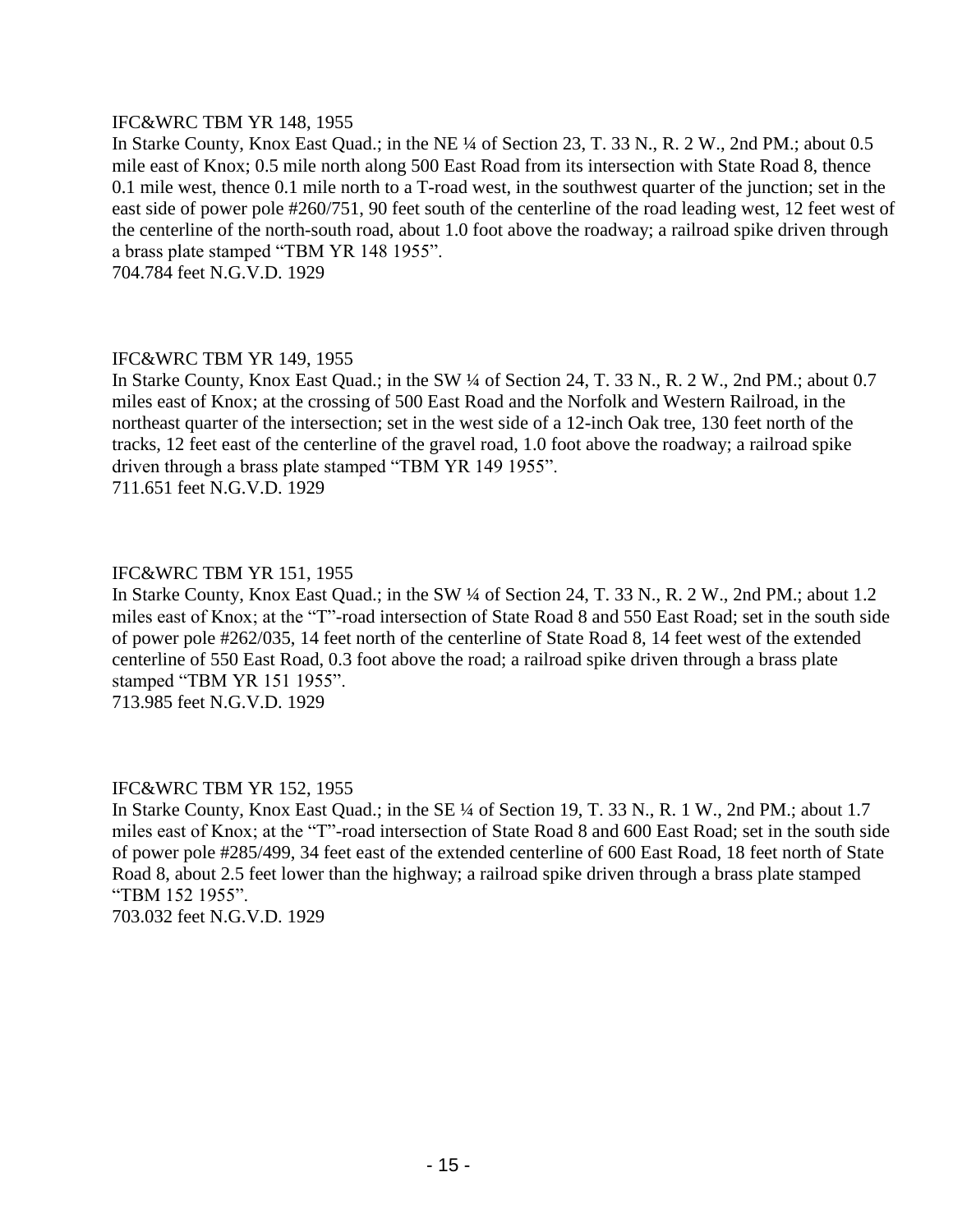# IFC&WRC TBM YR 148, 1955

In Starke County, Knox East Quad.; in the NE ¼ of Section 23, T. 33 N., R. 2 W., 2nd PM.; about 0.5 mile east of Knox; 0.5 mile north along 500 East Road from its intersection with State Road 8, thence 0.1 mile west, thence 0.1 mile north to a T-road west, in the southwest quarter of the junction; set in the east side of power pole #260/751, 90 feet south of the centerline of the road leading west, 12 feet west of the centerline of the north-south road, about 1.0 foot above the roadway; a railroad spike driven through a brass plate stamped "TBM YR 148 1955".

704.784 feet N.G.V.D. 1929

# IFC&WRC TBM YR 149, 1955

In Starke County, Knox East Quad.; in the SW ¼ of Section 24, T. 33 N., R. 2 W., 2nd PM.; about 0.7 miles east of Knox; at the crossing of 500 East Road and the Norfolk and Western Railroad, in the northeast quarter of the intersection; set in the west side of a 12-inch Oak tree, 130 feet north of the tracks, 12 feet east of the centerline of the gravel road, 1.0 foot above the roadway; a railroad spike driven through a brass plate stamped "TBM YR 149 1955". 711.651 feet N.G.V.D. 1929

# IFC&WRC TBM YR 151, 1955

In Starke County, Knox East Quad.; in the SW ¼ of Section 24, T. 33 N., R. 2 W., 2nd PM.; about 1.2 miles east of Knox; at the "T"-road intersection of State Road 8 and 550 East Road; set in the south side of power pole #262/035, 14 feet north of the centerline of State Road 8, 14 feet west of the extended centerline of 550 East Road, 0.3 foot above the road; a railroad spike driven through a brass plate stamped "TBM YR 151 1955". 713.985 feet N.G.V.D. 1929

# IFC&WRC TBM YR 152, 1955

In Starke County, Knox East Quad.; in the SE ¼ of Section 19, T. 33 N., R. 1 W., 2nd PM.; about 1.7 miles east of Knox; at the "T"-road intersection of State Road 8 and 600 East Road; set in the south side of power pole #285/499, 34 feet east of the extended centerline of 600 East Road, 18 feet north of State Road 8, about 2.5 feet lower than the highway; a railroad spike driven through a brass plate stamped "TBM 152 1955". 703.032 feet N.G.V.D. 1929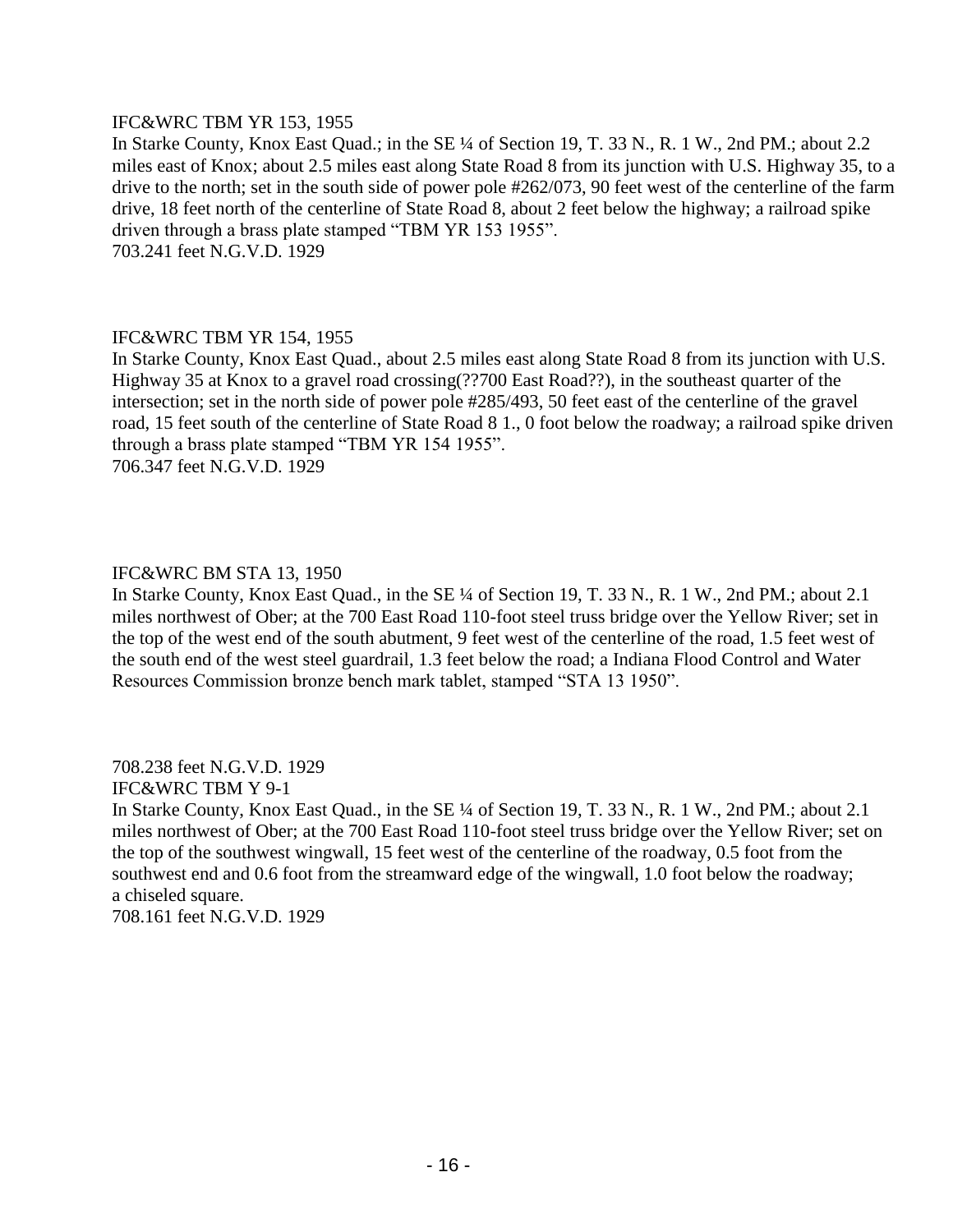# IFC&WRC TBM YR 153, 1955

In Starke County, Knox East Quad.; in the SE ¼ of Section 19, T. 33 N., R. 1 W., 2nd PM.; about 2.2 miles east of Knox; about 2.5 miles east along State Road 8 from its junction with U.S. Highway 35, to a drive to the north; set in the south side of power pole #262/073, 90 feet west of the centerline of the farm drive, 18 feet north of the centerline of State Road 8, about 2 feet below the highway; a railroad spike driven through a brass plate stamped "TBM YR 153 1955". 703.241 feet N.G.V.D. 1929

# IFC&WRC TBM YR 154, 1955

In Starke County, Knox East Quad., about 2.5 miles east along State Road 8 from its junction with U.S. Highway 35 at Knox to a gravel road crossing(??700 East Road??), in the southeast quarter of the intersection; set in the north side of power pole #285/493, 50 feet east of the centerline of the gravel road, 15 feet south of the centerline of State Road 8 1., 0 foot below the roadway; a railroad spike driven through a brass plate stamped "TBM YR 154 1955". 706.347 feet N.G.V.D. 1929

# IFC&WRC BM STA 13, 1950

In Starke County, Knox East Quad., in the SE ¼ of Section 19, T. 33 N., R. 1 W., 2nd PM.; about 2.1 miles northwest of Ober; at the 700 East Road 110-foot steel truss bridge over the Yellow River; set in the top of the west end of the south abutment, 9 feet west of the centerline of the road, 1.5 feet west of the south end of the west steel guardrail, 1.3 feet below the road; a Indiana Flood Control and Water Resources Commission bronze bench mark tablet, stamped "STA 13 1950".

708.238 feet N.G.V.D. 1929

IFC&WRC TBM Y 9-1

In Starke County, Knox East Quad., in the SE ¼ of Section 19, T. 33 N., R. 1 W., 2nd PM.; about 2.1 miles northwest of Ober; at the 700 East Road 110-foot steel truss bridge over the Yellow River; set on the top of the southwest wingwall, 15 feet west of the centerline of the roadway, 0.5 foot from the southwest end and 0.6 foot from the streamward edge of the wingwall, 1.0 foot below the roadway; a chiseled square.

708.161 feet N.G.V.D. 1929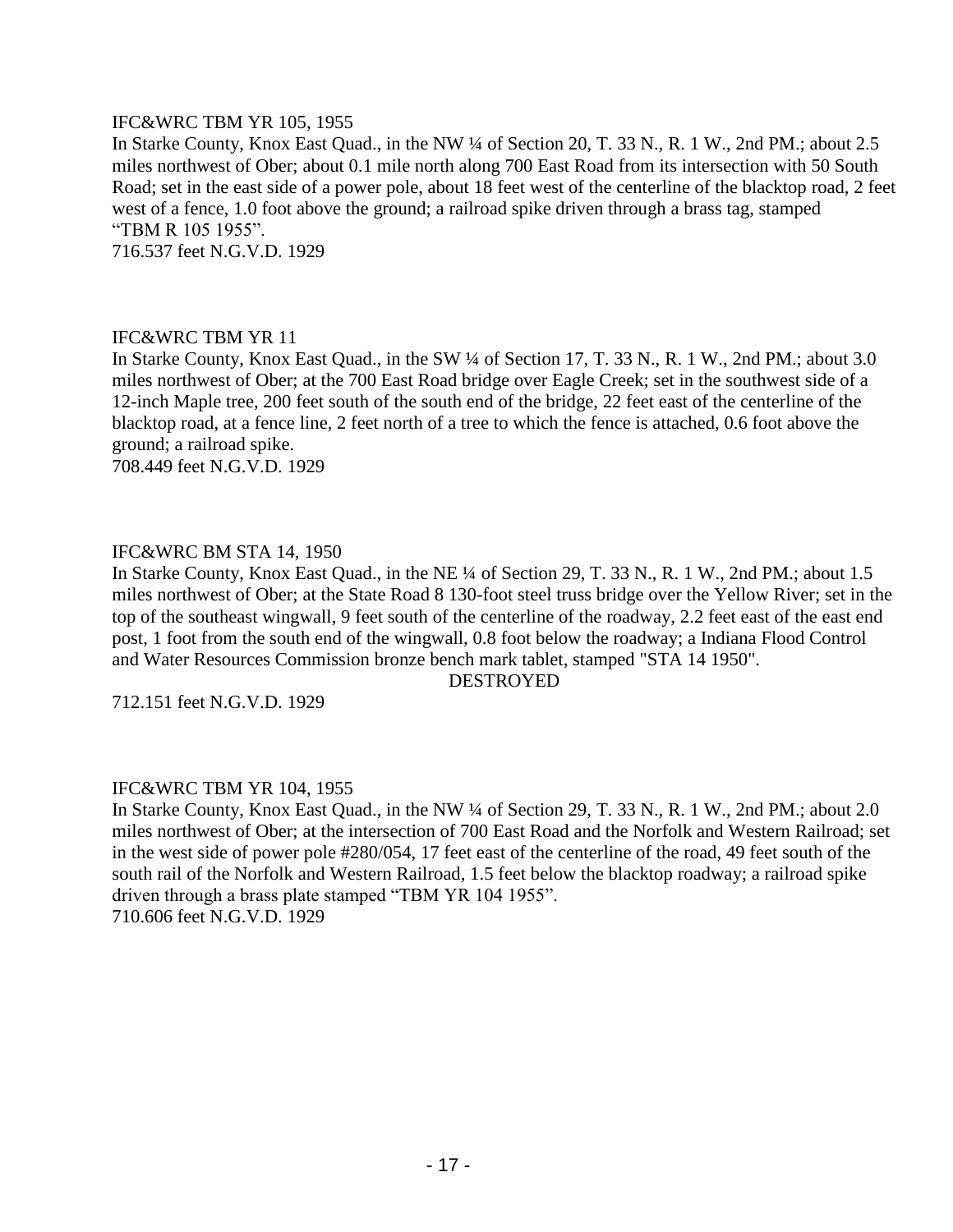# IFC&WRC TBM YR 105, 1955

In Starke County, Knox East Quad., in the NW ¼ of Section 20, T. 33 N., R. 1 W., 2nd PM.; about 2.5 miles northwest of Ober; about 0.1 mile north along 700 East Road from its intersection with 50 South Road; set in the east side of a power pole, about 18 feet west of the centerline of the blacktop road, 2 feet west of a fence, 1.0 foot above the ground; a railroad spike driven through a brass tag, stamped "TBM R 105 1955".

716.537 feet N.G.V.D. 1929

#### IFC&WRC TBM YR 11

In Starke County, Knox East Quad., in the SW ¼ of Section 17, T. 33 N., R. 1 W., 2nd PM.; about 3.0 miles northwest of Ober; at the 700 East Road bridge over Eagle Creek; set in the southwest side of a 12-inch Maple tree, 200 feet south of the south end of the bridge, 22 feet east of the centerline of the blacktop road, at a fence line, 2 feet north of a tree to which the fence is attached, 0.6 foot above the ground; a railroad spike.

708.449 feet N.G.V.D. 1929

#### IFC&WRC BM STA 14, 1950

In Starke County, Knox East Quad., in the NE ¼ of Section 29, T. 33 N., R. 1 W., 2nd PM.; about 1.5 miles northwest of Ober; at the State Road 8 130-foot steel truss bridge over the Yellow River; set in the top of the southeast wingwall, 9 feet south of the centerline of the roadway, 2.2 feet east of the east end post, 1 foot from the south end of the wingwall, 0.8 foot below the roadway; a Indiana Flood Control and Water Resources Commission bronze bench mark tablet, stamped "STA 14 1950".

DESTROYED

712.151 feet N.G.V.D. 1929

# IFC&WRC TBM YR 104, 1955

In Starke County, Knox East Quad., in the NW ¼ of Section 29, T. 33 N., R. 1 W., 2nd PM.; about 2.0 miles northwest of Ober; at the intersection of 700 East Road and the Norfolk and Western Railroad; set in the west side of power pole #280/054, 17 feet east of the centerline of the road, 49 feet south of the south rail of the Norfolk and Western Railroad, 1.5 feet below the blacktop roadway; a railroad spike driven through a brass plate stamped "TBM YR 104 1955". 710.606 feet N.G.V.D. 1929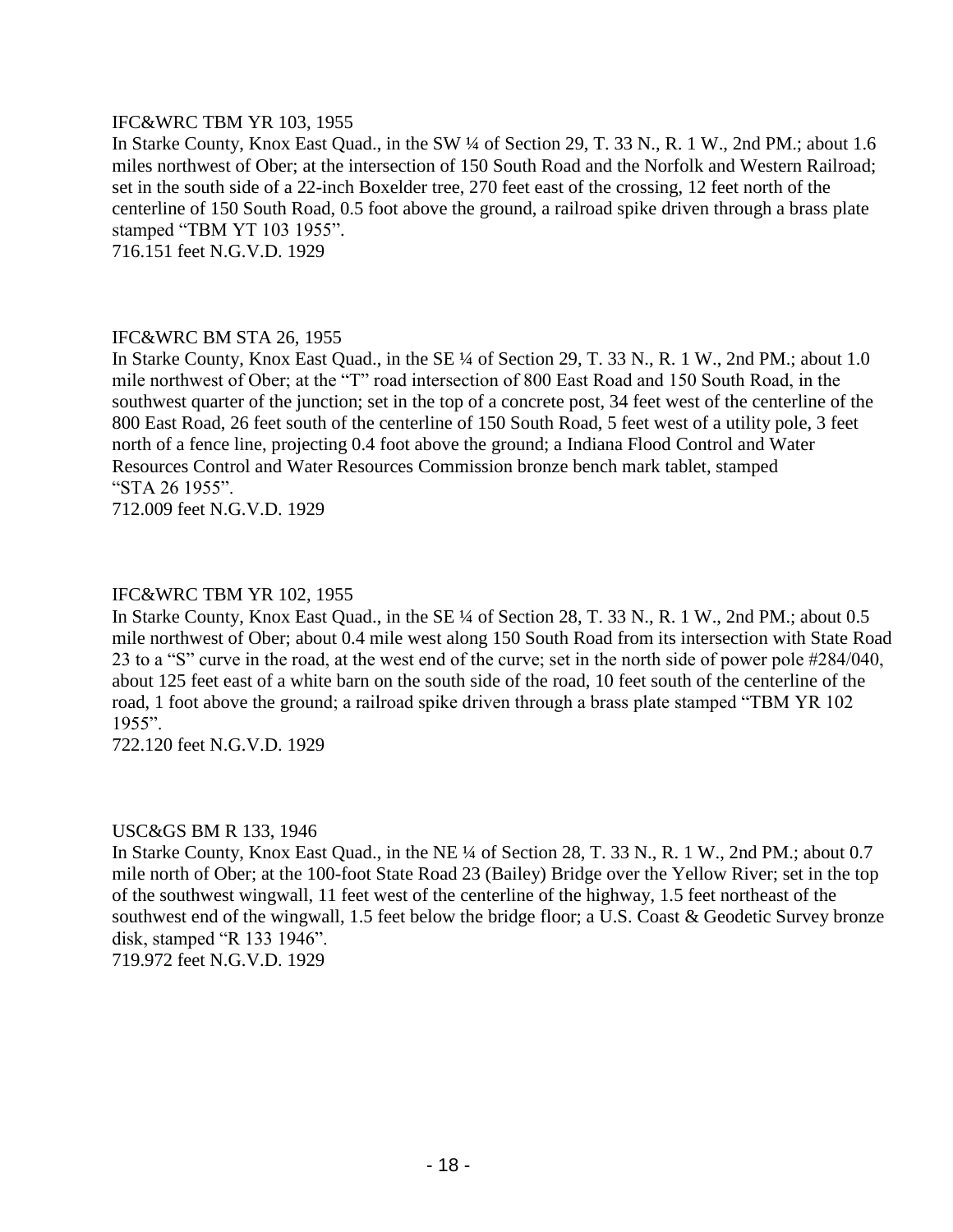# IFC&WRC TBM YR 103, 1955

In Starke County, Knox East Quad., in the SW ¼ of Section 29, T. 33 N., R. 1 W., 2nd PM.; about 1.6 miles northwest of Ober; at the intersection of 150 South Road and the Norfolk and Western Railroad; set in the south side of a 22-inch Boxelder tree, 270 feet east of the crossing, 12 feet north of the centerline of 150 South Road, 0.5 foot above the ground, a railroad spike driven through a brass plate stamped "TBM YT 103 1955".

716.151 feet N.G.V.D. 1929

#### IFC&WRC BM STA 26, 1955

In Starke County, Knox East Quad., in the SE ¼ of Section 29, T. 33 N., R. 1 W., 2nd PM.; about 1.0 mile northwest of Ober; at the "T" road intersection of 800 East Road and 150 South Road, in the southwest quarter of the junction; set in the top of a concrete post, 34 feet west of the centerline of the 800 East Road, 26 feet south of the centerline of 150 South Road, 5 feet west of a utility pole, 3 feet north of a fence line, projecting 0.4 foot above the ground; a Indiana Flood Control and Water Resources Control and Water Resources Commission bronze bench mark tablet, stamped "STA 26 1955".

712.009 feet N.G.V.D. 1929

# IFC&WRC TBM YR 102, 1955

In Starke County, Knox East Quad., in the SE ¼ of Section 28, T. 33 N., R. 1 W., 2nd PM.; about 0.5 mile northwest of Ober; about 0.4 mile west along 150 South Road from its intersection with State Road 23 to a "S" curve in the road, at the west end of the curve; set in the north side of power pole #284/040, about 125 feet east of a white barn on the south side of the road, 10 feet south of the centerline of the road, 1 foot above the ground; a railroad spike driven through a brass plate stamped "TBM YR 102 1955".

722.120 feet N.G.V.D. 1929

#### USC&GS BM R 133, 1946

In Starke County, Knox East Quad., in the NE ¼ of Section 28, T. 33 N., R. 1 W., 2nd PM.; about 0.7 mile north of Ober; at the 100-foot State Road 23 (Bailey) Bridge over the Yellow River; set in the top of the southwest wingwall, 11 feet west of the centerline of the highway, 1.5 feet northeast of the southwest end of the wingwall, 1.5 feet below the bridge floor; a U.S. Coast & Geodetic Survey bronze disk, stamped "R 133 1946". 719.972 feet N.G.V.D. 1929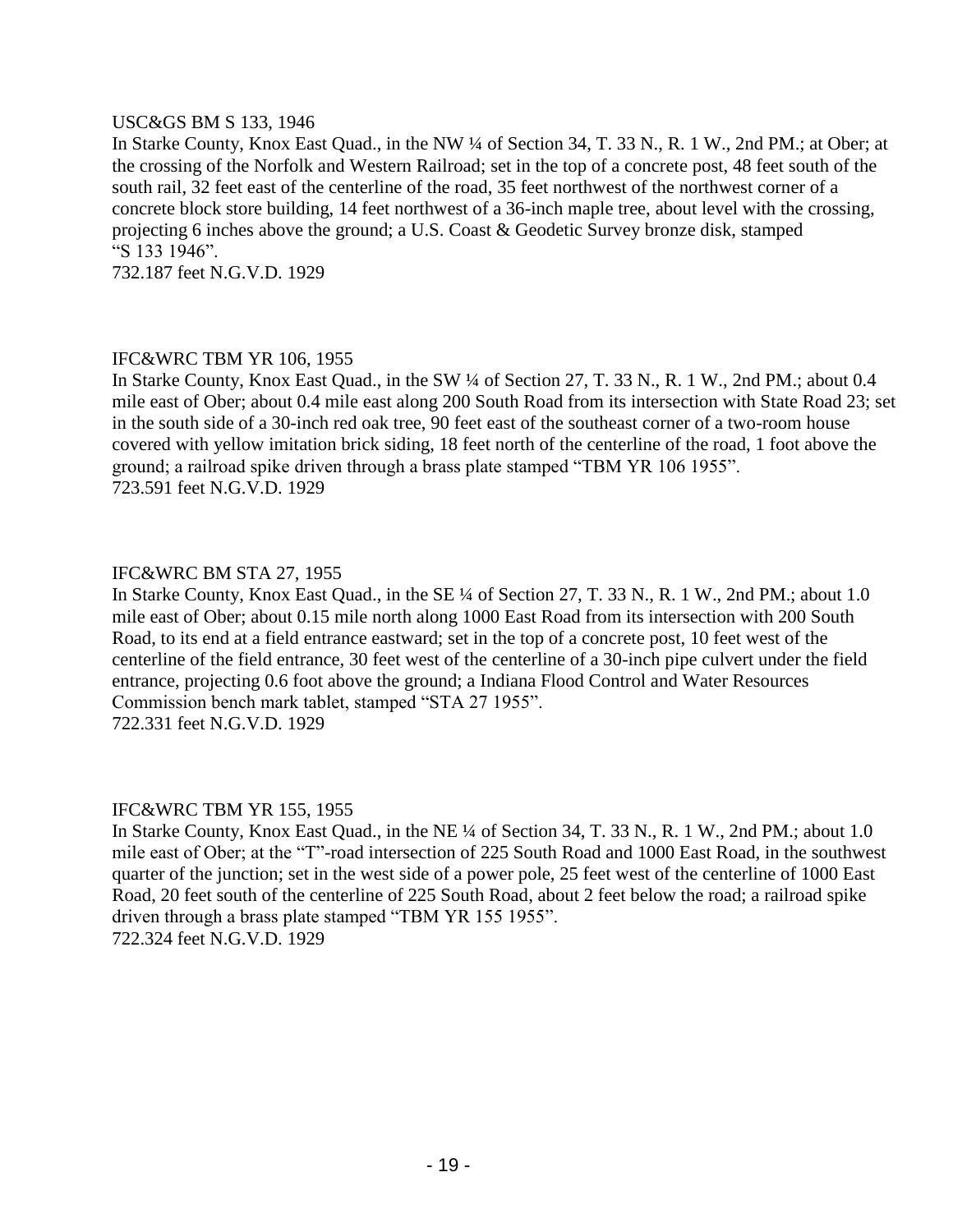#### USC&GS BM S 133, 1946

In Starke County, Knox East Quad., in the NW ¼ of Section 34, T. 33 N., R. 1 W., 2nd PM.; at Ober; at the crossing of the Norfolk and Western Railroad; set in the top of a concrete post, 48 feet south of the south rail, 32 feet east of the centerline of the road, 35 feet northwest of the northwest corner of a concrete block store building, 14 feet northwest of a 36-inch maple tree, about level with the crossing, projecting 6 inches above the ground; a U.S. Coast & Geodetic Survey bronze disk, stamped "S 133 1946".

732.187 feet N.G.V.D. 1929

# IFC&WRC TBM YR 106, 1955

In Starke County, Knox East Quad., in the SW ¼ of Section 27, T. 33 N., R. 1 W., 2nd PM.; about 0.4 mile east of Ober; about 0.4 mile east along 200 South Road from its intersection with State Road 23; set in the south side of a 30-inch red oak tree, 90 feet east of the southeast corner of a two-room house covered with yellow imitation brick siding, 18 feet north of the centerline of the road, 1 foot above the ground; a railroad spike driven through a brass plate stamped "TBM YR 106 1955". 723.591 feet N.G.V.D. 1929

# IFC&WRC BM STA 27, 1955

In Starke County, Knox East Quad., in the SE ¼ of Section 27, T. 33 N., R. 1 W., 2nd PM.; about 1.0 mile east of Ober; about 0.15 mile north along 1000 East Road from its intersection with 200 South Road, to its end at a field entrance eastward; set in the top of a concrete post, 10 feet west of the centerline of the field entrance, 30 feet west of the centerline of a 30-inch pipe culvert under the field entrance, projecting 0.6 foot above the ground; a Indiana Flood Control and Water Resources Commission bench mark tablet, stamped "STA 27 1955". 722.331 feet N.G.V.D. 1929

# IFC&WRC TBM YR 155, 1955

In Starke County, Knox East Quad., in the NE ¼ of Section 34, T. 33 N., R. 1 W., 2nd PM.; about 1.0 mile east of Ober; at the "T"-road intersection of 225 South Road and 1000 East Road, in the southwest quarter of the junction; set in the west side of a power pole, 25 feet west of the centerline of 1000 East Road, 20 feet south of the centerline of 225 South Road, about 2 feet below the road; a railroad spike driven through a brass plate stamped "TBM YR 155 1955". 722.324 feet N.G.V.D. 1929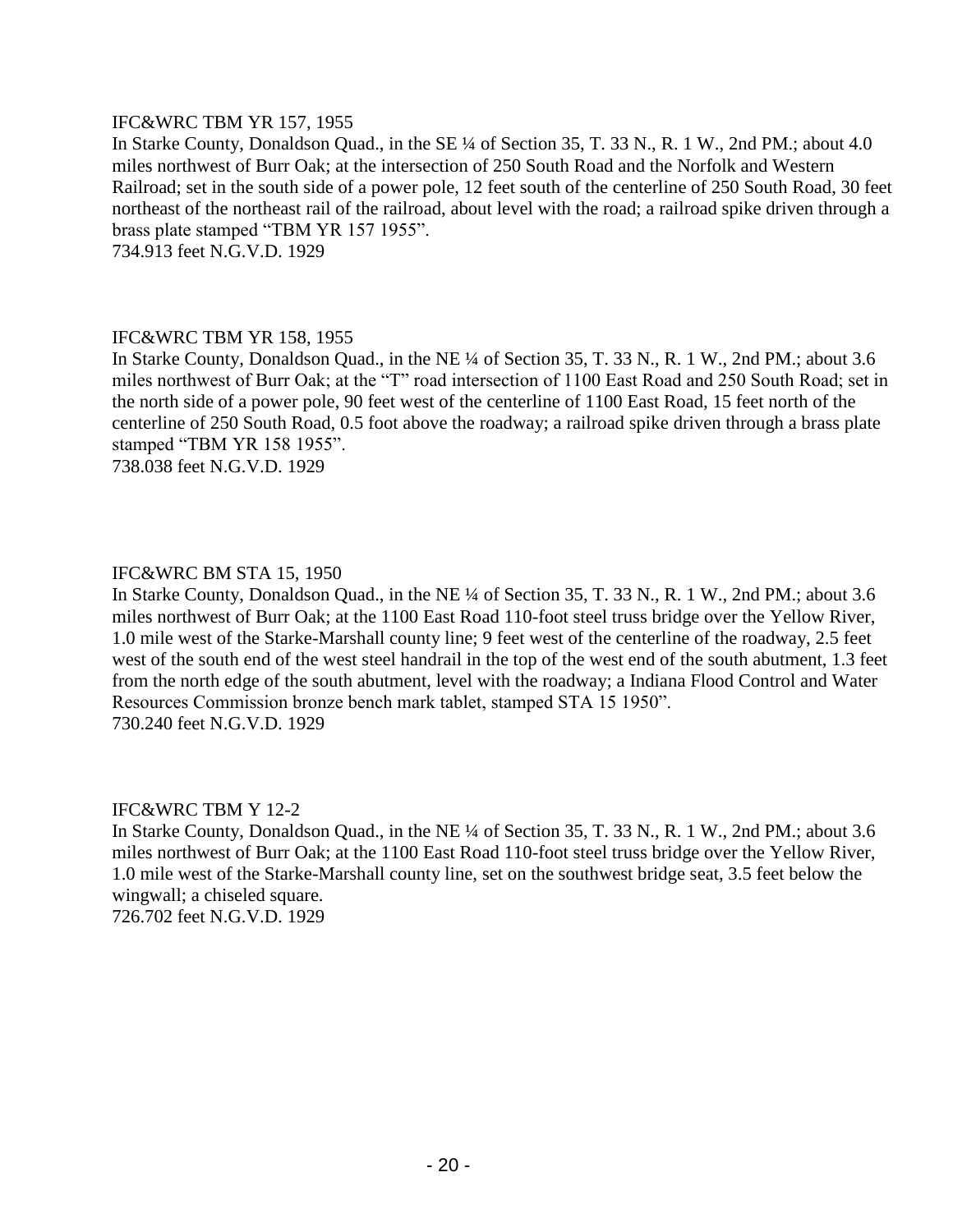# IFC&WRC TBM YR 157, 1955

In Starke County, Donaldson Quad., in the SE ¼ of Section 35, T. 33 N., R. 1 W., 2nd PM.; about 4.0 miles northwest of Burr Oak; at the intersection of 250 South Road and the Norfolk and Western Railroad; set in the south side of a power pole, 12 feet south of the centerline of 250 South Road, 30 feet northeast of the northeast rail of the railroad, about level with the road; a railroad spike driven through a brass plate stamped "TBM YR 157 1955".

734.913 feet N.G.V.D. 1929

#### IFC&WRC TBM YR 158, 1955

In Starke County, Donaldson Quad., in the NE ¼ of Section 35, T. 33 N., R. 1 W., 2nd PM.; about 3.6 miles northwest of Burr Oak; at the "T" road intersection of 1100 East Road and 250 South Road; set in the north side of a power pole, 90 feet west of the centerline of 1100 East Road, 15 feet north of the centerline of 250 South Road, 0.5 foot above the roadway; a railroad spike driven through a brass plate stamped "TBM YR 158 1955".

738.038 feet N.G.V.D. 1929

# IFC&WRC BM STA 15, 1950

In Starke County, Donaldson Quad., in the NE ¼ of Section 35, T. 33 N., R. 1 W., 2nd PM.; about 3.6 miles northwest of Burr Oak; at the 1100 East Road 110-foot steel truss bridge over the Yellow River, 1.0 mile west of the Starke-Marshall county line; 9 feet west of the centerline of the roadway, 2.5 feet west of the south end of the west steel handrail in the top of the west end of the south abutment, 1.3 feet from the north edge of the south abutment, level with the roadway; a Indiana Flood Control and Water Resources Commission bronze bench mark tablet, stamped STA 15 1950". 730.240 feet N.G.V.D. 1929

# IFC&WRC TBM Y 12-2

In Starke County, Donaldson Quad., in the NE ¼ of Section 35, T. 33 N., R. 1 W., 2nd PM.; about 3.6 miles northwest of Burr Oak; at the 1100 East Road 110-foot steel truss bridge over the Yellow River, 1.0 mile west of the Starke-Marshall county line, set on the southwest bridge seat, 3.5 feet below the wingwall; a chiseled square. 726.702 feet N.G.V.D. 1929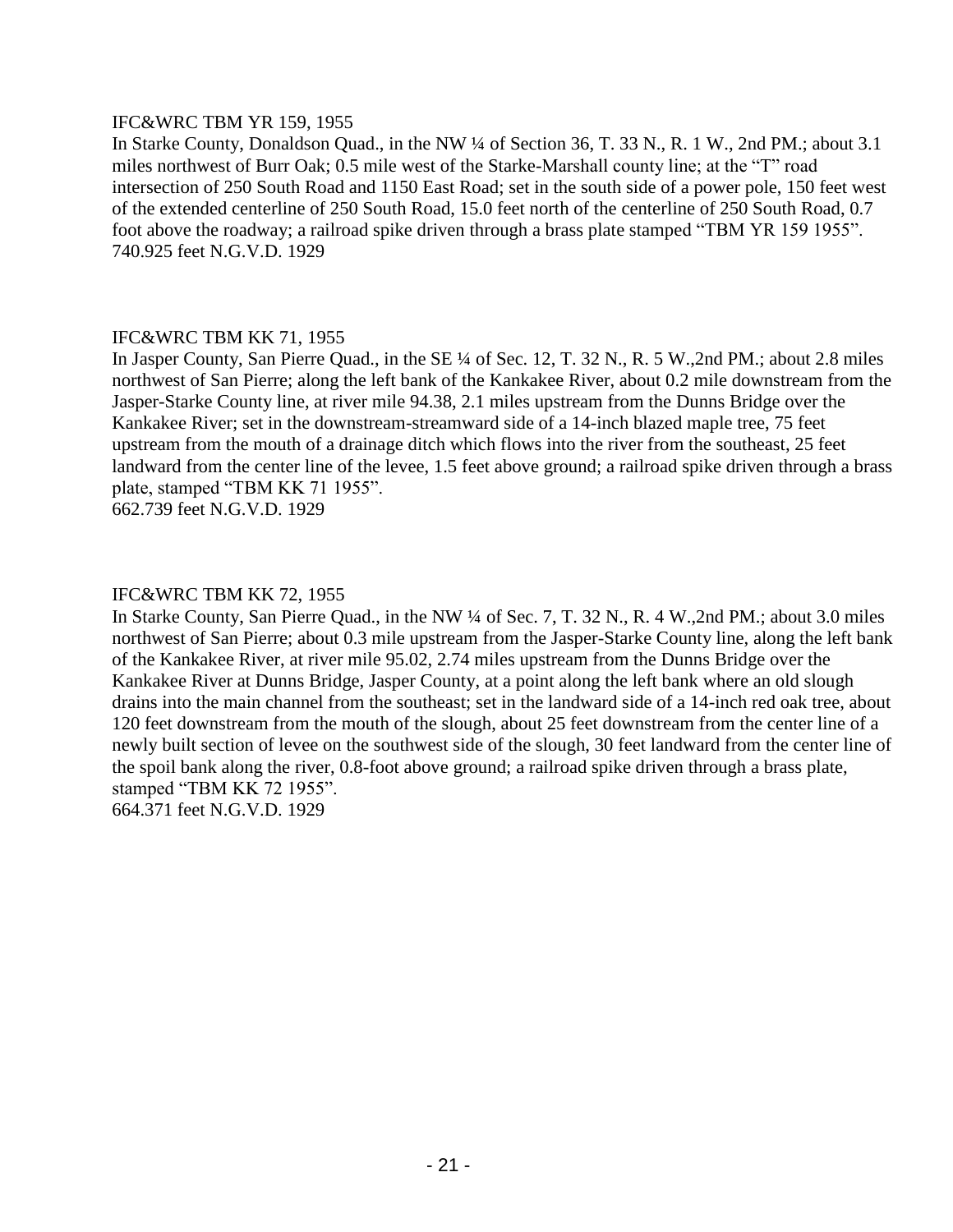# IFC&WRC TBM YR 159, 1955

In Starke County, Donaldson Quad., in the NW ¼ of Section 36, T. 33 N., R. 1 W., 2nd PM.; about 3.1 miles northwest of Burr Oak; 0.5 mile west of the Starke-Marshall county line; at the "T" road intersection of 250 South Road and 1150 East Road; set in the south side of a power pole, 150 feet west of the extended centerline of 250 South Road, 15.0 feet north of the centerline of 250 South Road, 0.7 foot above the roadway; a railroad spike driven through a brass plate stamped "TBM YR 159 1955". 740.925 feet N.G.V.D. 1929

# IFC&WRC TBM KK 71, 1955

In Jasper County, San Pierre Quad., in the SE ¼ of Sec. 12, T. 32 N., R. 5 W.,2nd PM.; about 2.8 miles northwest of San Pierre; along the left bank of the Kankakee River, about 0.2 mile downstream from the Jasper-Starke County line, at river mile 94.38, 2.1 miles upstream from the Dunns Bridge over the Kankakee River; set in the downstream-streamward side of a 14-inch blazed maple tree, 75 feet upstream from the mouth of a drainage ditch which flows into the river from the southeast, 25 feet landward from the center line of the levee, 1.5 feet above ground; a railroad spike driven through a brass plate, stamped "TBM KK 71 1955".

662.739 feet N.G.V.D. 1929

# IFC&WRC TBM KK 72, 1955

In Starke County, San Pierre Quad., in the NW ¼ of Sec. 7, T. 32 N., R. 4 W.,2nd PM.; about 3.0 miles northwest of San Pierre; about 0.3 mile upstream from the Jasper-Starke County line, along the left bank of the Kankakee River, at river mile 95.02, 2.74 miles upstream from the Dunns Bridge over the Kankakee River at Dunns Bridge, Jasper County, at a point along the left bank where an old slough drains into the main channel from the southeast; set in the landward side of a 14-inch red oak tree, about 120 feet downstream from the mouth of the slough, about 25 feet downstream from the center line of a newly built section of levee on the southwest side of the slough, 30 feet landward from the center line of the spoil bank along the river, 0.8-foot above ground; a railroad spike driven through a brass plate, stamped "TBM KK 72 1955". 664.371 feet N.G.V.D. 1929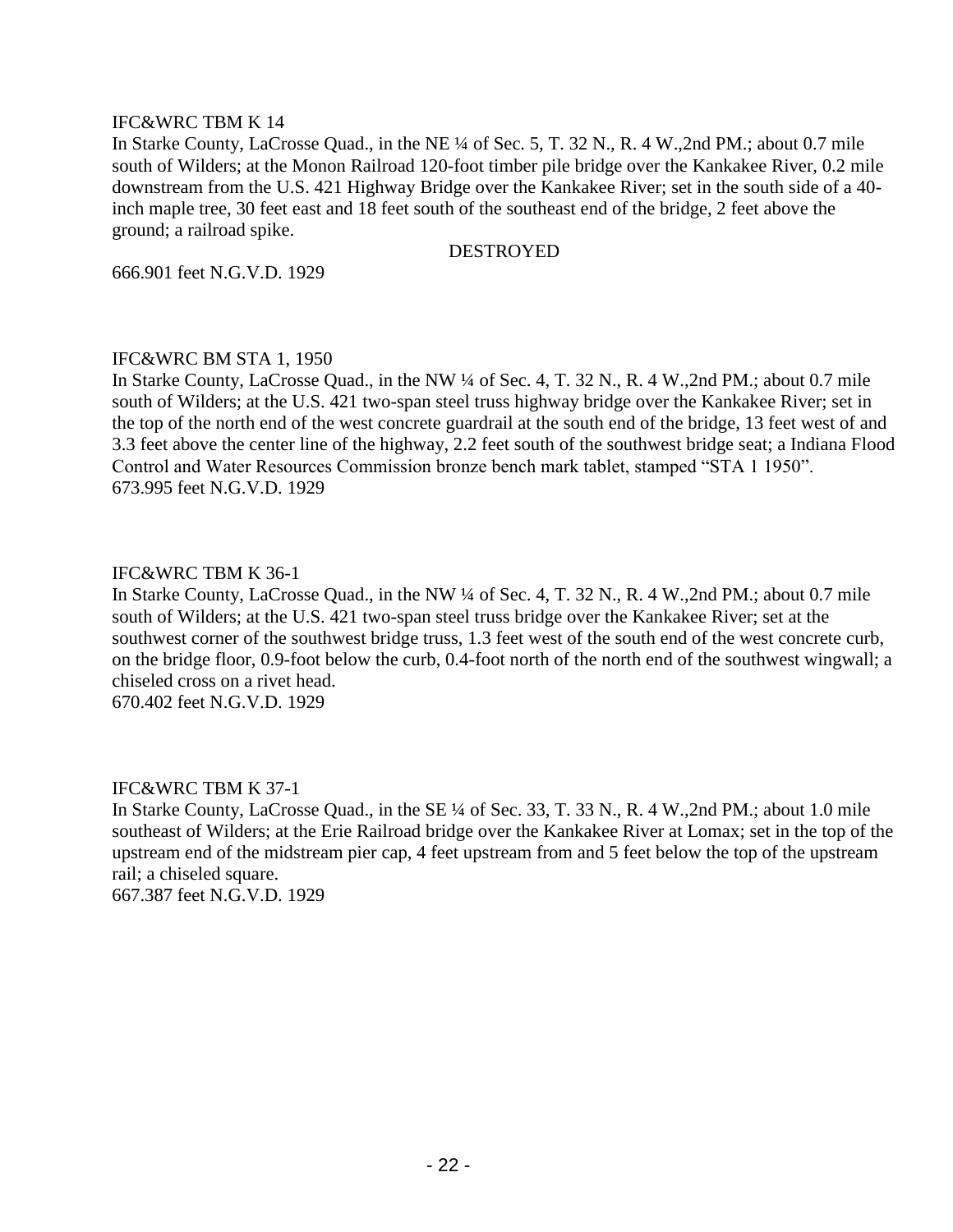# IFC&WRC TBM K 14

In Starke County, LaCrosse Quad., in the NE ¼ of Sec. 5, T. 32 N., R. 4 W.,2nd PM.; about 0.7 mile south of Wilders; at the Monon Railroad 120-foot timber pile bridge over the Kankakee River, 0.2 mile downstream from the U.S. 421 Highway Bridge over the Kankakee River; set in the south side of a 40 inch maple tree, 30 feet east and 18 feet south of the southeast end of the bridge, 2 feet above the ground; a railroad spike.

#### DESTROYED

666.901 feet N.G.V.D. 1929

#### IFC&WRC BM STA 1, 1950

In Starke County, LaCrosse Quad., in the NW ¼ of Sec. 4, T. 32 N., R. 4 W.,2nd PM.; about 0.7 mile south of Wilders; at the U.S. 421 two-span steel truss highway bridge over the Kankakee River; set in the top of the north end of the west concrete guardrail at the south end of the bridge, 13 feet west of and 3.3 feet above the center line of the highway, 2.2 feet south of the southwest bridge seat; a Indiana Flood Control and Water Resources Commission bronze bench mark tablet, stamped "STA 1 1950". 673.995 feet N.G.V.D. 1929

#### IFC&WRC TBM K 36-1

In Starke County, LaCrosse Quad., in the NW ¼ of Sec. 4, T. 32 N., R. 4 W.,2nd PM.; about 0.7 mile south of Wilders; at the U.S. 421 two-span steel truss bridge over the Kankakee River; set at the southwest corner of the southwest bridge truss, 1.3 feet west of the south end of the west concrete curb, on the bridge floor, 0.9-foot below the curb, 0.4-foot north of the north end of the southwest wingwall; a chiseled cross on a rivet head.

670.402 feet N.G.V.D. 1929

# IFC&WRC TBM K 37-1

In Starke County, LaCrosse Quad., in the SE ¼ of Sec. 33, T. 33 N., R. 4 W.,2nd PM.; about 1.0 mile southeast of Wilders; at the Erie Railroad bridge over the Kankakee River at Lomax; set in the top of the upstream end of the midstream pier cap, 4 feet upstream from and 5 feet below the top of the upstream rail; a chiseled square.

667.387 feet N.G.V.D. 1929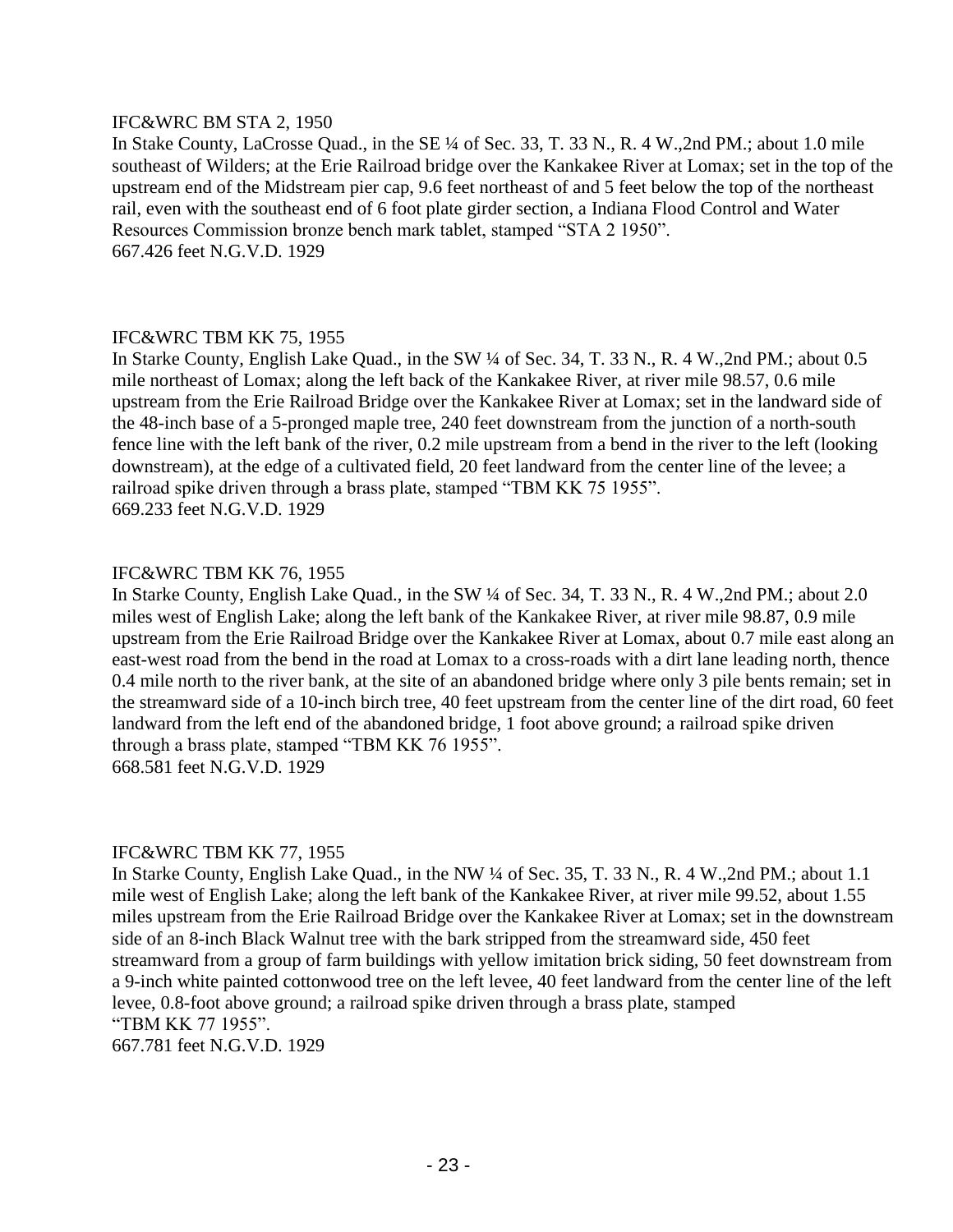#### IFC&WRC BM STA 2, 1950

In Stake County, LaCrosse Quad., in the SE ¼ of Sec. 33, T. 33 N., R. 4 W.,2nd PM.; about 1.0 mile southeast of Wilders; at the Erie Railroad bridge over the Kankakee River at Lomax; set in the top of the upstream end of the Midstream pier cap, 9.6 feet northeast of and 5 feet below the top of the northeast rail, even with the southeast end of 6 foot plate girder section, a Indiana Flood Control and Water Resources Commission bronze bench mark tablet, stamped "STA 2 1950". 667.426 feet N.G.V.D. 1929

# IFC&WRC TBM KK 75, 1955

In Starke County, English Lake Quad., in the SW ¼ of Sec. 34, T. 33 N., R. 4 W.,2nd PM.; about 0.5 mile northeast of Lomax; along the left back of the Kankakee River, at river mile 98.57, 0.6 mile upstream from the Erie Railroad Bridge over the Kankakee River at Lomax; set in the landward side of the 48-inch base of a 5-pronged maple tree, 240 feet downstream from the junction of a north-south fence line with the left bank of the river, 0.2 mile upstream from a bend in the river to the left (looking downstream), at the edge of a cultivated field, 20 feet landward from the center line of the levee; a railroad spike driven through a brass plate, stamped "TBM KK 75 1955". 669.233 feet N.G.V.D. 1929

# IFC&WRC TBM KK 76, 1955

In Starke County, English Lake Quad., in the SW ¼ of Sec. 34, T. 33 N., R. 4 W.,2nd PM.; about 2.0 miles west of English Lake; along the left bank of the Kankakee River, at river mile 98.87, 0.9 mile upstream from the Erie Railroad Bridge over the Kankakee River at Lomax, about 0.7 mile east along an east-west road from the bend in the road at Lomax to a cross-roads with a dirt lane leading north, thence 0.4 mile north to the river bank, at the site of an abandoned bridge where only 3 pile bents remain; set in the streamward side of a 10-inch birch tree, 40 feet upstream from the center line of the dirt road, 60 feet landward from the left end of the abandoned bridge, 1 foot above ground; a railroad spike driven through a brass plate, stamped "TBM KK 76 1955". 668.581 feet N.G.V.D. 1929

#### IFC&WRC TBM KK 77, 1955

In Starke County, English Lake Quad., in the NW ¼ of Sec. 35, T. 33 N., R. 4 W.,2nd PM.; about 1.1 mile west of English Lake; along the left bank of the Kankakee River, at river mile 99.52, about 1.55 miles upstream from the Erie Railroad Bridge over the Kankakee River at Lomax; set in the downstream side of an 8-inch Black Walnut tree with the bark stripped from the streamward side, 450 feet streamward from a group of farm buildings with yellow imitation brick siding, 50 feet downstream from a 9-inch white painted cottonwood tree on the left levee, 40 feet landward from the center line of the left levee, 0.8-foot above ground; a railroad spike driven through a brass plate, stamped "TBM KK 77 1955".

667.781 feet N.G.V.D. 1929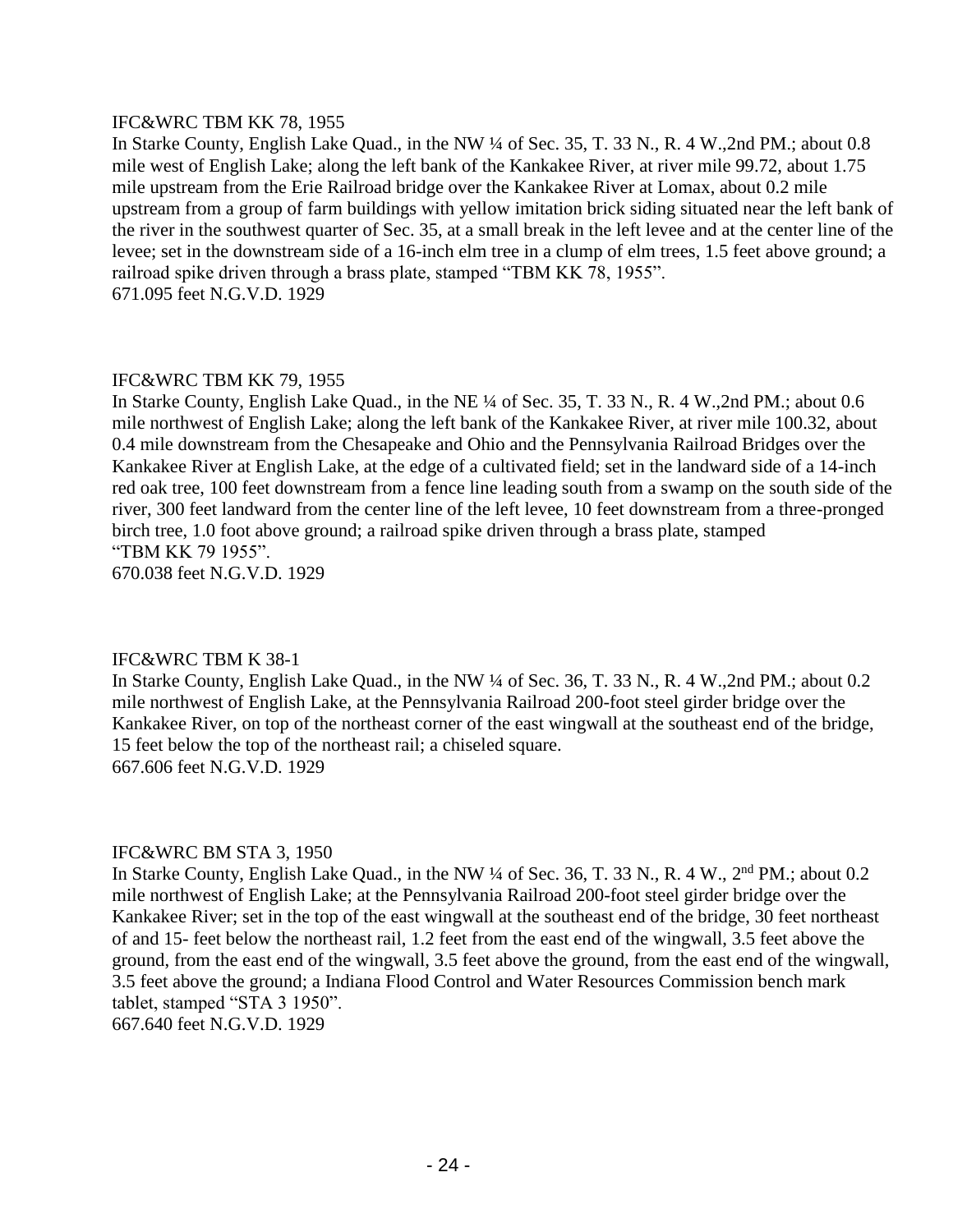# IFC&WRC TBM KK 78, 1955

In Starke County, English Lake Quad., in the NW ¼ of Sec. 35, T. 33 N., R. 4 W., 2nd PM.; about 0.8 mile west of English Lake; along the left bank of the Kankakee River, at river mile 99.72, about 1.75 mile upstream from the Erie Railroad bridge over the Kankakee River at Lomax, about 0.2 mile upstream from a group of farm buildings with yellow imitation brick siding situated near the left bank of the river in the southwest quarter of Sec. 35, at a small break in the left levee and at the center line of the levee; set in the downstream side of a 16-inch elm tree in a clump of elm trees, 1.5 feet above ground; a railroad spike driven through a brass plate, stamped "TBM KK 78, 1955". 671.095 feet N.G.V.D. 1929

# IFC&WRC TBM KK 79, 1955

In Starke County, English Lake Quad., in the NE ¼ of Sec. 35, T. 33 N., R. 4 W.,2nd PM.; about 0.6 mile northwest of English Lake; along the left bank of the Kankakee River, at river mile 100.32, about 0.4 mile downstream from the Chesapeake and Ohio and the Pennsylvania Railroad Bridges over the Kankakee River at English Lake, at the edge of a cultivated field; set in the landward side of a 14-inch red oak tree, 100 feet downstream from a fence line leading south from a swamp on the south side of the river, 300 feet landward from the center line of the left levee, 10 feet downstream from a three-pronged birch tree, 1.0 foot above ground; a railroad spike driven through a brass plate, stamped "TBM KK 79 1955".

670.038 feet N.G.V.D. 1929

# IFC&WRC TBM K 38-1

In Starke County, English Lake Quad., in the NW ¼ of Sec. 36, T. 33 N., R. 4 W., 2nd PM.; about 0.2 mile northwest of English Lake, at the Pennsylvania Railroad 200-foot steel girder bridge over the Kankakee River, on top of the northeast corner of the east wingwall at the southeast end of the bridge, 15 feet below the top of the northeast rail; a chiseled square. 667.606 feet N.G.V.D. 1929

# IFC&WRC BM STA 3, 1950

In Starke County, English Lake Quad., in the NW ¼ of Sec. 36, T. 33 N., R. 4 W., 2<sup>nd</sup> PM.; about 0.2 mile northwest of English Lake; at the Pennsylvania Railroad 200-foot steel girder bridge over the Kankakee River; set in the top of the east wingwall at the southeast end of the bridge, 30 feet northeast of and 15- feet below the northeast rail, 1.2 feet from the east end of the wingwall, 3.5 feet above the ground, from the east end of the wingwall, 3.5 feet above the ground, from the east end of the wingwall, 3.5 feet above the ground; a Indiana Flood Control and Water Resources Commission bench mark tablet, stamped "STA 3 1950".

667.640 feet N.G.V.D. 1929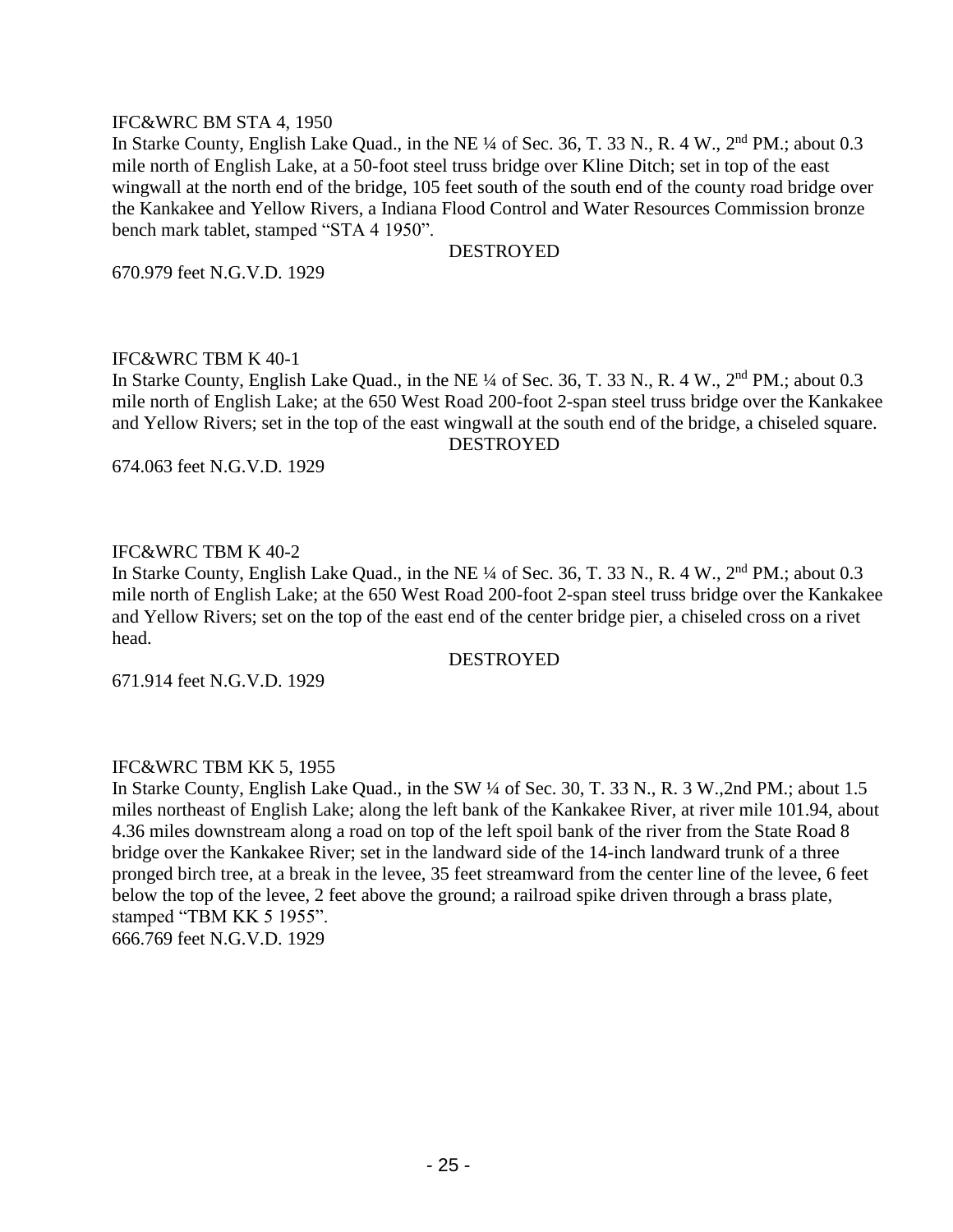#### IFC&WRC BM STA 4, 1950

In Starke County, English Lake Quad., in the NE  $\frac{1}{4}$  of Sec. 36, T. 33 N., R. 4 W., 2<sup>nd</sup> PM.; about 0.3 mile north of English Lake, at a 50-foot steel truss bridge over Kline Ditch; set in top of the east wingwall at the north end of the bridge, 105 feet south of the south end of the county road bridge over the Kankakee and Yellow Rivers, a Indiana Flood Control and Water Resources Commission bronze bench mark tablet, stamped "STA 4 1950".

#### **DESTROYED**

670.979 feet N.G.V.D. 1929

#### IFC&WRC TBM K 40-1

In Starke County, English Lake Quad., in the NE ¼ of Sec. 36, T. 33 N., R. 4 W., 2<sup>nd</sup> PM.; about 0.3 mile north of English Lake; at the 650 West Road 200-foot 2-span steel truss bridge over the Kankakee and Yellow Rivers; set in the top of the east wingwall at the south end of the bridge, a chiseled square. DESTROYED

674.063 feet N.G.V.D. 1929

# IFC&WRC TBM K 40-2

In Starke County, English Lake Quad., in the NE ¼ of Sec. 36, T. 33 N., R. 4 W., 2<sup>nd</sup> PM.; about 0.3 mile north of English Lake; at the 650 West Road 200-foot 2-span steel truss bridge over the Kankakee and Yellow Rivers; set on the top of the east end of the center bridge pier, a chiseled cross on a rivet head.

# DESTROYED

671.914 feet N.G.V.D. 1929

#### IFC&WRC TBM KK 5, 1955

In Starke County, English Lake Quad., in the SW ¼ of Sec. 30, T. 33 N., R. 3 W.,2nd PM.; about 1.5 miles northeast of English Lake; along the left bank of the Kankakee River, at river mile 101.94, about 4.36 miles downstream along a road on top of the left spoil bank of the river from the State Road 8 bridge over the Kankakee River; set in the landward side of the 14-inch landward trunk of a three pronged birch tree, at a break in the levee, 35 feet streamward from the center line of the levee, 6 feet below the top of the levee, 2 feet above the ground; a railroad spike driven through a brass plate, stamped "TBM KK 5 1955". 666.769 feet N.G.V.D. 1929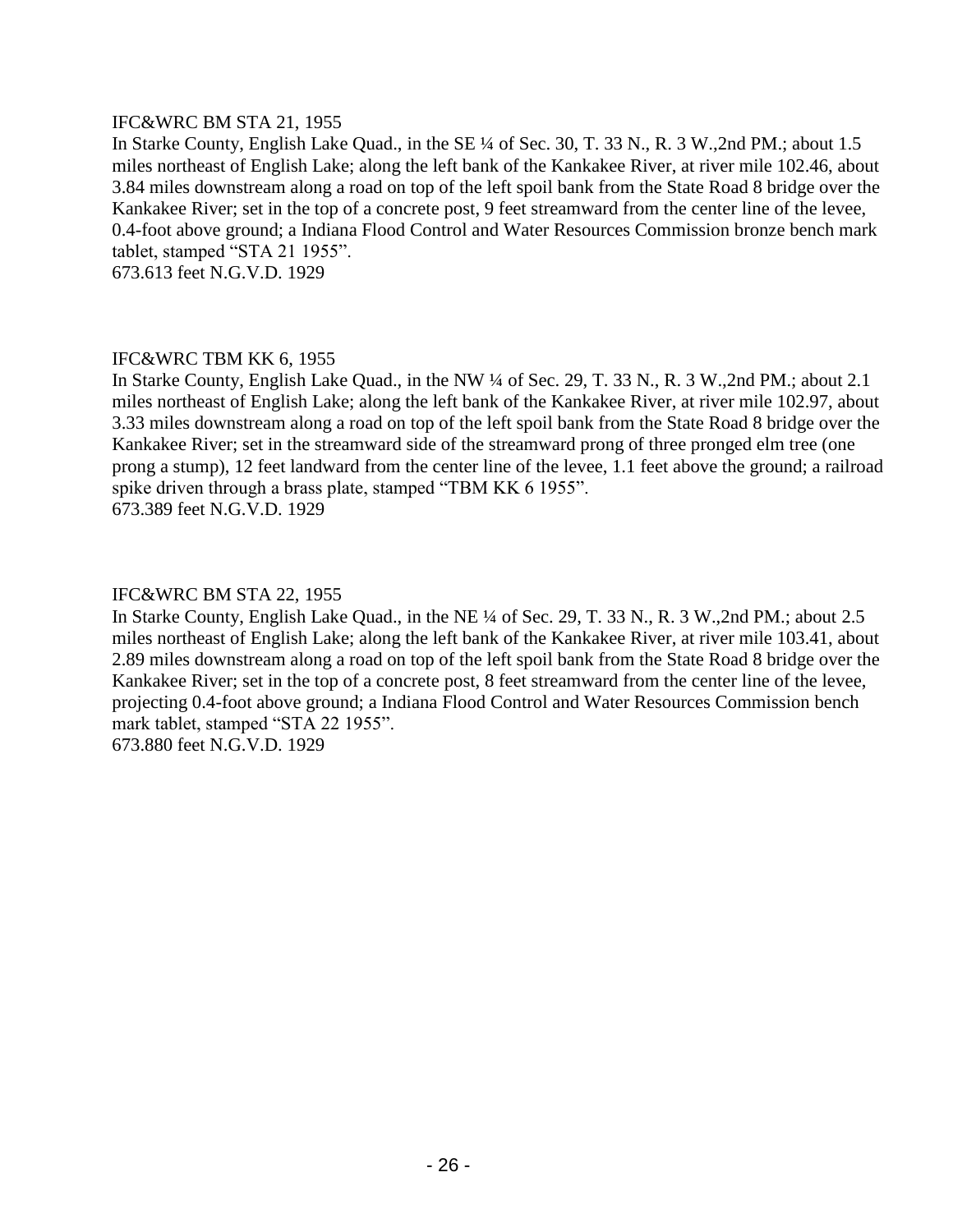# IFC&WRC BM STA 21, 1955

In Starke County, English Lake Quad., in the SE ¼ of Sec. 30, T. 33 N., R. 3 W.,2nd PM.; about 1.5 miles northeast of English Lake; along the left bank of the Kankakee River, at river mile 102.46, about 3.84 miles downstream along a road on top of the left spoil bank from the State Road 8 bridge over the Kankakee River; set in the top of a concrete post, 9 feet streamward from the center line of the levee, 0.4-foot above ground; a Indiana Flood Control and Water Resources Commission bronze bench mark tablet, stamped "STA 21 1955".

673.613 feet N.G.V.D. 1929

# IFC&WRC TBM KK 6, 1955

In Starke County, English Lake Quad., in the NW ¼ of Sec. 29, T. 33 N., R. 3 W.,2nd PM.; about 2.1 miles northeast of English Lake; along the left bank of the Kankakee River, at river mile 102.97, about 3.33 miles downstream along a road on top of the left spoil bank from the State Road 8 bridge over the Kankakee River; set in the streamward side of the streamward prong of three pronged elm tree (one prong a stump), 12 feet landward from the center line of the levee, 1.1 feet above the ground; a railroad spike driven through a brass plate, stamped "TBM KK 6 1955". 673.389 feet N.G.V.D. 1929

#### IFC&WRC BM STA 22, 1955

In Starke County, English Lake Quad., in the NE ¼ of Sec. 29, T. 33 N., R. 3 W.,2nd PM.; about 2.5 miles northeast of English Lake; along the left bank of the Kankakee River, at river mile 103.41, about 2.89 miles downstream along a road on top of the left spoil bank from the State Road 8 bridge over the Kankakee River; set in the top of a concrete post, 8 feet streamward from the center line of the levee, projecting 0.4-foot above ground; a Indiana Flood Control and Water Resources Commission bench mark tablet, stamped "STA 22 1955". 673.880 feet N.G.V.D. 1929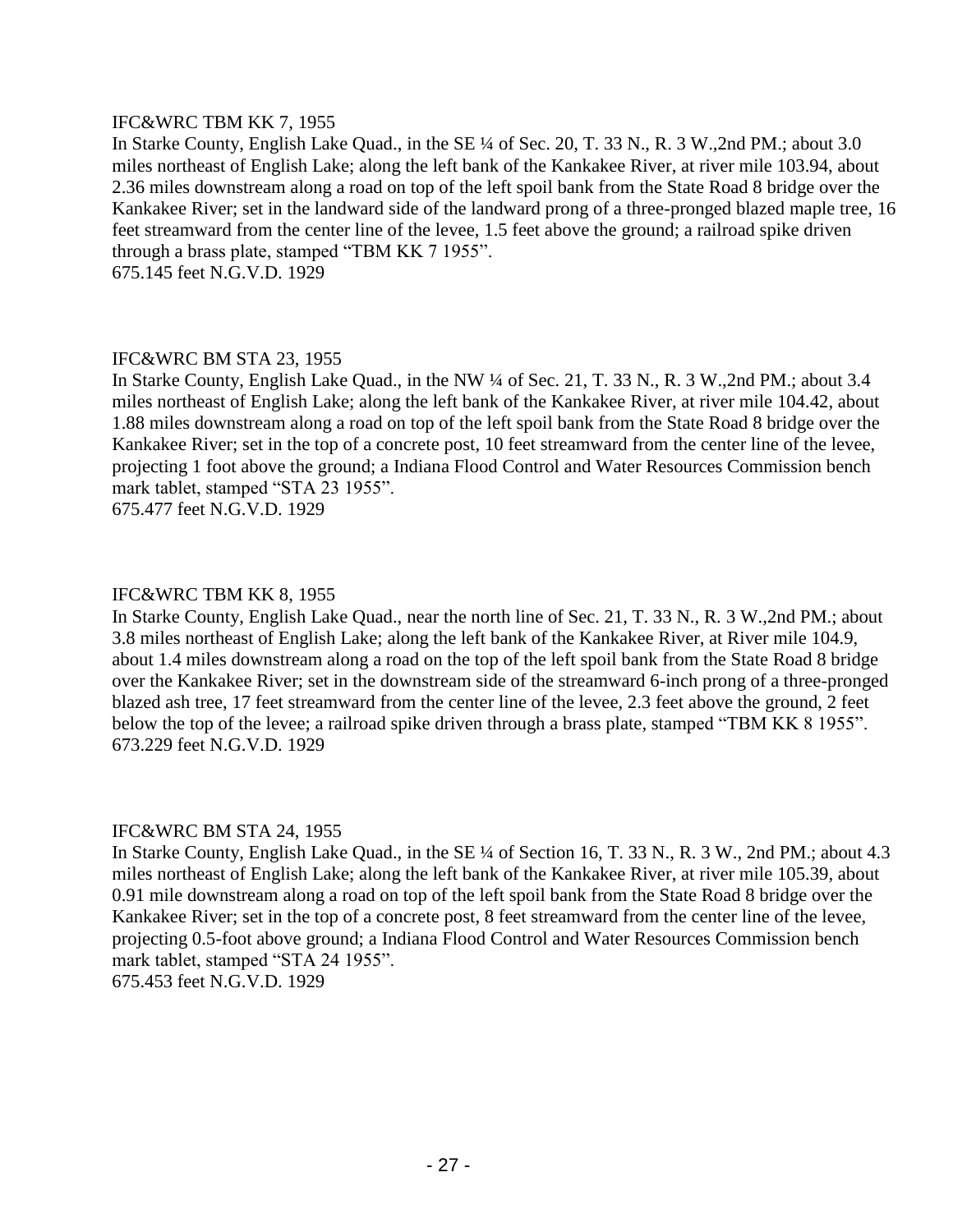# IFC&WRC TBM KK 7, 1955

In Starke County, English Lake Quad., in the SE ¼ of Sec. 20, T. 33 N., R. 3 W.,2nd PM.; about 3.0 miles northeast of English Lake; along the left bank of the Kankakee River, at river mile 103.94, about 2.36 miles downstream along a road on top of the left spoil bank from the State Road 8 bridge over the Kankakee River; set in the landward side of the landward prong of a three-pronged blazed maple tree, 16 feet streamward from the center line of the levee, 1.5 feet above the ground; a railroad spike driven through a brass plate, stamped "TBM KK 7 1955".

675.145 feet N.G.V.D. 1929

# IFC&WRC BM STA 23, 1955

In Starke County, English Lake Quad., in the NW ¼ of Sec. 21, T. 33 N., R. 3 W.,2nd PM.; about 3.4 miles northeast of English Lake; along the left bank of the Kankakee River, at river mile 104.42, about 1.88 miles downstream along a road on top of the left spoil bank from the State Road 8 bridge over the Kankakee River; set in the top of a concrete post, 10 feet streamward from the center line of the levee, projecting 1 foot above the ground; a Indiana Flood Control and Water Resources Commission bench mark tablet, stamped "STA 23 1955".

675.477 feet N.G.V.D. 1929

# IFC&WRC TBM KK 8, 1955

In Starke County, English Lake Quad., near the north line of Sec. 21, T. 33 N., R. 3 W.,2nd PM.; about 3.8 miles northeast of English Lake; along the left bank of the Kankakee River, at River mile 104.9, about 1.4 miles downstream along a road on the top of the left spoil bank from the State Road 8 bridge over the Kankakee River; set in the downstream side of the streamward 6-inch prong of a three-pronged blazed ash tree, 17 feet streamward from the center line of the levee, 2.3 feet above the ground, 2 feet below the top of the levee; a railroad spike driven through a brass plate, stamped "TBM KK 8 1955". 673.229 feet N.G.V.D. 1929

# IFC&WRC BM STA 24, 1955

In Starke County, English Lake Quad., in the SE ¼ of Section 16, T. 33 N., R. 3 W., 2nd PM.; about 4.3 miles northeast of English Lake; along the left bank of the Kankakee River, at river mile 105.39, about 0.91 mile downstream along a road on top of the left spoil bank from the State Road 8 bridge over the Kankakee River; set in the top of a concrete post, 8 feet streamward from the center line of the levee, projecting 0.5-foot above ground; a Indiana Flood Control and Water Resources Commission bench mark tablet, stamped "STA 24 1955".

675.453 feet N.G.V.D. 1929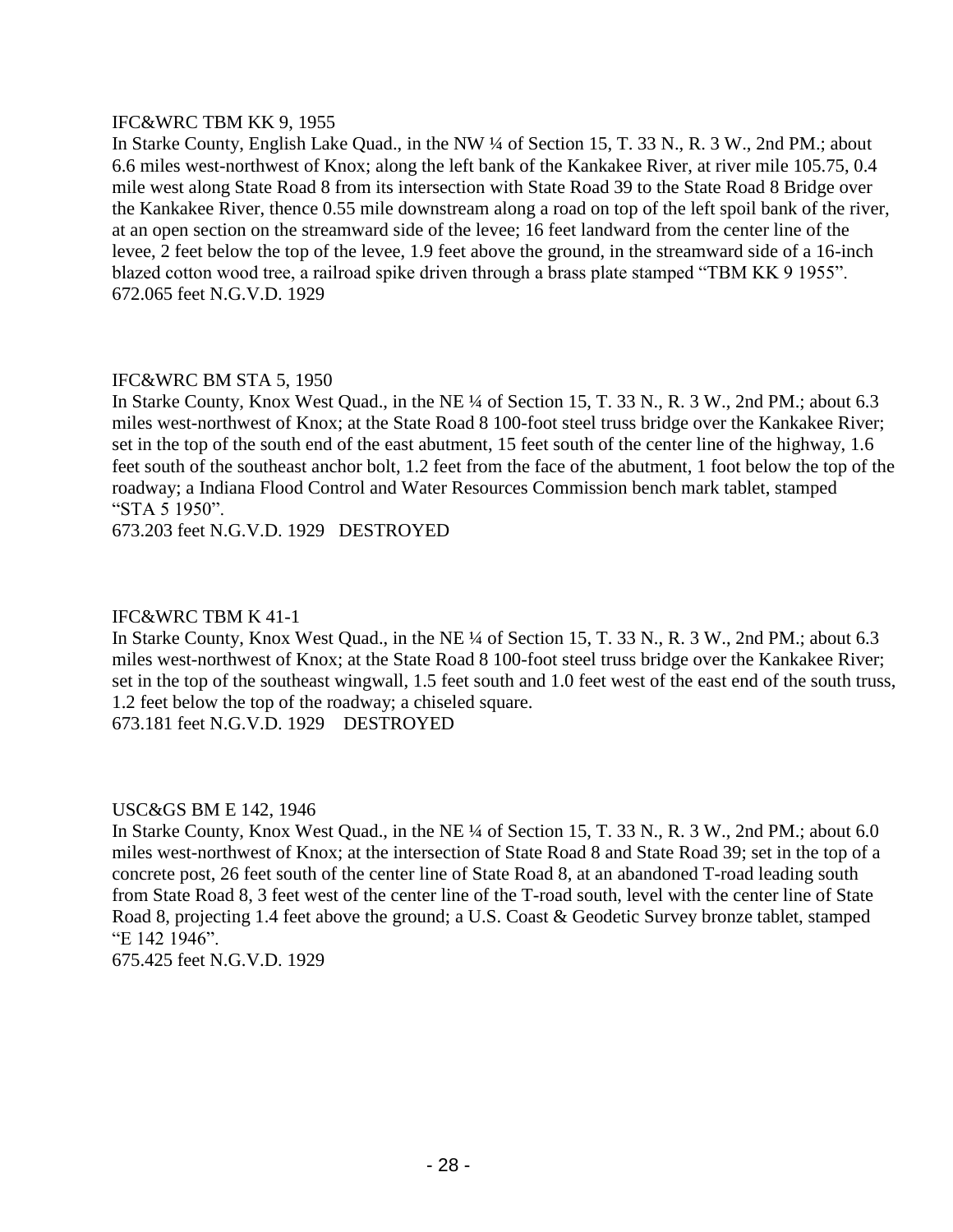# IFC&WRC TBM KK 9, 1955

In Starke County, English Lake Quad., in the NW ¼ of Section 15, T. 33 N., R. 3 W., 2nd PM.; about 6.6 miles west-northwest of Knox; along the left bank of the Kankakee River, at river mile 105.75, 0.4 mile west along State Road 8 from its intersection with State Road 39 to the State Road 8 Bridge over the Kankakee River, thence 0.55 mile downstream along a road on top of the left spoil bank of the river, at an open section on the streamward side of the levee; 16 feet landward from the center line of the levee, 2 feet below the top of the levee, 1.9 feet above the ground, in the streamward side of a 16-inch blazed cotton wood tree, a railroad spike driven through a brass plate stamped "TBM KK 9 1955". 672.065 feet N.G.V.D. 1929

# IFC&WRC BM STA 5, 1950

In Starke County, Knox West Quad., in the NE ¼ of Section 15, T. 33 N., R. 3 W., 2nd PM.; about 6.3 miles west-northwest of Knox; at the State Road 8 100-foot steel truss bridge over the Kankakee River; set in the top of the south end of the east abutment, 15 feet south of the center line of the highway, 1.6 feet south of the southeast anchor bolt, 1.2 feet from the face of the abutment, 1 foot below the top of the roadway; a Indiana Flood Control and Water Resources Commission bench mark tablet, stamped "STA 5 1950".

673.203 feet N.G.V.D. 1929 DESTROYED

# IFC&WRC TBM K 41-1

In Starke County, Knox West Quad., in the NE ¼ of Section 15, T. 33 N., R. 3 W., 2nd PM.; about 6.3 miles west-northwest of Knox; at the State Road 8 100-foot steel truss bridge over the Kankakee River; set in the top of the southeast wingwall, 1.5 feet south and 1.0 feet west of the east end of the south truss, 1.2 feet below the top of the roadway; a chiseled square.

673.181 feet N.G.V.D. 1929 DESTROYED

# USC&GS BM E 142, 1946

In Starke County, Knox West Quad., in the NE ¼ of Section 15, T. 33 N., R. 3 W., 2nd PM.; about 6.0 miles west-northwest of Knox; at the intersection of State Road 8 and State Road 39; set in the top of a concrete post, 26 feet south of the center line of State Road 8, at an abandoned T-road leading south from State Road 8, 3 feet west of the center line of the T-road south, level with the center line of State Road 8, projecting 1.4 feet above the ground; a U.S. Coast & Geodetic Survey bronze tablet, stamped "E 142 1946".

675.425 feet N.G.V.D. 1929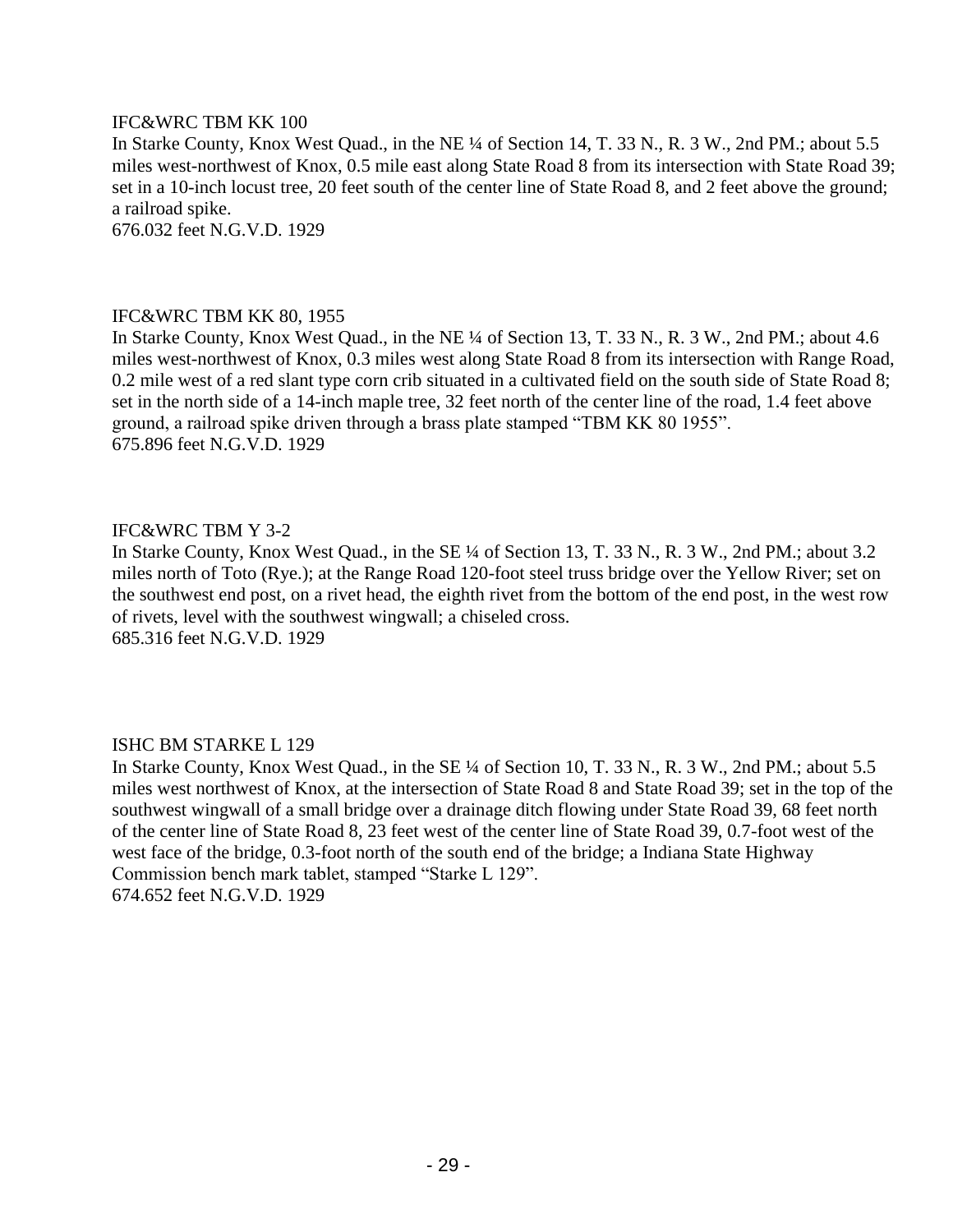# IFC&WRC TBM KK 100

In Starke County, Knox West Quad., in the NE ¼ of Section 14, T. 33 N., R. 3 W., 2nd PM.; about 5.5 miles west-northwest of Knox, 0.5 mile east along State Road 8 from its intersection with State Road 39; set in a 10-inch locust tree, 20 feet south of the center line of State Road 8, and 2 feet above the ground; a railroad spike.

676.032 feet N.G.V.D. 1929

#### IFC&WRC TBM KK 80, 1955

In Starke County, Knox West Quad., in the NE ¼ of Section 13, T. 33 N., R. 3 W., 2nd PM.; about 4.6 miles west-northwest of Knox, 0.3 miles west along State Road 8 from its intersection with Range Road, 0.2 mile west of a red slant type corn crib situated in a cultivated field on the south side of State Road 8; set in the north side of a 14-inch maple tree, 32 feet north of the center line of the road, 1.4 feet above ground, a railroad spike driven through a brass plate stamped "TBM KK 80 1955". 675.896 feet N.G.V.D. 1929

# IFC&WRC TBM Y 3-2

In Starke County, Knox West Quad., in the SE ¼ of Section 13, T. 33 N., R. 3 W., 2nd PM.; about 3.2 miles north of Toto (Rye.); at the Range Road 120-foot steel truss bridge over the Yellow River; set on the southwest end post, on a rivet head, the eighth rivet from the bottom of the end post, in the west row of rivets, level with the southwest wingwall; a chiseled cross. 685.316 feet N.G.V.D. 1929

# ISHC BM STARKE L 129

In Starke County, Knox West Quad., in the SE ¼ of Section 10, T. 33 N., R. 3 W., 2nd PM.; about 5.5 miles west northwest of Knox, at the intersection of State Road 8 and State Road 39; set in the top of the southwest wingwall of a small bridge over a drainage ditch flowing under State Road 39, 68 feet north of the center line of State Road 8, 23 feet west of the center line of State Road 39, 0.7-foot west of the west face of the bridge, 0.3-foot north of the south end of the bridge; a Indiana State Highway Commission bench mark tablet, stamped "Starke L 129". 674.652 feet N.G.V.D. 1929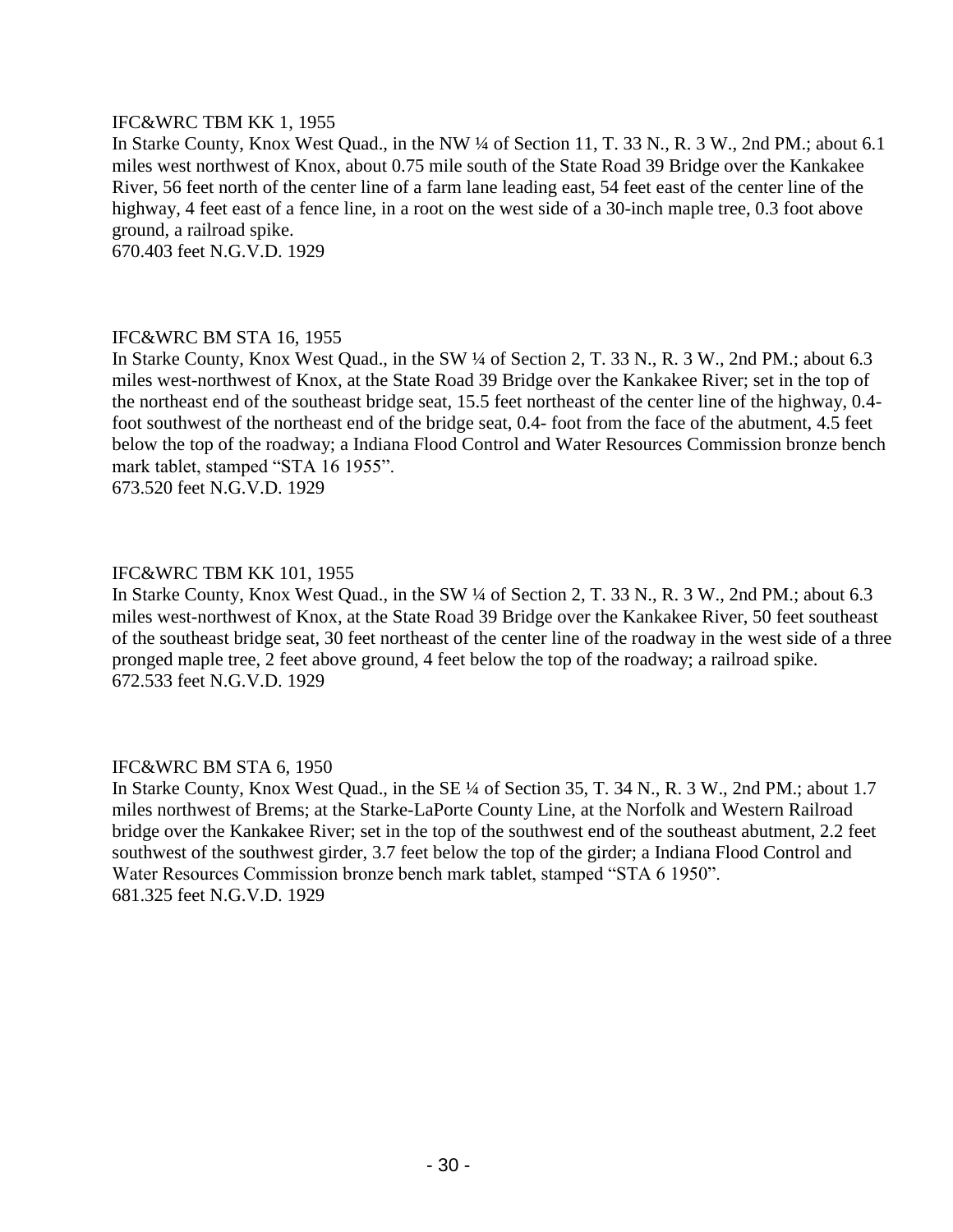# IFC&WRC TBM KK 1, 1955

In Starke County, Knox West Quad., in the NW ¼ of Section 11, T. 33 N., R. 3 W., 2nd PM.; about 6.1 miles west northwest of Knox, about 0.75 mile south of the State Road 39 Bridge over the Kankakee River, 56 feet north of the center line of a farm lane leading east, 54 feet east of the center line of the highway, 4 feet east of a fence line, in a root on the west side of a 30-inch maple tree, 0.3 foot above ground, a railroad spike.

670.403 feet N.G.V.D. 1929

#### IFC&WRC BM STA 16, 1955

In Starke County, Knox West Quad., in the SW ¼ of Section 2, T. 33 N., R. 3 W., 2nd PM.; about 6.3 miles west-northwest of Knox, at the State Road 39 Bridge over the Kankakee River; set in the top of the northeast end of the southeast bridge seat, 15.5 feet northeast of the center line of the highway, 0.4 foot southwest of the northeast end of the bridge seat, 0.4- foot from the face of the abutment, 4.5 feet below the top of the roadway; a Indiana Flood Control and Water Resources Commission bronze bench mark tablet, stamped "STA 16 1955".

673.520 feet N.G.V.D. 1929

# IFC&WRC TBM KK 101, 1955

In Starke County, Knox West Quad., in the SW ¼ of Section 2, T. 33 N., R. 3 W., 2nd PM.; about 6.3 miles west-northwest of Knox, at the State Road 39 Bridge over the Kankakee River, 50 feet southeast of the southeast bridge seat, 30 feet northeast of the center line of the roadway in the west side of a three pronged maple tree, 2 feet above ground, 4 feet below the top of the roadway; a railroad spike. 672.533 feet N.G.V.D. 1929

#### IFC&WRC BM STA 6, 1950

In Starke County, Knox West Quad., in the SE ¼ of Section 35, T. 34 N., R. 3 W., 2nd PM.; about 1.7 miles northwest of Brems; at the Starke-LaPorte County Line, at the Norfolk and Western Railroad bridge over the Kankakee River; set in the top of the southwest end of the southeast abutment, 2.2 feet southwest of the southwest girder, 3.7 feet below the top of the girder; a Indiana Flood Control and Water Resources Commission bronze bench mark tablet, stamped "STA 6 1950". 681.325 feet N.G.V.D. 1929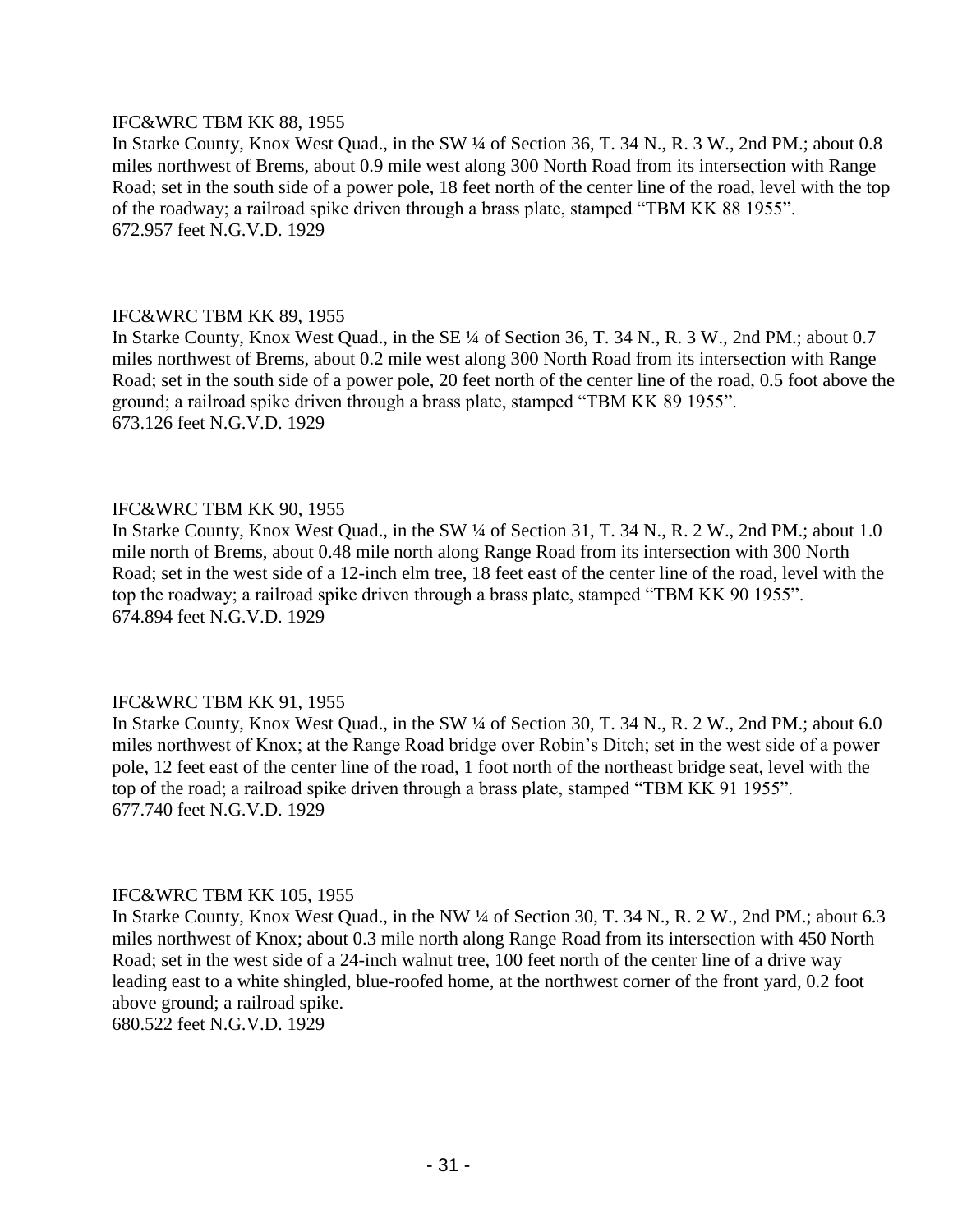#### IFC&WRC TBM KK 88, 1955

In Starke County, Knox West Quad., in the SW ¼ of Section 36, T. 34 N., R. 3 W., 2nd PM.; about 0.8 miles northwest of Brems, about 0.9 mile west along 300 North Road from its intersection with Range Road; set in the south side of a power pole, 18 feet north of the center line of the road, level with the top of the roadway; a railroad spike driven through a brass plate, stamped "TBM KK 88 1955". 672.957 feet N.G.V.D. 1929

# IFC&WRC TBM KK 89, 1955

In Starke County, Knox West Quad., in the SE ¼ of Section 36, T. 34 N., R. 3 W., 2nd PM.; about 0.7 miles northwest of Brems, about 0.2 mile west along 300 North Road from its intersection with Range Road; set in the south side of a power pole, 20 feet north of the center line of the road, 0.5 foot above the ground; a railroad spike driven through a brass plate, stamped "TBM KK 89 1955". 673.126 feet N.G.V.D. 1929

# IFC&WRC TBM KK 90, 1955

In Starke County, Knox West Quad., in the SW ¼ of Section 31, T. 34 N., R. 2 W., 2nd PM.; about 1.0 mile north of Brems, about 0.48 mile north along Range Road from its intersection with 300 North Road; set in the west side of a 12-inch elm tree, 18 feet east of the center line of the road, level with the top the roadway; a railroad spike driven through a brass plate, stamped "TBM KK 90 1955". 674.894 feet N.G.V.D. 1929

# IFC&WRC TBM KK 91, 1955

In Starke County, Knox West Quad., in the SW ¼ of Section 30, T. 34 N., R. 2 W., 2nd PM.; about 6.0 miles northwest of Knox; at the Range Road bridge over Robin's Ditch; set in the west side of a power pole, 12 feet east of the center line of the road, 1 foot north of the northeast bridge seat, level with the top of the road; a railroad spike driven through a brass plate, stamped "TBM KK 91 1955". 677.740 feet N.G.V.D. 1929

# IFC&WRC TBM KK 105, 1955

In Starke County, Knox West Quad., in the NW ¼ of Section 30, T. 34 N., R. 2 W., 2nd PM.; about 6.3 miles northwest of Knox; about 0.3 mile north along Range Road from its intersection with 450 North Road; set in the west side of a 24-inch walnut tree, 100 feet north of the center line of a drive way leading east to a white shingled, blue-roofed home, at the northwest corner of the front yard, 0.2 foot above ground; a railroad spike.

680.522 feet N.G.V.D. 1929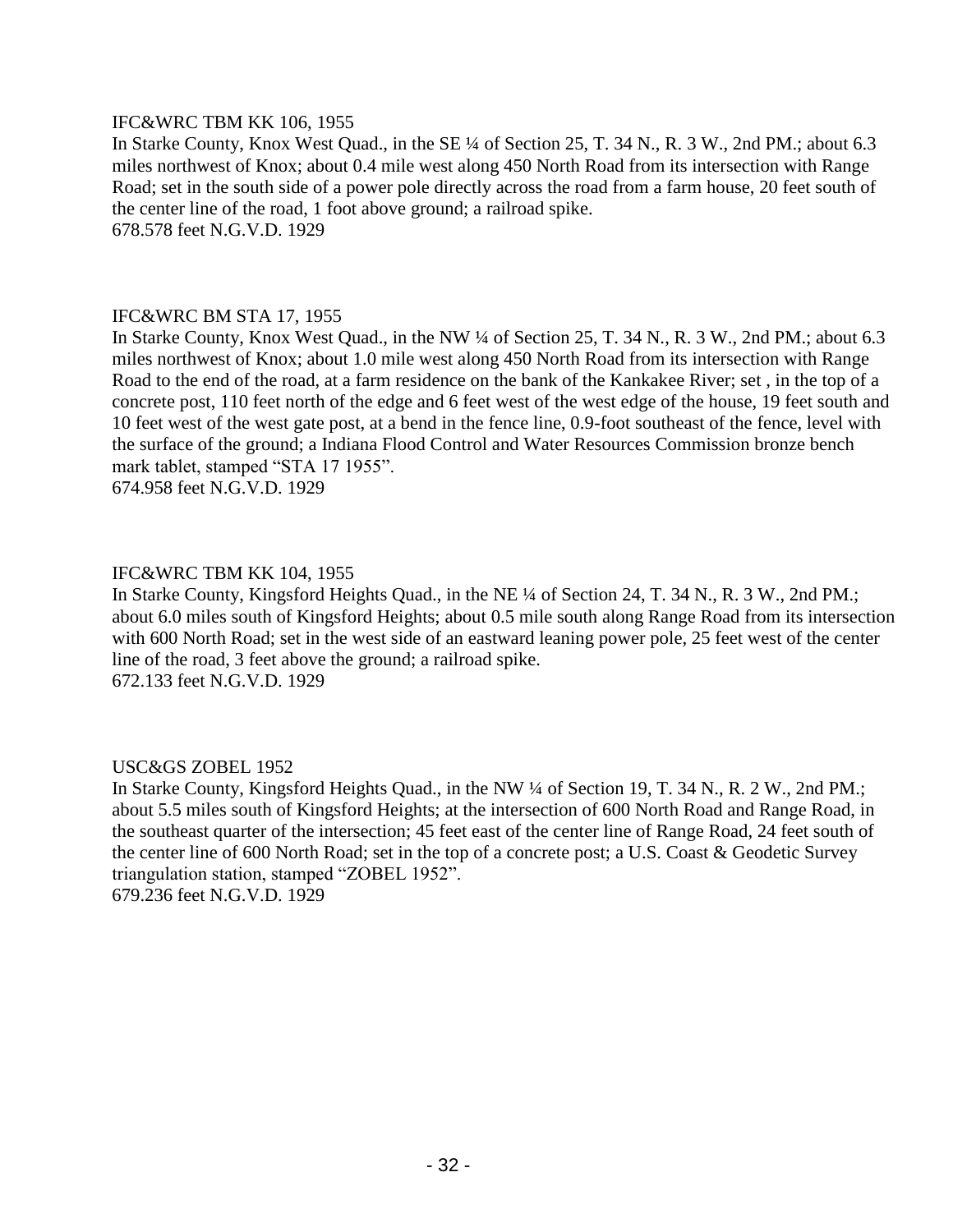# IFC&WRC TBM KK 106, 1955

In Starke County, Knox West Quad., in the SE ¼ of Section 25, T. 34 N., R. 3 W., 2nd PM.; about 6.3 miles northwest of Knox; about 0.4 mile west along 450 North Road from its intersection with Range Road; set in the south side of a power pole directly across the road from a farm house, 20 feet south of the center line of the road, 1 foot above ground; a railroad spike. 678.578 feet N.G.V.D. 1929

# IFC&WRC BM STA 17, 1955

In Starke County, Knox West Quad., in the NW ¼ of Section 25, T. 34 N., R. 3 W., 2nd PM.; about 6.3 miles northwest of Knox; about 1.0 mile west along 450 North Road from its intersection with Range Road to the end of the road, at a farm residence on the bank of the Kankakee River; set , in the top of a concrete post, 110 feet north of the edge and 6 feet west of the west edge of the house, 19 feet south and 10 feet west of the west gate post, at a bend in the fence line, 0.9-foot southeast of the fence, level with the surface of the ground; a Indiana Flood Control and Water Resources Commission bronze bench mark tablet, stamped "STA 17 1955". 674.958 feet N.G.V.D. 1929

# IFC&WRC TBM KK 104, 1955

In Starke County, Kingsford Heights Quad., in the NE ¼ of Section 24, T. 34 N., R. 3 W., 2nd PM.; about 6.0 miles south of Kingsford Heights; about 0.5 mile south along Range Road from its intersection with 600 North Road; set in the west side of an eastward leaning power pole, 25 feet west of the center line of the road, 3 feet above the ground; a railroad spike. 672.133 feet N.G.V.D. 1929

#### USC&GS ZOBEL 1952

In Starke County, Kingsford Heights Quad., in the NW  $\frac{1}{4}$  of Section 19, T. 34 N., R. 2 W., 2nd PM.; about 5.5 miles south of Kingsford Heights; at the intersection of 600 North Road and Range Road, in the southeast quarter of the intersection; 45 feet east of the center line of Range Road, 24 feet south of the center line of 600 North Road; set in the top of a concrete post; a U.S. Coast & Geodetic Survey triangulation station, stamped "ZOBEL 1952". 679.236 feet N.G.V.D. 1929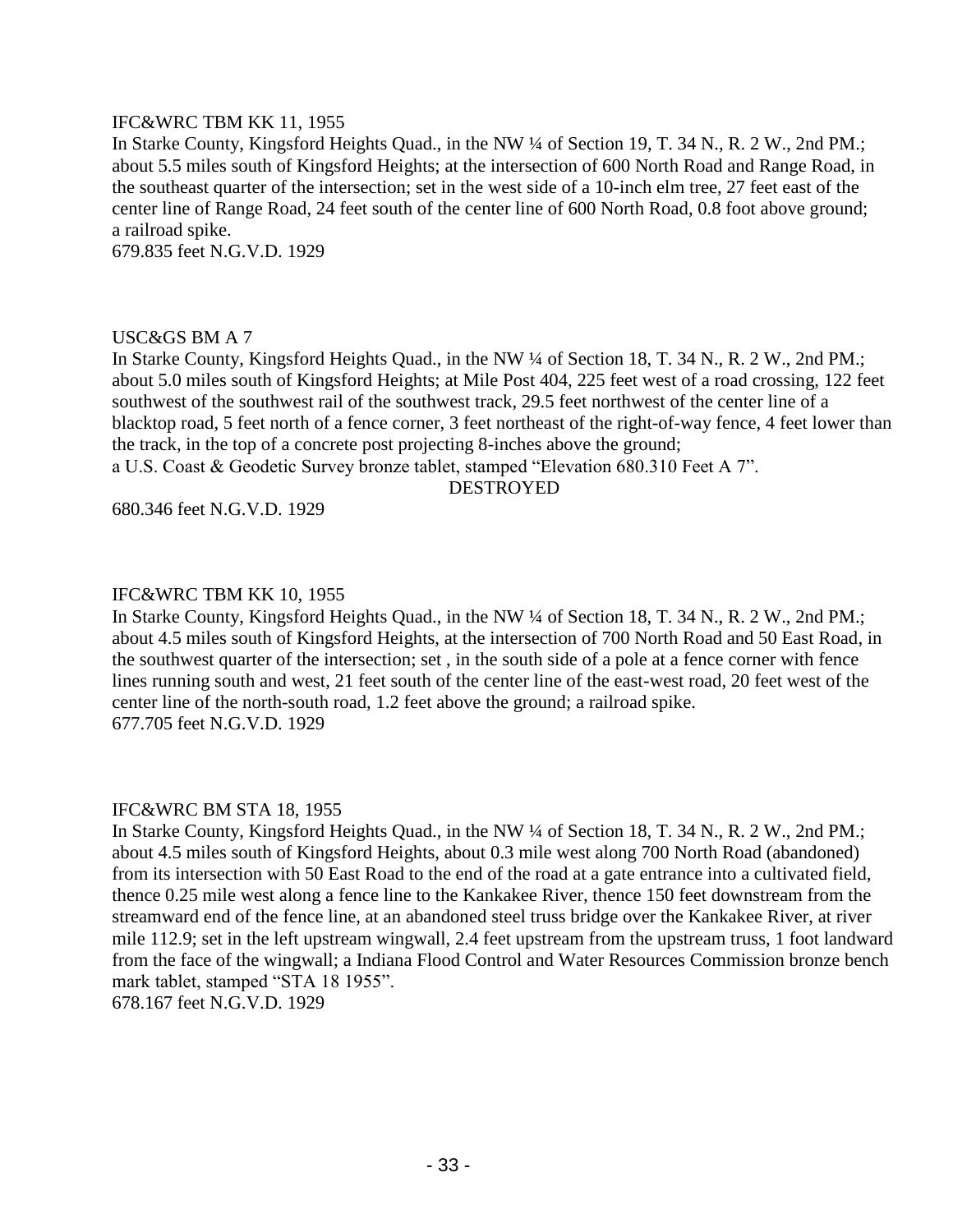# IFC&WRC TBM KK 11, 1955

In Starke County, Kingsford Heights Quad., in the NW ¼ of Section 19, T. 34 N., R. 2 W., 2nd PM.; about 5.5 miles south of Kingsford Heights; at the intersection of 600 North Road and Range Road, in the southeast quarter of the intersection; set in the west side of a 10-inch elm tree, 27 feet east of the center line of Range Road, 24 feet south of the center line of 600 North Road, 0.8 foot above ground; a railroad spike.

679.835 feet N.G.V.D. 1929

#### USC&GS BM A 7

In Starke County, Kingsford Heights Quad., in the NW ¼ of Section 18, T. 34 N., R. 2 W., 2nd PM.; about 5.0 miles south of Kingsford Heights; at Mile Post 404, 225 feet west of a road crossing, 122 feet southwest of the southwest rail of the southwest track, 29.5 feet northwest of the center line of a blacktop road, 5 feet north of a fence corner, 3 feet northeast of the right-of-way fence, 4 feet lower than the track, in the top of a concrete post projecting 8-inches above the ground; a U.S. Coast & Geodetic Survey bronze tablet, stamped "Elevation 680.310 Feet A 7".

DESTROYED

680.346 feet N.G.V.D. 1929

#### IFC&WRC TBM KK 10, 1955

In Starke County, Kingsford Heights Quad., in the NW ¼ of Section 18, T. 34 N., R. 2 W., 2nd PM.; about 4.5 miles south of Kingsford Heights, at the intersection of 700 North Road and 50 East Road, in the southwest quarter of the intersection; set , in the south side of a pole at a fence corner with fence lines running south and west, 21 feet south of the center line of the east-west road, 20 feet west of the center line of the north-south road, 1.2 feet above the ground; a railroad spike. 677.705 feet N.G.V.D. 1929

#### IFC&WRC BM STA 18, 1955

In Starke County, Kingsford Heights Quad., in the NW ¼ of Section 18, T. 34 N., R. 2 W., 2nd PM.; about 4.5 miles south of Kingsford Heights, about 0.3 mile west along 700 North Road (abandoned) from its intersection with 50 East Road to the end of the road at a gate entrance into a cultivated field, thence 0.25 mile west along a fence line to the Kankakee River, thence 150 feet downstream from the streamward end of the fence line, at an abandoned steel truss bridge over the Kankakee River, at river mile 112.9; set in the left upstream wingwall, 2.4 feet upstream from the upstream truss, 1 foot landward from the face of the wingwall; a Indiana Flood Control and Water Resources Commission bronze bench mark tablet, stamped "STA 18 1955". 678.167 feet N.G.V.D. 1929

- 33 -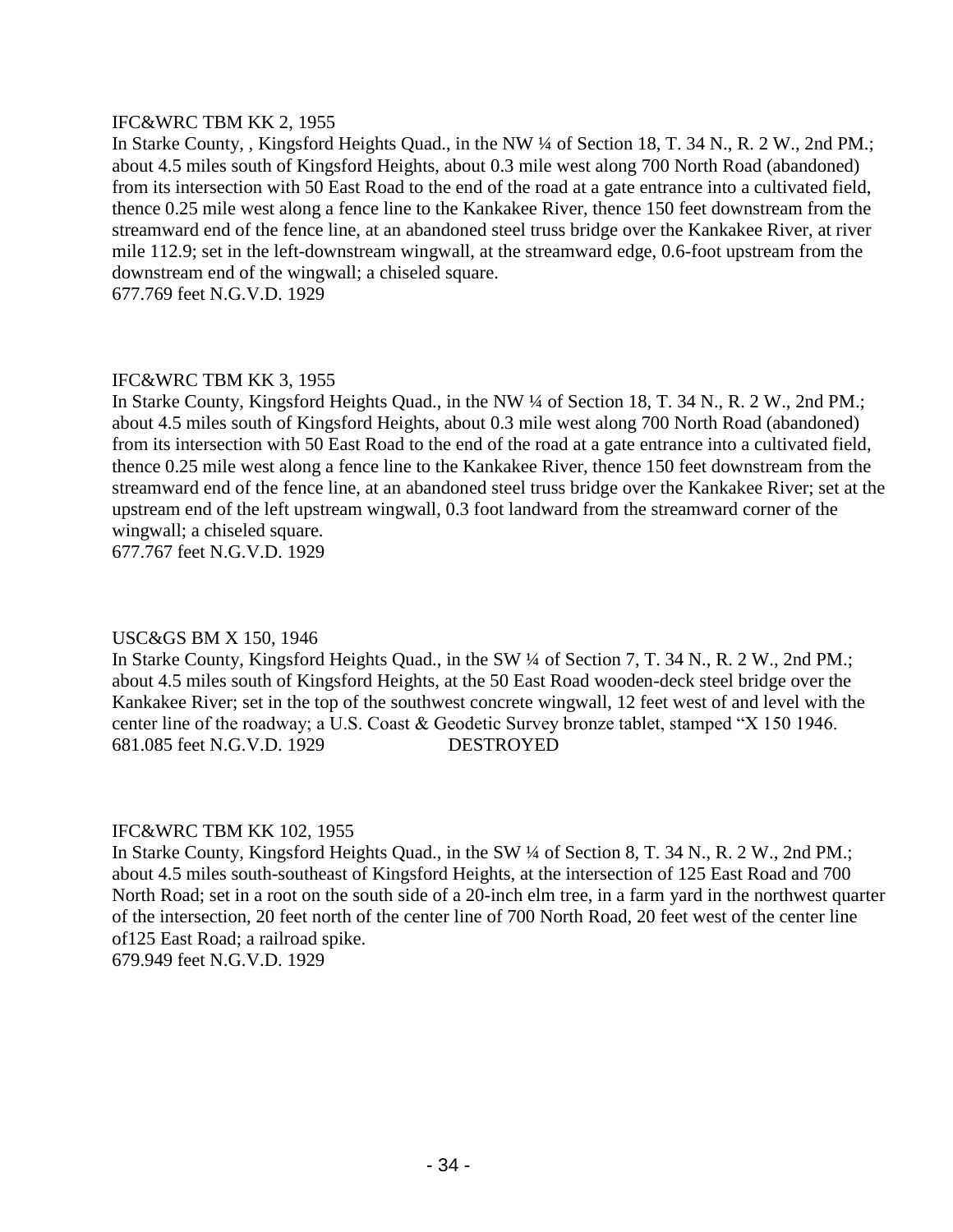# IFC&WRC TBM KK 2, 1955

In Starke County, , Kingsford Heights Quad., in the NW ¼ of Section 18, T. 34 N., R. 2 W., 2nd PM.; about 4.5 miles south of Kingsford Heights, about 0.3 mile west along 700 North Road (abandoned) from its intersection with 50 East Road to the end of the road at a gate entrance into a cultivated field, thence 0.25 mile west along a fence line to the Kankakee River, thence 150 feet downstream from the streamward end of the fence line, at an abandoned steel truss bridge over the Kankakee River, at river mile 112.9; set in the left-downstream wingwall, at the streamward edge, 0.6-foot upstream from the downstream end of the wingwall; a chiseled square.

677.769 feet N.G.V.D. 1929

# IFC&WRC TBM KK 3, 1955

In Starke County, Kingsford Heights Quad., in the NW ¼ of Section 18, T. 34 N., R. 2 W., 2nd PM.; about 4.5 miles south of Kingsford Heights, about 0.3 mile west along 700 North Road (abandoned) from its intersection with 50 East Road to the end of the road at a gate entrance into a cultivated field, thence 0.25 mile west along a fence line to the Kankakee River, thence 150 feet downstream from the streamward end of the fence line, at an abandoned steel truss bridge over the Kankakee River; set at the upstream end of the left upstream wingwall, 0.3 foot landward from the streamward corner of the wingwall; a chiseled square.

677.767 feet N.G.V.D. 1929

# USC&GS BM X 150, 1946

In Starke County, Kingsford Heights Quad., in the SW ¼ of Section 7, T. 34 N., R. 2 W., 2nd PM.; about 4.5 miles south of Kingsford Heights, at the 50 East Road wooden-deck steel bridge over the Kankakee River; set in the top of the southwest concrete wingwall, 12 feet west of and level with the center line of the roadway; a U.S. Coast & Geodetic Survey bronze tablet, stamped "X 150 1946. 681.085 feet N.G.V.D. 1929 DESTROYED

# IFC&WRC TBM KK 102, 1955

In Starke County, Kingsford Heights Quad., in the SW  $\frac{1}{4}$  of Section 8, T. 34 N., R. 2 W., 2nd PM.; about 4.5 miles south-southeast of Kingsford Heights, at the intersection of 125 East Road and 700 North Road; set in a root on the south side of a 20-inch elm tree, in a farm yard in the northwest quarter of the intersection, 20 feet north of the center line of 700 North Road, 20 feet west of the center line of125 East Road; a railroad spike. 679.949 feet N.G.V.D. 1929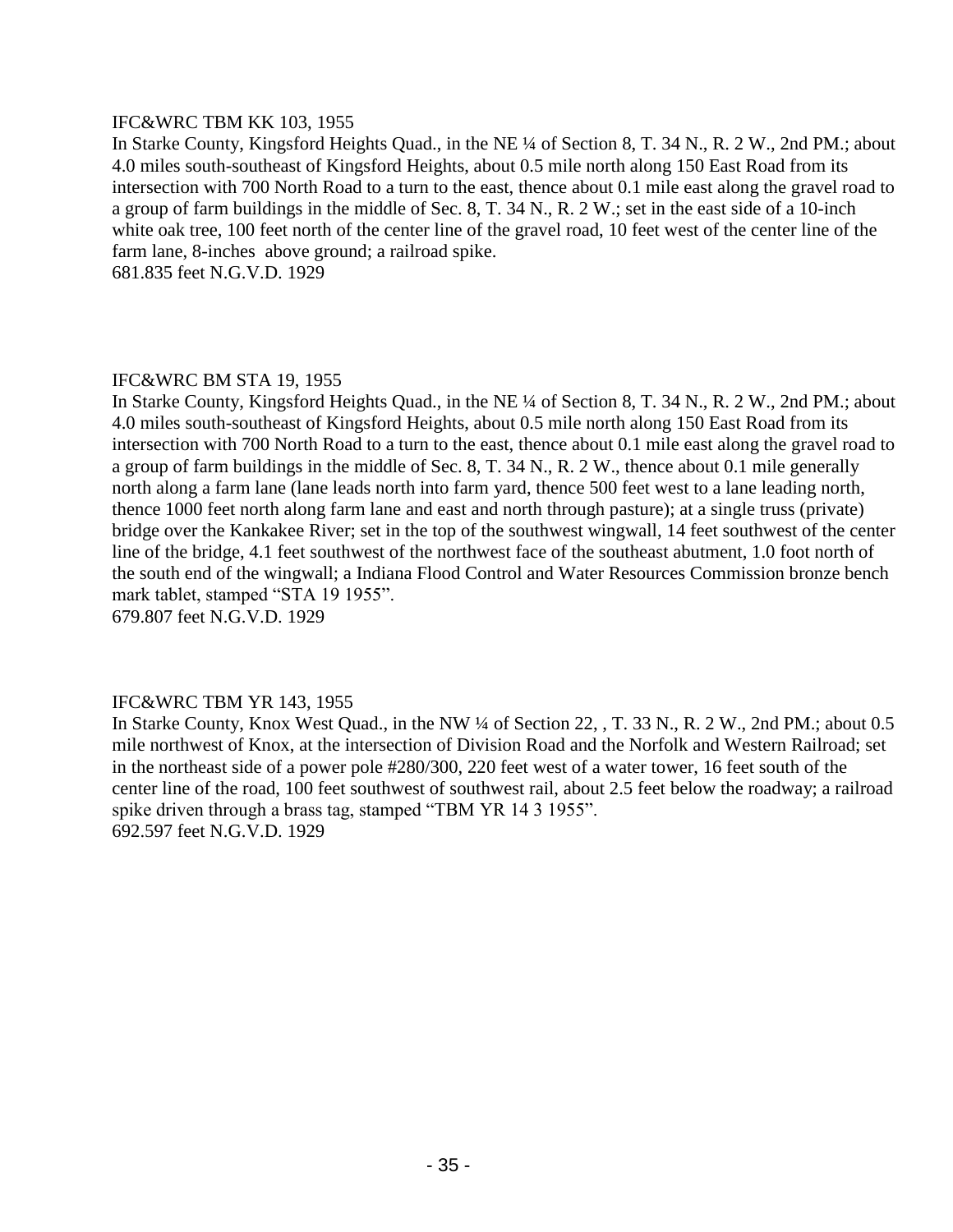# IFC&WRC TBM KK 103, 1955

In Starke County, Kingsford Heights Quad., in the NE ¼ of Section 8, T. 34 N., R. 2 W., 2nd PM.; about 4.0 miles south-southeast of Kingsford Heights, about 0.5 mile north along 150 East Road from its intersection with 700 North Road to a turn to the east, thence about 0.1 mile east along the gravel road to a group of farm buildings in the middle of Sec. 8, T. 34 N., R. 2 W.; set in the east side of a 10-inch white oak tree, 100 feet north of the center line of the gravel road, 10 feet west of the center line of the farm lane, 8-inches above ground; a railroad spike.

681.835 feet N.G.V.D. 1929

# IFC&WRC BM STA 19, 1955

In Starke County, Kingsford Heights Quad., in the NE ¼ of Section 8, T. 34 N., R. 2 W., 2nd PM.; about 4.0 miles south-southeast of Kingsford Heights, about 0.5 mile north along 150 East Road from its intersection with 700 North Road to a turn to the east, thence about 0.1 mile east along the gravel road to a group of farm buildings in the middle of Sec. 8, T. 34 N., R. 2 W., thence about 0.1 mile generally north along a farm lane (lane leads north into farm yard, thence 500 feet west to a lane leading north, thence 1000 feet north along farm lane and east and north through pasture); at a single truss (private) bridge over the Kankakee River; set in the top of the southwest wingwall, 14 feet southwest of the center line of the bridge, 4.1 feet southwest of the northwest face of the southeast abutment, 1.0 foot north of the south end of the wingwall; a Indiana Flood Control and Water Resources Commission bronze bench mark tablet, stamped "STA 19 1955".

679.807 feet N.G.V.D. 1929

# IFC&WRC TBM YR 143, 1955

In Starke County, Knox West Quad., in the NW ¼ of Section 22, , T. 33 N., R. 2 W., 2nd PM.; about 0.5 mile northwest of Knox, at the intersection of Division Road and the Norfolk and Western Railroad; set in the northeast side of a power pole #280/300, 220 feet west of a water tower, 16 feet south of the center line of the road, 100 feet southwest of southwest rail, about 2.5 feet below the roadway; a railroad spike driven through a brass tag, stamped "TBM YR 14 3 1955". 692.597 feet N.G.V.D. 1929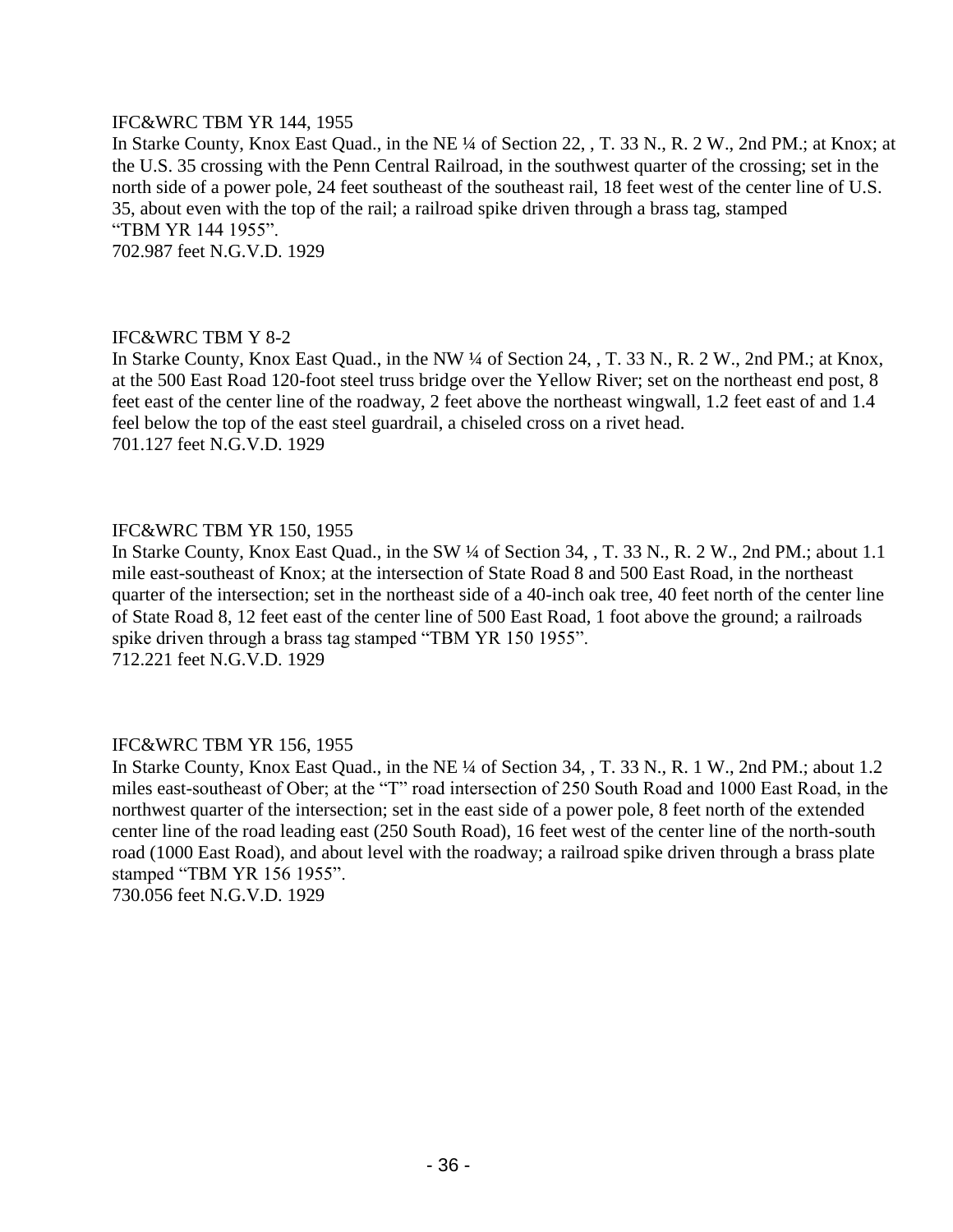# IFC&WRC TBM YR 144, 1955

In Starke County, Knox East Quad., in the NE ¼ of Section 22, , T. 33 N., R. 2 W., 2nd PM.; at Knox; at the U.S. 35 crossing with the Penn Central Railroad, in the southwest quarter of the crossing; set in the north side of a power pole, 24 feet southeast of the southeast rail, 18 feet west of the center line of U.S. 35, about even with the top of the rail; a railroad spike driven through a brass tag, stamped "TBM YR 144 1955". 702.987 feet N.G.V.D. 1929

# IFC&WRC TBM Y 8-2

In Starke County, Knox East Quad., in the NW ¼ of Section 24, , T. 33 N., R. 2 W., 2nd PM.; at Knox, at the 500 East Road 120-foot steel truss bridge over the Yellow River; set on the northeast end post, 8 feet east of the center line of the roadway, 2 feet above the northeast wingwall, 1.2 feet east of and 1.4 feel below the top of the east steel guardrail, a chiseled cross on a rivet head. 701.127 feet N.G.V.D. 1929

# IFC&WRC TBM YR 150, 1955

In Starke County, Knox East Quad., in the SW ¼ of Section 34, , T. 33 N., R. 2 W., 2nd PM.; about 1.1 mile east-southeast of Knox; at the intersection of State Road 8 and 500 East Road, in the northeast quarter of the intersection; set in the northeast side of a 40-inch oak tree, 40 feet north of the center line of State Road 8, 12 feet east of the center line of 500 East Road, 1 foot above the ground; a railroads spike driven through a brass tag stamped "TBM YR 150 1955". 712.221 feet N.G.V.D. 1929

# IFC&WRC TBM YR 156, 1955

In Starke County, Knox East Quad., in the NE ¼ of Section 34, , T. 33 N., R. 1 W., 2nd PM.; about 1.2 miles east-southeast of Ober; at the "T" road intersection of 250 South Road and 1000 East Road, in the northwest quarter of the intersection; set in the east side of a power pole, 8 feet north of the extended center line of the road leading east (250 South Road), 16 feet west of the center line of the north-south road (1000 East Road), and about level with the roadway; a railroad spike driven through a brass plate stamped "TBM YR 156 1955". 730.056 feet N.G.V.D. 1929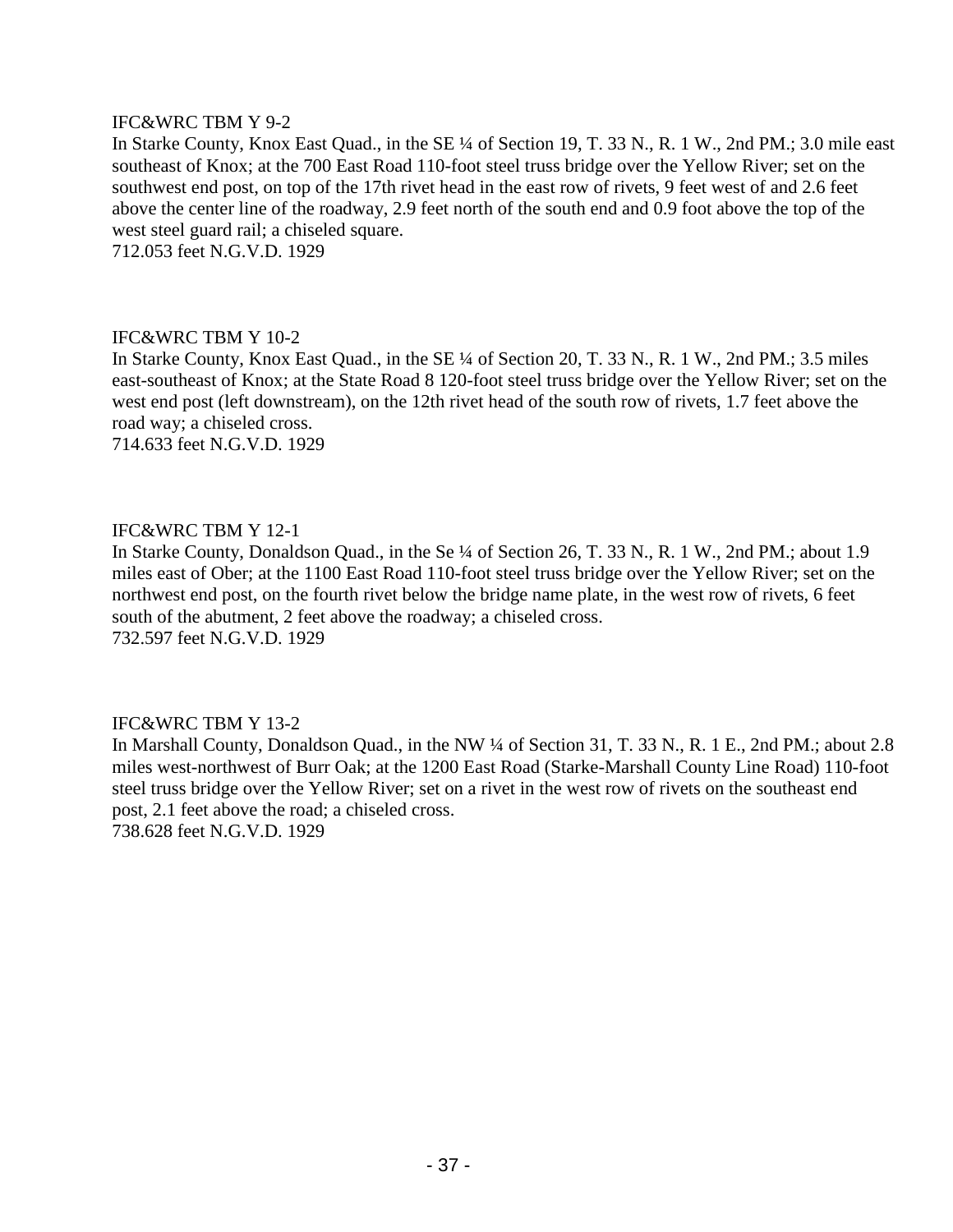# IFC&WRC TBM Y 9-2

In Starke County, Knox East Quad., in the SE ¼ of Section 19, T. 33 N., R. 1 W., 2nd PM.; 3.0 mile east southeast of Knox; at the 700 East Road 110-foot steel truss bridge over the Yellow River; set on the southwest end post, on top of the 17th rivet head in the east row of rivets, 9 feet west of and 2.6 feet above the center line of the roadway, 2.9 feet north of the south end and 0.9 foot above the top of the west steel guard rail; a chiseled square.

712.053 feet N.G.V.D. 1929

#### IFC&WRC TBM Y 10-2

In Starke County, Knox East Quad., in the SE ¼ of Section 20, T. 33 N., R. 1 W., 2nd PM.; 3.5 miles east-southeast of Knox; at the State Road 8 120-foot steel truss bridge over the Yellow River; set on the west end post (left downstream), on the 12th rivet head of the south row of rivets, 1.7 feet above the road way; a chiseled cross.

714.633 feet N.G.V.D. 1929

# IFC&WRC TBM Y 12-1

In Starke County, Donaldson Quad., in the Se ¼ of Section 26, T. 33 N., R. 1 W., 2nd PM.; about 1.9 miles east of Ober; at the 1100 East Road 110-foot steel truss bridge over the Yellow River; set on the northwest end post, on the fourth rivet below the bridge name plate, in the west row of rivets, 6 feet south of the abutment, 2 feet above the roadway; a chiseled cross. 732.597 feet N.G.V.D. 1929

# IFC&WRC TBM Y 13-2

In Marshall County, Donaldson Quad., in the NW ¼ of Section 31, T. 33 N., R. 1 E., 2nd PM.; about 2.8 miles west-northwest of Burr Oak; at the 1200 East Road (Starke-Marshall County Line Road) 110-foot steel truss bridge over the Yellow River; set on a rivet in the west row of rivets on the southeast end post, 2.1 feet above the road; a chiseled cross.

738.628 feet N.G.V.D. 1929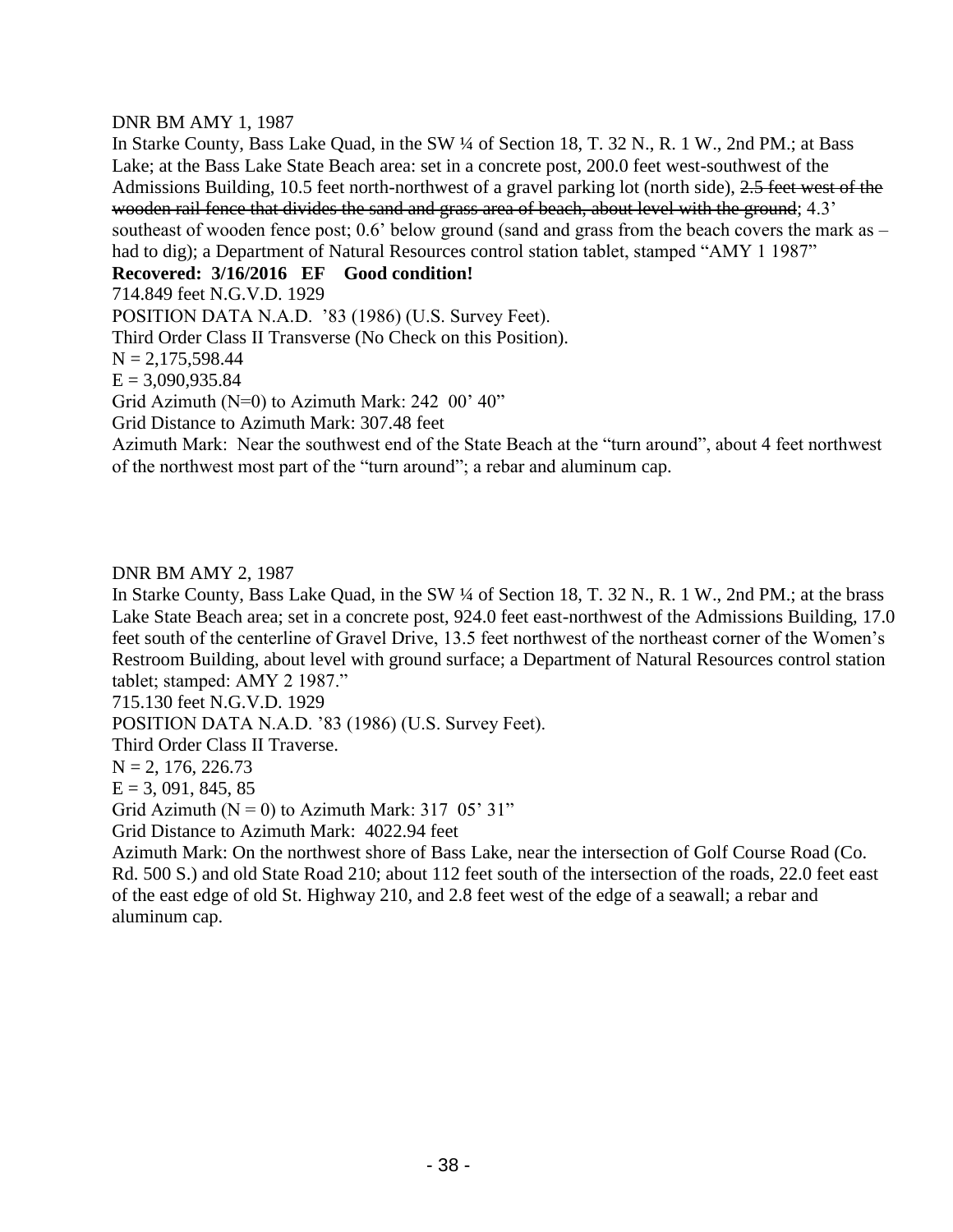# DNR BM AMY 1, 1987

In Starke County, Bass Lake Quad, in the SW ¼ of Section 18, T. 32 N., R. 1 W., 2nd PM.; at Bass Lake; at the Bass Lake State Beach area: set in a concrete post, 200.0 feet west-southwest of the Admissions Building, 10.5 feet north-northwest of a gravel parking lot (north side), 2.5 feet west of the wooden rail fence that divides the sand and grass area of beach, about level with the ground; 4.3' southeast of wooden fence post; 0.6' below ground (sand and grass from the beach covers the mark as – had to dig); a Department of Natural Resources control station tablet, stamped "AMY 1 1987"

# **Recovered: 3/16/2016 EF Good condition!**

714.849 feet N.G.V.D. 1929

POSITION DATA N.A.D. '83 (1986) (U.S. Survey Feet).

Third Order Class II Transverse (No Check on this Position).

 $N = 2,175,598.44$ 

 $E = 3,090,935.84$ 

Grid Azimuth (N=0) to Azimuth Mark: 242 00' 40"

Grid Distance to Azimuth Mark: 307.48 feet

Azimuth Mark: Near the southwest end of the State Beach at the "turn around", about 4 feet northwest of the northwest most part of the "turn around"; a rebar and aluminum cap.

# DNR BM AMY 2, 1987

In Starke County, Bass Lake Quad, in the SW ¼ of Section 18, T. 32 N., R. 1 W., 2nd PM.; at the brass Lake State Beach area; set in a concrete post, 924.0 feet east-northwest of the Admissions Building, 17.0 feet south of the centerline of Gravel Drive, 13.5 feet northwest of the northeast corner of the Women's Restroom Building, about level with ground surface; a Department of Natural Resources control station tablet; stamped: AMY 2 1987."

715.130 feet N.G.V.D. 1929

POSITION DATA N.A.D. '83 (1986) (U.S. Survey Feet).

Third Order Class II Traverse.

 $N = 2, 176, 226.73$ 

 $E = 3,091,845,85$ 

Grid Azimuth ( $N = 0$ ) to Azimuth Mark: 317 05' 31"

Grid Distance to Azimuth Mark: 4022.94 feet

Azimuth Mark: On the northwest shore of Bass Lake, near the intersection of Golf Course Road (Co. Rd. 500 S.) and old State Road 210; about 112 feet south of the intersection of the roads, 22.0 feet east of the east edge of old St. Highway 210, and 2.8 feet west of the edge of a seawall; a rebar and aluminum cap.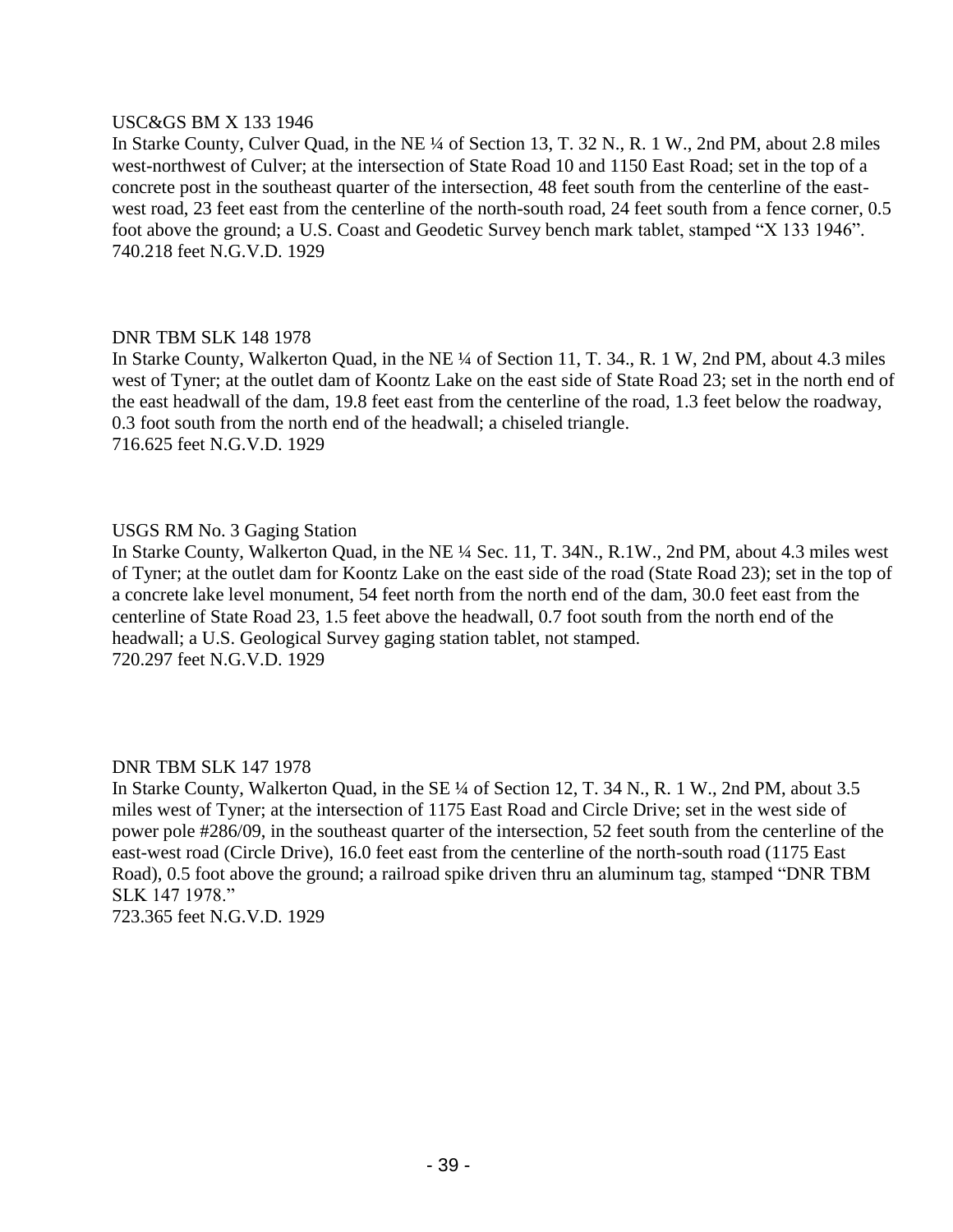#### USC&GS BM X 133 1946

In Starke County, Culver Quad, in the NE ¼ of Section 13, T. 32 N., R. 1 W., 2nd PM, about 2.8 miles west-northwest of Culver; at the intersection of State Road 10 and 1150 East Road; set in the top of a concrete post in the southeast quarter of the intersection, 48 feet south from the centerline of the eastwest road, 23 feet east from the centerline of the north-south road, 24 feet south from a fence corner, 0.5 foot above the ground; a U.S. Coast and Geodetic Survey bench mark tablet, stamped "X 133 1946". 740.218 feet N.G.V.D. 1929

# DNR TBM SLK 148 1978

In Starke County, Walkerton Quad, in the NE ¼ of Section 11, T. 34., R. 1 W, 2nd PM, about 4.3 miles west of Tyner; at the outlet dam of Koontz Lake on the east side of State Road 23; set in the north end of the east headwall of the dam, 19.8 feet east from the centerline of the road, 1.3 feet below the roadway, 0.3 foot south from the north end of the headwall; a chiseled triangle. 716.625 feet N.G.V.D. 1929

# USGS RM No. 3 Gaging Station

In Starke County, Walkerton Quad, in the NE ¼ Sec. 11, T. 34N., R.1W., 2nd PM, about 4.3 miles west of Tyner; at the outlet dam for Koontz Lake on the east side of the road (State Road 23); set in the top of a concrete lake level monument, 54 feet north from the north end of the dam, 30.0 feet east from the centerline of State Road 23, 1.5 feet above the headwall, 0.7 foot south from the north end of the headwall; a U.S. Geological Survey gaging station tablet, not stamped. 720.297 feet N.G.V.D. 1929

# DNR TBM SLK 147 1978

In Starke County, Walkerton Quad, in the SE ¼ of Section 12, T. 34 N., R. 1 W., 2nd PM, about 3.5 miles west of Tyner; at the intersection of 1175 East Road and Circle Drive; set in the west side of power pole #286/09, in the southeast quarter of the intersection, 52 feet south from the centerline of the east-west road (Circle Drive), 16.0 feet east from the centerline of the north-south road (1175 East Road), 0.5 foot above the ground; a railroad spike driven thru an aluminum tag, stamped "DNR TBM SLK 147 1978."

723.365 feet N.G.V.D. 1929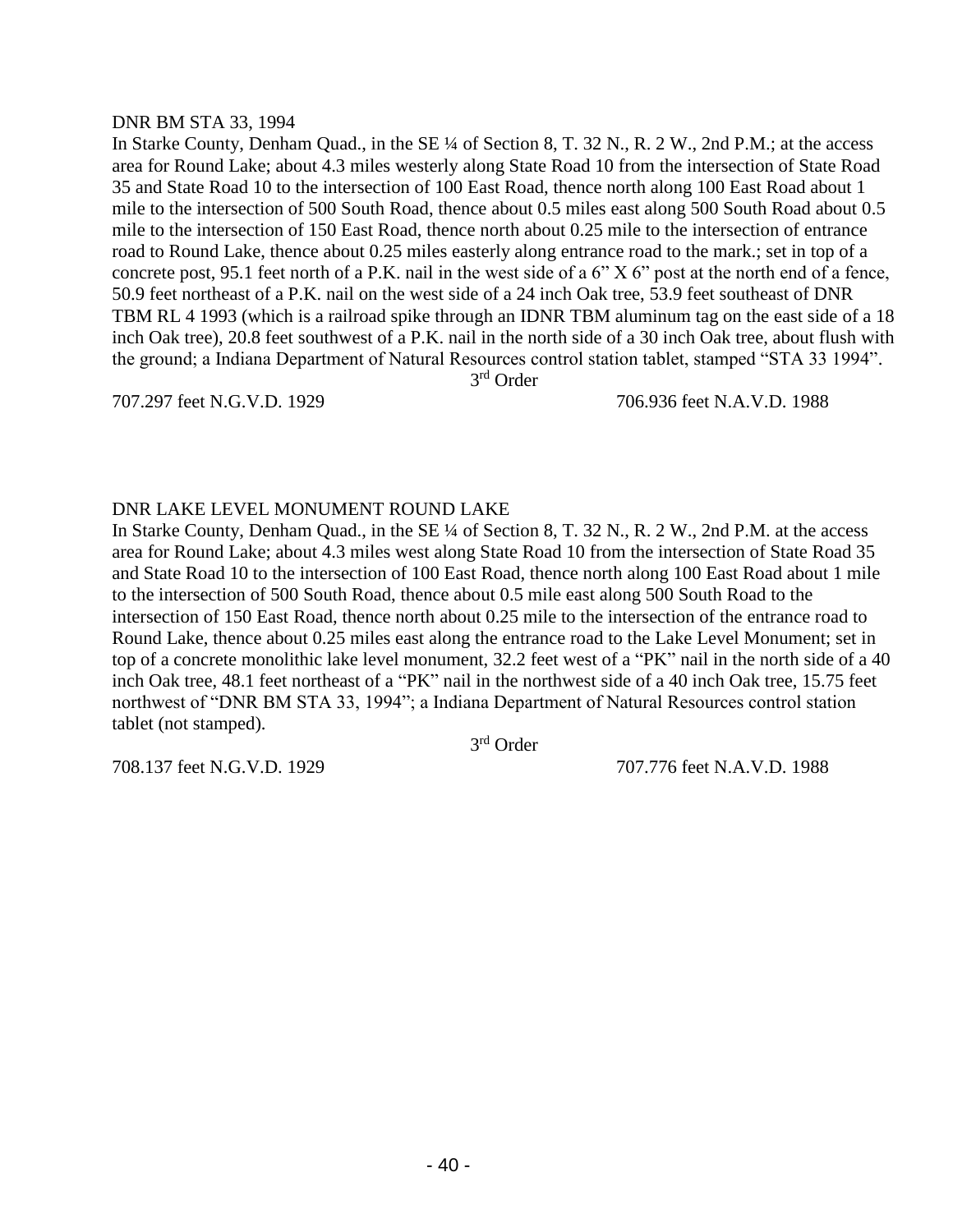#### DNR BM STA 33, 1994

In Starke County, Denham Quad., in the SE ¼ of Section 8, T. 32 N., R. 2 W., 2nd P.M.; at the access area for Round Lake; about 4.3 miles westerly along State Road 10 from the intersection of State Road 35 and State Road 10 to the intersection of 100 East Road, thence north along 100 East Road about 1 mile to the intersection of 500 South Road, thence about 0.5 miles east along 500 South Road about 0.5 mile to the intersection of 150 East Road, thence north about 0.25 mile to the intersection of entrance road to Round Lake, thence about 0.25 miles easterly along entrance road to the mark.; set in top of a concrete post, 95.1 feet north of a P.K. nail in the west side of a 6" X 6" post at the north end of a fence, 50.9 feet northeast of a P.K. nail on the west side of a 24 inch Oak tree, 53.9 feet southeast of DNR TBM RL 4 1993 (which is a railroad spike through an IDNR TBM aluminum tag on the east side of a 18 inch Oak tree), 20.8 feet southwest of a P.K. nail in the north side of a 30 inch Oak tree, about flush with the ground; a Indiana Department of Natural Resources control station tablet, stamped "STA 33 1994".

3 rd Order

707.297 feet N.G.V.D. 1929 706.936 feet N.A.V.D. 1988

# DNR LAKE LEVEL MONUMENT ROUND LAKE

In Starke County, Denham Quad., in the SE ¼ of Section 8, T. 32 N., R. 2 W., 2nd P.M. at the access area for Round Lake; about 4.3 miles west along State Road 10 from the intersection of State Road 35 and State Road 10 to the intersection of 100 East Road, thence north along 100 East Road about 1 mile to the intersection of 500 South Road, thence about 0.5 mile east along 500 South Road to the intersection of 150 East Road, thence north about 0.25 mile to the intersection of the entrance road to Round Lake, thence about 0.25 miles east along the entrance road to the Lake Level Monument; set in top of a concrete monolithic lake level monument, 32.2 feet west of a "PK" nail in the north side of a 40 inch Oak tree, 48.1 feet northeast of a "PK" nail in the northwest side of a 40 inch Oak tree, 15.75 feet northwest of "DNR BM STA 33, 1994"; a Indiana Department of Natural Resources control station tablet (not stamped).

3 rd Order

708.137 feet N.G.V.D. 1929 707.776 feet N.A.V.D. 1988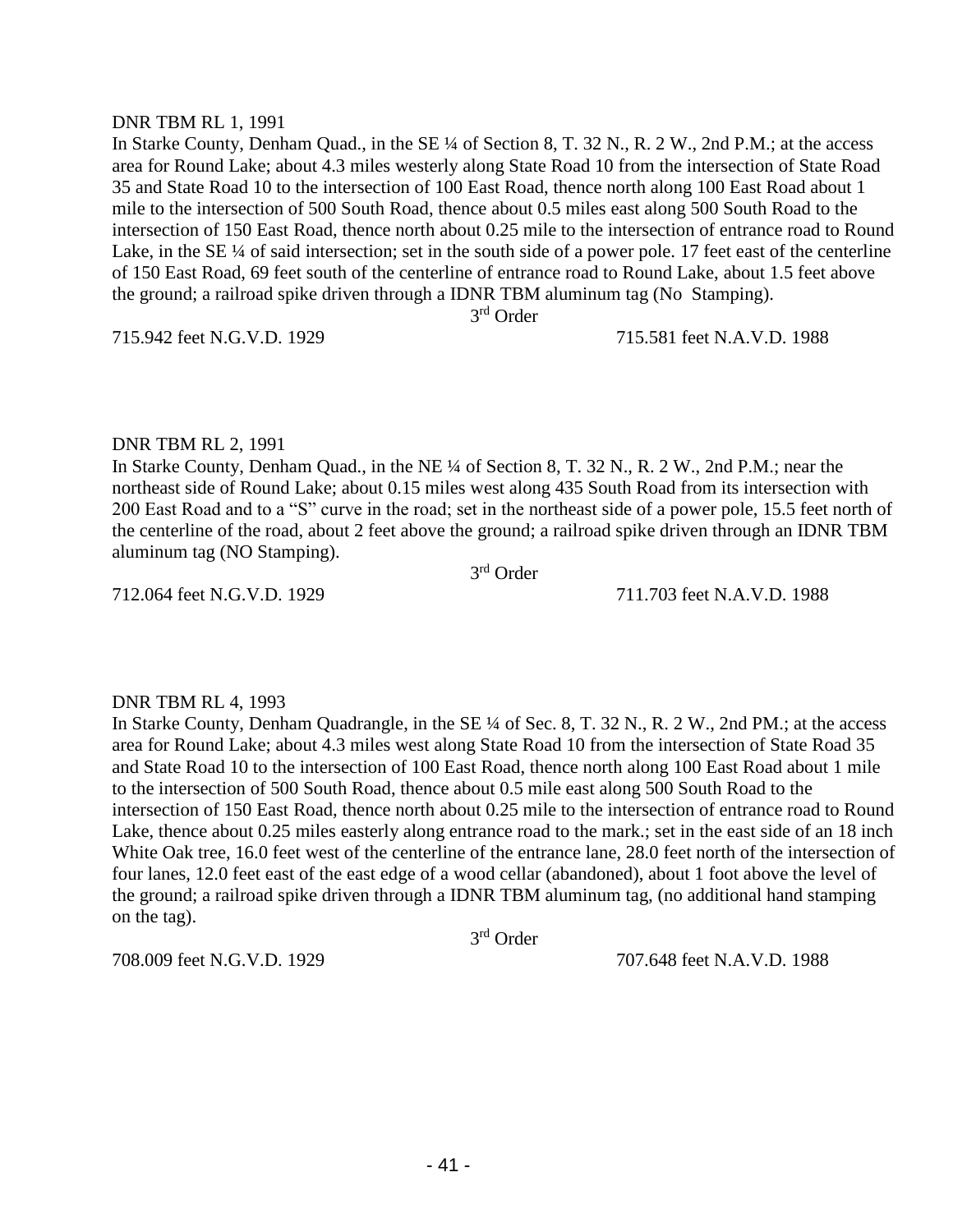#### DNR TBM RL 1, 1991

In Starke County, Denham Quad., in the SE ¼ of Section 8, T. 32 N., R. 2 W., 2nd P.M.; at the access area for Round Lake; about 4.3 miles westerly along State Road 10 from the intersection of State Road 35 and State Road 10 to the intersection of 100 East Road, thence north along 100 East Road about 1 mile to the intersection of 500 South Road, thence about 0.5 miles east along 500 South Road to the intersection of 150 East Road, thence north about 0.25 mile to the intersection of entrance road to Round Lake, in the SE ¼ of said intersection; set in the south side of a power pole. 17 feet east of the centerline of 150 East Road, 69 feet south of the centerline of entrance road to Round Lake, about 1.5 feet above the ground; a railroad spike driven through a IDNR TBM aluminum tag (No Stamping).

3 rd Order

715.942 feet N.G.V.D. 1929 715.581 feet N.A.V.D. 1988

#### DNR TBM RL 2, 1991

In Starke County, Denham Quad., in the NE ¼ of Section 8, T. 32 N., R. 2 W., 2nd P.M.; near the northeast side of Round Lake; about 0.15 miles west along 435 South Road from its intersection with 200 East Road and to a "S" curve in the road; set in the northeast side of a power pole, 15.5 feet north of the centerline of the road, about 2 feet above the ground; a railroad spike driven through an IDNR TBM aluminum tag (NO Stamping). 3 rd Order

712.064 feet N.G.V.D. 1929 711.703 feet N.A.V.D. 1988

# DNR TBM RL 4, 1993

In Starke County, Denham Quadrangle, in the SE ¼ of Sec. 8, T. 32 N., R. 2 W., 2nd PM.; at the access area for Round Lake; about 4.3 miles west along State Road 10 from the intersection of State Road 35 and State Road 10 to the intersection of 100 East Road, thence north along 100 East Road about 1 mile to the intersection of 500 South Road, thence about 0.5 mile east along 500 South Road to the intersection of 150 East Road, thence north about 0.25 mile to the intersection of entrance road to Round Lake, thence about 0.25 miles easterly along entrance road to the mark.; set in the east side of an 18 inch White Oak tree, 16.0 feet west of the centerline of the entrance lane, 28.0 feet north of the intersection of four lanes, 12.0 feet east of the east edge of a wood cellar (abandoned), about 1 foot above the level of the ground; a railroad spike driven through a IDNR TBM aluminum tag, (no additional hand stamping on the tag).

3 rd Order

708.009 feet N.G.V.D. 1929 707.648 feet N.A.V.D. 1988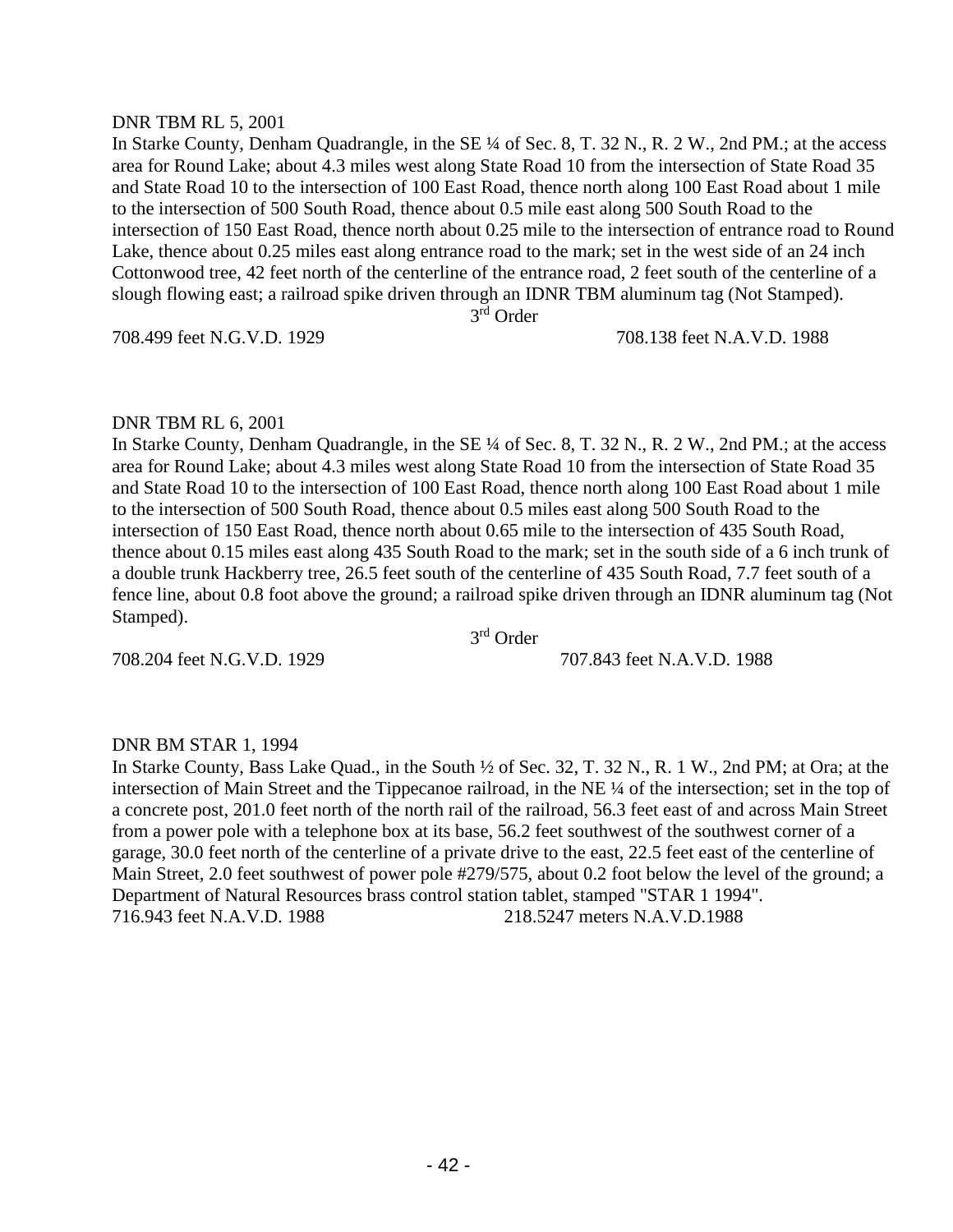#### DNR TBM RL 5, 2001

In Starke County, Denham Quadrangle, in the SE ¼ of Sec. 8, T. 32 N., R. 2 W., 2nd PM.; at the access area for Round Lake; about 4.3 miles west along State Road 10 from the intersection of State Road 35 and State Road 10 to the intersection of 100 East Road, thence north along 100 East Road about 1 mile to the intersection of 500 South Road, thence about 0.5 mile east along 500 South Road to the intersection of 150 East Road, thence north about 0.25 mile to the intersection of entrance road to Round Lake, thence about 0.25 miles east along entrance road to the mark; set in the west side of an 24 inch Cottonwood tree, 42 feet north of the centerline of the entrance road, 2 feet south of the centerline of a slough flowing east; a railroad spike driven through an IDNR TBM aluminum tag (Not Stamped).

3 rd Order

708.499 feet N.G.V.D. 1929 708.138 feet N.A.V.D. 1988

#### DNR TBM RL 6, 2001

In Starke County, Denham Quadrangle, in the SE ¼ of Sec. 8, T. 32 N., R. 2 W., 2nd PM.; at the access area for Round Lake; about 4.3 miles west along State Road 10 from the intersection of State Road 35 and State Road 10 to the intersection of 100 East Road, thence north along 100 East Road about 1 mile to the intersection of 500 South Road, thence about 0.5 miles east along 500 South Road to the intersection of 150 East Road, thence north about 0.65 mile to the intersection of 435 South Road, thence about 0.15 miles east along 435 South Road to the mark; set in the south side of a 6 inch trunk of a double trunk Hackberry tree, 26.5 feet south of the centerline of 435 South Road, 7.7 feet south of a fence line, about 0.8 foot above the ground; a railroad spike driven through an IDNR aluminum tag (Not Stamped).

708.204 feet N.G.V.D. 1929 707.843 feet N.A.V.D. 1988

3 rd Order

# DNR BM STAR 1, 1994

In Starke County, Bass Lake Quad., in the South ½ of Sec. 32, T. 32 N., R. 1 W., 2nd PM; at Ora; at the intersection of Main Street and the Tippecanoe railroad, in the NE ¼ of the intersection; set in the top of a concrete post, 201.0 feet north of the north rail of the railroad, 56.3 feet east of and across Main Street from a power pole with a telephone box at its base, 56.2 feet southwest of the southwest corner of a garage, 30.0 feet north of the centerline of a private drive to the east, 22.5 feet east of the centerline of Main Street, 2.0 feet southwest of power pole #279/575, about 0.2 foot below the level of the ground; a Department of Natural Resources brass control station tablet, stamped "STAR 1 1994". 716.943 feet N.A.V.D. 1988 218.5247 meters N.A.V.D.1988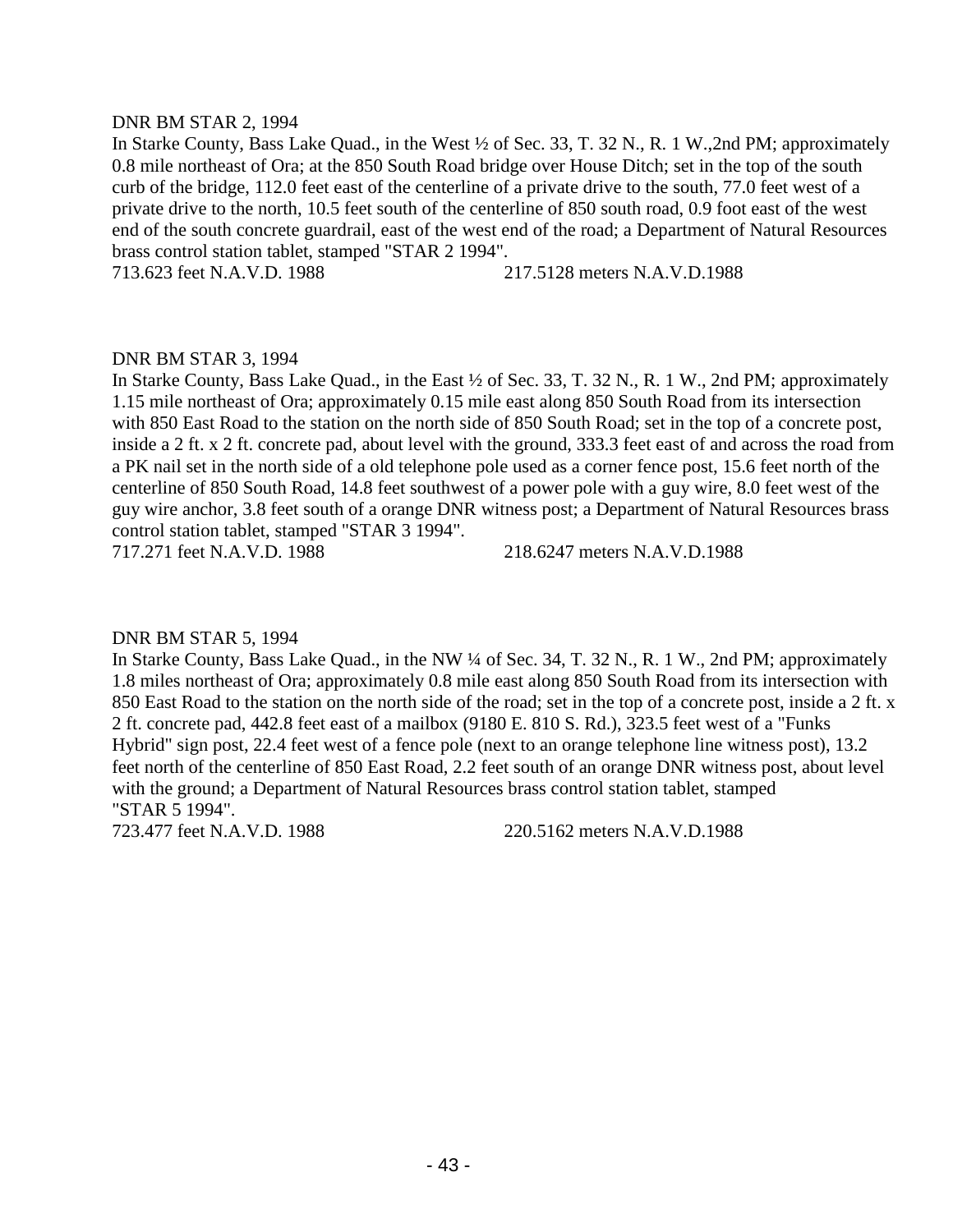#### DNR BM STAR 2, 1994

In Starke County, Bass Lake Quad., in the West ½ of Sec. 33, T. 32 N., R. 1 W.,2nd PM; approximately 0.8 mile northeast of Ora; at the 850 South Road bridge over House Ditch; set in the top of the south curb of the bridge, 112.0 feet east of the centerline of a private drive to the south, 77.0 feet west of a private drive to the north, 10.5 feet south of the centerline of 850 south road, 0.9 foot east of the west end of the south concrete guardrail, east of the west end of the road; a Department of Natural Resources brass control station tablet, stamped "STAR 2 1994".

713.623 feet N.A.V.D. 1988 217.5128 meters N.A.V.D.1988

# DNR BM STAR 3, 1994

In Starke County, Bass Lake Quad., in the East ½ of Sec. 33, T. 32 N., R. 1 W., 2nd PM; approximately 1.15 mile northeast of Ora; approximately 0.15 mile east along 850 South Road from its intersection with 850 East Road to the station on the north side of 850 South Road; set in the top of a concrete post, inside a 2 ft. x 2 ft. concrete pad, about level with the ground, 333.3 feet east of and across the road from a PK nail set in the north side of a old telephone pole used as a corner fence post, 15.6 feet north of the centerline of 850 South Road, 14.8 feet southwest of a power pole with a guy wire, 8.0 feet west of the guy wire anchor, 3.8 feet south of a orange DNR witness post; a Department of Natural Resources brass control station tablet, stamped "STAR 3 1994".

717.271 feet N.A.V.D. 1988 218.6247 meters N.A.V.D.1988

#### DNR BM STAR 5, 1994

In Starke County, Bass Lake Quad., in the NW ¼ of Sec. 34, T. 32 N., R. 1 W., 2nd PM; approximately 1.8 miles northeast of Ora; approximately 0.8 mile east along 850 South Road from its intersection with 850 East Road to the station on the north side of the road; set in the top of a concrete post, inside a 2 ft. x 2 ft. concrete pad, 442.8 feet east of a mailbox (9180 E. 810 S. Rd.), 323.5 feet west of a "Funks Hybrid" sign post, 22.4 feet west of a fence pole (next to an orange telephone line witness post), 13.2 feet north of the centerline of 850 East Road, 2.2 feet south of an orange DNR witness post, about level with the ground; a Department of Natural Resources brass control station tablet, stamped "STAR 5 1994".

723.477 feet N.A.V.D. 1988 220.5162 meters N.A.V.D.1988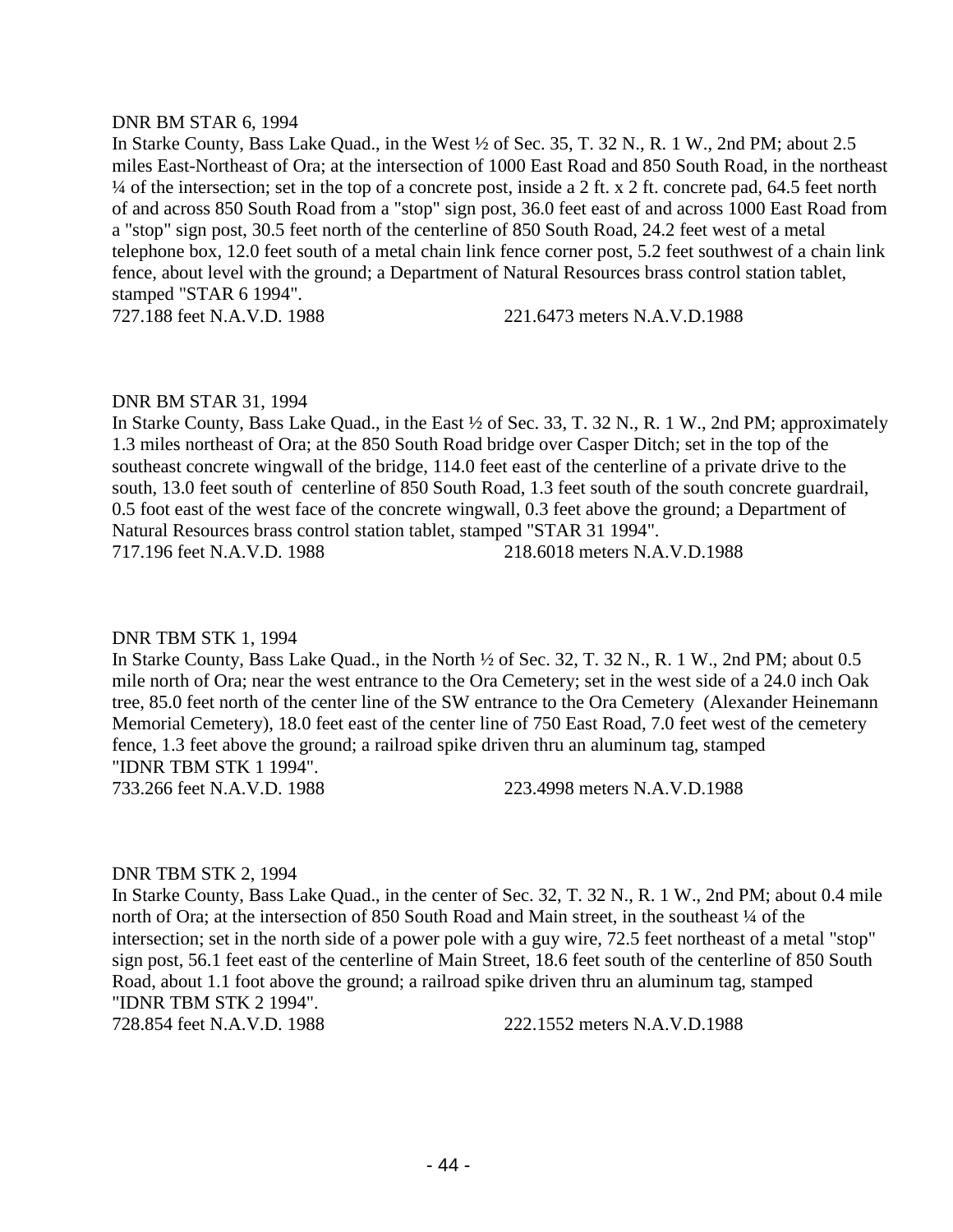#### DNR BM STAR 6, 1994

In Starke County, Bass Lake Quad., in the West ½ of Sec. 35, T. 32 N., R. 1 W., 2nd PM; about 2.5 miles East-Northeast of Ora; at the intersection of 1000 East Road and 850 South Road, in the northeast ¼ of the intersection; set in the top of a concrete post, inside a 2 ft. x 2 ft. concrete pad, 64.5 feet north of and across 850 South Road from a "stop" sign post, 36.0 feet east of and across 1000 East Road from a "stop" sign post, 30.5 feet north of the centerline of 850 South Road, 24.2 feet west of a metal telephone box, 12.0 feet south of a metal chain link fence corner post, 5.2 feet southwest of a chain link fence, about level with the ground; a Department of Natural Resources brass control station tablet, stamped "STAR 6 1994".

727.188 feet N.A.V.D. 1988 221.6473 meters N.A.V.D.1988

#### DNR BM STAR 31, 1994

In Starke County, Bass Lake Quad., in the East ½ of Sec. 33, T. 32 N., R. 1 W., 2nd PM; approximately 1.3 miles northeast of Ora; at the 850 South Road bridge over Casper Ditch; set in the top of the southeast concrete wingwall of the bridge, 114.0 feet east of the centerline of a private drive to the south, 13.0 feet south of centerline of 850 South Road, 1.3 feet south of the south concrete guardrail, 0.5 foot east of the west face of the concrete wingwall, 0.3 feet above the ground; a Department of Natural Resources brass control station tablet, stamped "STAR 31 1994". 717.196 feet N.A.V.D. 1988 218.6018 meters N.A.V.D.1988

#### DNR TBM STK 1, 1994

In Starke County, Bass Lake Quad., in the North ½ of Sec. 32, T. 32 N., R. 1 W., 2nd PM; about 0.5 mile north of Ora; near the west entrance to the Ora Cemetery; set in the west side of a 24.0 inch Oak tree, 85.0 feet north of the center line of the SW entrance to the Ora Cemetery (Alexander Heinemann Memorial Cemetery), 18.0 feet east of the center line of 750 East Road, 7.0 feet west of the cemetery fence, 1.3 feet above the ground; a railroad spike driven thru an aluminum tag, stamped "IDNR TBM STK 1 1994". 733.266 feet N.A.V.D. 1988 223.4998 meters N.A.V.D.1988

#### DNR TBM STK 2, 1994

In Starke County, Bass Lake Quad., in the center of Sec. 32, T. 32 N., R. 1 W., 2nd PM; about 0.4 mile north of Ora; at the intersection of 850 South Road and Main street, in the southeast  $\frac{1}{4}$  of the intersection; set in the north side of a power pole with a guy wire, 72.5 feet northeast of a metal "stop" sign post, 56.1 feet east of the centerline of Main Street, 18.6 feet south of the centerline of 850 South Road, about 1.1 foot above the ground; a railroad spike driven thru an aluminum tag, stamped "IDNR TBM STK 2 1994".

728.854 feet N.A.V.D. 1988 222.1552 meters N.A.V.D.1988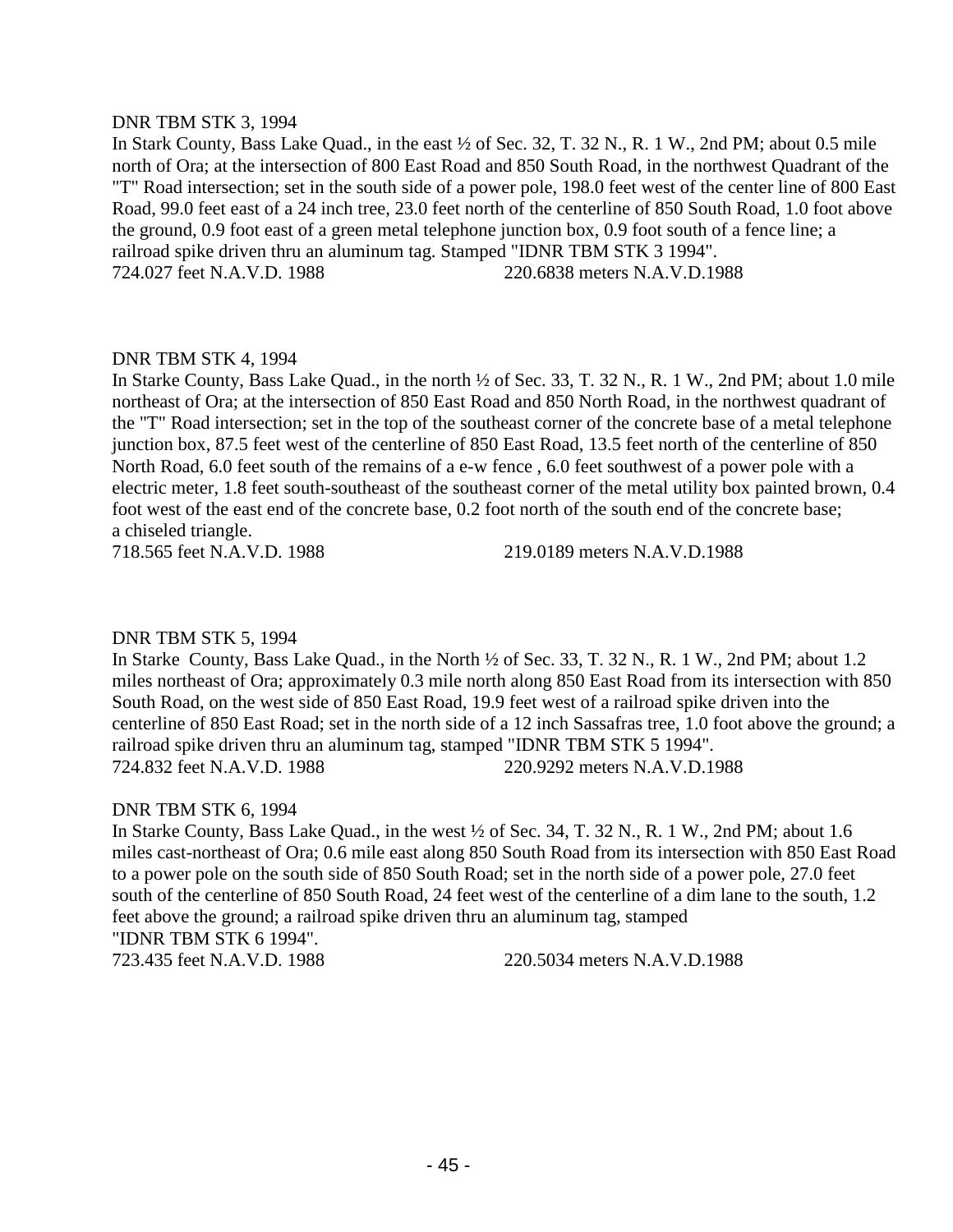#### DNR TBM STK 3, 1994

In Stark County, Bass Lake Quad., in the east ½ of Sec. 32, T. 32 N., R. 1 W., 2nd PM; about 0.5 mile north of Ora; at the intersection of 800 East Road and 850 South Road, in the northwest Quadrant of the "T" Road intersection; set in the south side of a power pole, 198.0 feet west of the center line of 800 East Road, 99.0 feet east of a 24 inch tree, 23.0 feet north of the centerline of 850 South Road, 1.0 foot above the ground, 0.9 foot east of a green metal telephone junction box, 0.9 foot south of a fence line; a railroad spike driven thru an aluminum tag. Stamped "IDNR TBM STK 3 1994". 724.027 feet N.A.V.D. 1988 220.6838 meters N.A.V.D.1988

# DNR TBM STK 4, 1994

In Starke County, Bass Lake Quad., in the north ½ of Sec. 33, T. 32 N., R. 1 W., 2nd PM; about 1.0 mile northeast of Ora; at the intersection of 850 East Road and 850 North Road, in the northwest quadrant of the "T" Road intersection; set in the top of the southeast corner of the concrete base of a metal telephone junction box, 87.5 feet west of the centerline of 850 East Road, 13.5 feet north of the centerline of 850 North Road, 6.0 feet south of the remains of a e-w fence , 6.0 feet southwest of a power pole with a electric meter, 1.8 feet south-southeast of the southeast corner of the metal utility box painted brown, 0.4 foot west of the east end of the concrete base, 0.2 foot north of the south end of the concrete base; a chiseled triangle.

718.565 feet N.A.V.D. 1988 219.0189 meters N.A.V.D.1988

# DNR TBM STK 5, 1994

In Starke County, Bass Lake Quad., in the North ½ of Sec. 33, T. 32 N., R. 1 W., 2nd PM; about 1.2 miles northeast of Ora; approximately 0.3 mile north along 850 East Road from its intersection with 850 South Road, on the west side of 850 East Road, 19.9 feet west of a railroad spike driven into the centerline of 850 East Road; set in the north side of a 12 inch Sassafras tree, 1.0 foot above the ground; a railroad spike driven thru an aluminum tag, stamped "IDNR TBM STK 5 1994". 724.832 feet N.A.V.D. 1988 220.9292 meters N.A.V.D.1988

# DNR TBM STK 6, 1994

In Starke County, Bass Lake Quad., in the west ½ of Sec. 34, T. 32 N., R. 1 W., 2nd PM; about 1.6 miles cast-northeast of Ora; 0.6 mile east along 850 South Road from its intersection with 850 East Road to a power pole on the south side of 850 South Road; set in the north side of a power pole, 27.0 feet south of the centerline of 850 South Road, 24 feet west of the centerline of a dim lane to the south, 1.2 feet above the ground; a railroad spike driven thru an aluminum tag, stamped "IDNR TBM STK 6 1994". 723.435 feet N.A.V.D. 1988 220.5034 meters N.A.V.D.1988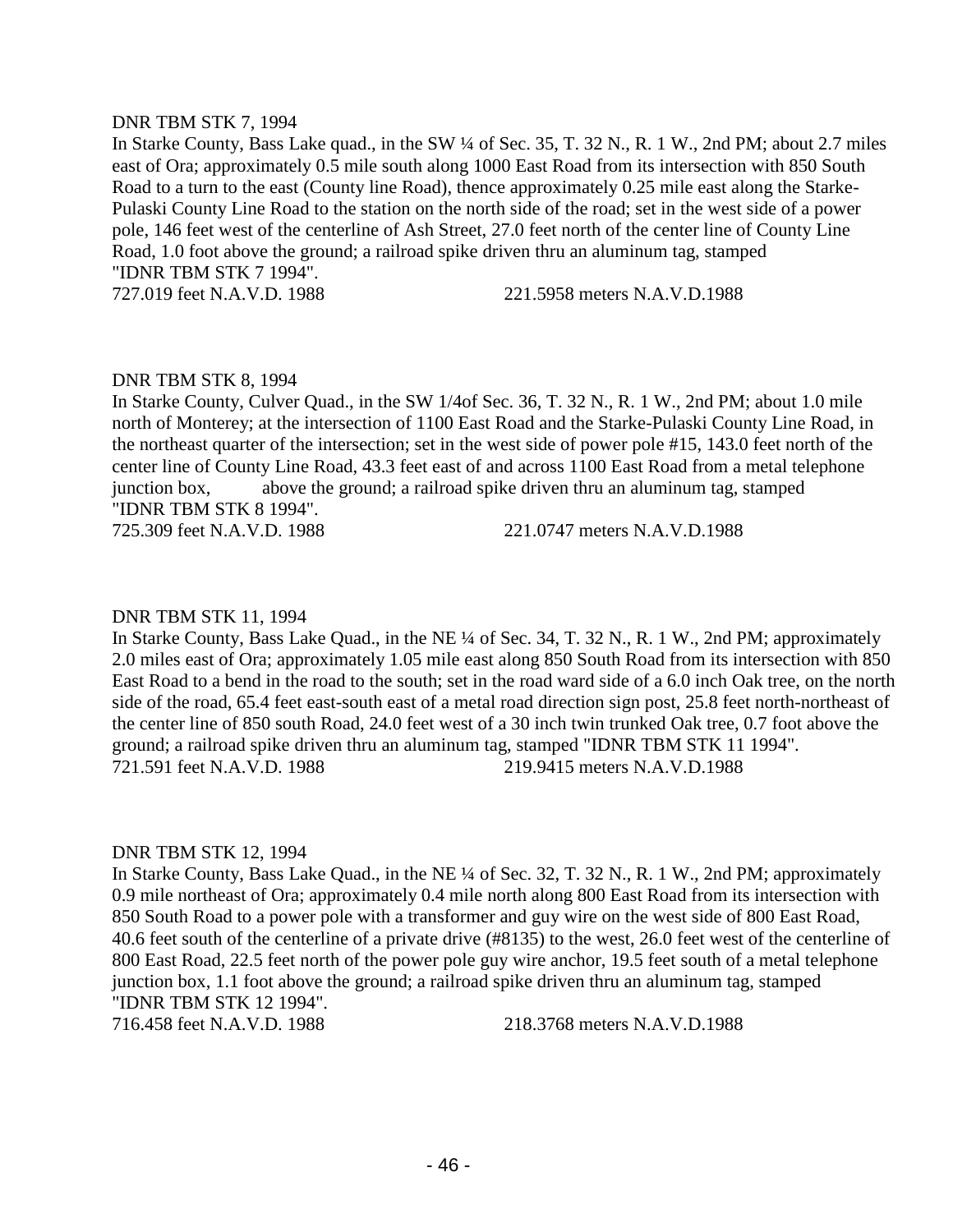#### DNR TBM STK 7, 1994

In Starke County, Bass Lake quad., in the SW ¼ of Sec. 35, T. 32 N., R. 1 W., 2nd PM; about 2.7 miles east of Ora; approximately 0.5 mile south along 1000 East Road from its intersection with 850 South Road to a turn to the east (County line Road), thence approximately 0.25 mile east along the Starke-Pulaski County Line Road to the station on the north side of the road; set in the west side of a power pole, 146 feet west of the centerline of Ash Street, 27.0 feet north of the center line of County Line Road, 1.0 foot above the ground; a railroad spike driven thru an aluminum tag, stamped "IDNR TBM STK 7 1994".

727.019 feet N.A.V.D. 1988 221.5958 meters N.A.V.D.1988

# DNR TBM STK 8, 1994

In Starke County, Culver Quad., in the SW 1/4of Sec. 36, T. 32 N., R. 1 W., 2nd PM; about 1.0 mile north of Monterey; at the intersection of 1100 East Road and the Starke-Pulaski County Line Road, in the northeast quarter of the intersection; set in the west side of power pole #15, 143.0 feet north of the center line of County Line Road, 43.3 feet east of and across 1100 East Road from a metal telephone junction box, above the ground; a railroad spike driven thru an aluminum tag, stamped "IDNR TBM STK 8 1994".

725.309 feet N.A.V.D. 1988 221.0747 meters N.A.V.D.1988

#### DNR TBM STK 11, 1994

In Starke County, Bass Lake Quad., in the NE ¼ of Sec. 34, T. 32 N., R. 1 W., 2nd PM; approximately 2.0 miles east of Ora; approximately 1.05 mile east along 850 South Road from its intersection with 850 East Road to a bend in the road to the south; set in the road ward side of a 6.0 inch Oak tree, on the north side of the road, 65.4 feet east-south east of a metal road direction sign post, 25.8 feet north-northeast of the center line of 850 south Road, 24.0 feet west of a 30 inch twin trunked Oak tree, 0.7 foot above the ground; a railroad spike driven thru an aluminum tag, stamped "IDNR TBM STK 11 1994". 721.591 feet N.A.V.D. 1988 219.9415 meters N.A.V.D.1988

#### DNR TBM STK 12, 1994

In Starke County, Bass Lake Quad., in the NE ¼ of Sec. 32, T. 32 N., R. 1 W., 2nd PM; approximately 0.9 mile northeast of Ora; approximately 0.4 mile north along 800 East Road from its intersection with 850 South Road to a power pole with a transformer and guy wire on the west side of 800 East Road, 40.6 feet south of the centerline of a private drive (#8135) to the west, 26.0 feet west of the centerline of 800 East Road, 22.5 feet north of the power pole guy wire anchor, 19.5 feet south of a metal telephone junction box, 1.1 foot above the ground; a railroad spike driven thru an aluminum tag, stamped "IDNR TBM STK 12 1994".

716.458 feet N.A.V.D. 1988 218.3768 meters N.A.V.D.1988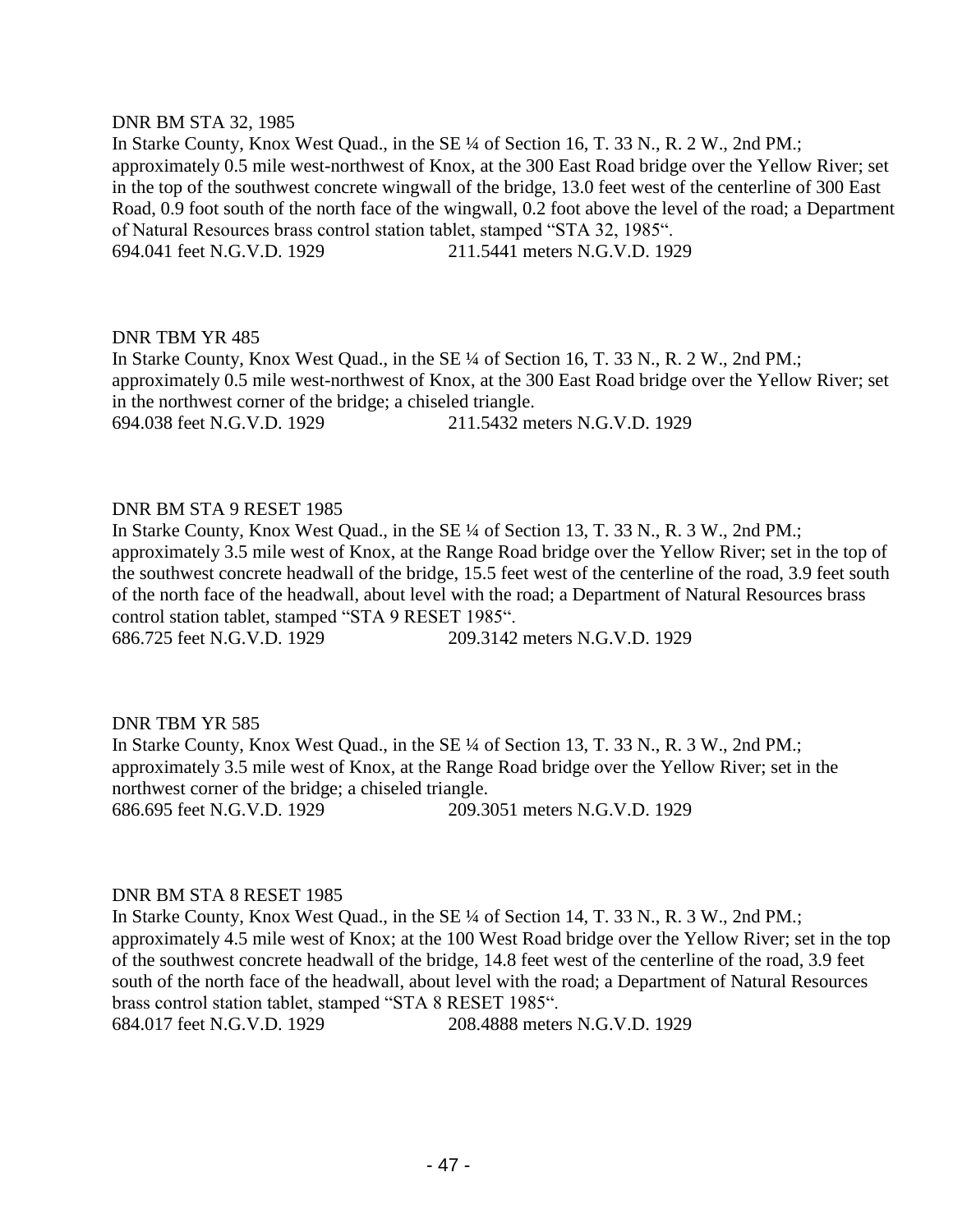#### DNR BM STA 32, 1985

In Starke County, Knox West Quad., in the SE ¼ of Section 16, T. 33 N., R. 2 W., 2nd PM.; approximately 0.5 mile west-northwest of Knox, at the 300 East Road bridge over the Yellow River; set in the top of the southwest concrete wingwall of the bridge, 13.0 feet west of the centerline of 300 East Road, 0.9 foot south of the north face of the wingwall, 0.2 foot above the level of the road; a Department of Natural Resources brass control station tablet, stamped "STA 32, 1985". 694.041 feet N.G.V.D. 1929 211.5441 meters N.G.V.D. 1929

# DNR TBM YR 485

In Starke County, Knox West Quad., in the SE ¼ of Section 16, T. 33 N., R. 2 W., 2nd PM.; approximately 0.5 mile west-northwest of Knox, at the 300 East Road bridge over the Yellow River; set in the northwest corner of the bridge; a chiseled triangle. 694.038 feet N.G.V.D. 1929 211.5432 meters N.G.V.D. 1929

# DNR BM STA 9 RESET 1985

In Starke County, Knox West Quad., in the SE ¼ of Section 13, T. 33 N., R. 3 W., 2nd PM.; approximately 3.5 mile west of Knox, at the Range Road bridge over the Yellow River; set in the top of the southwest concrete headwall of the bridge, 15.5 feet west of the centerline of the road, 3.9 feet south of the north face of the headwall, about level with the road; a Department of Natural Resources brass control station tablet, stamped "STA 9 RESET 1985". 686.725 feet N.G.V.D. 1929 209.3142 meters N.G.V.D. 1929

# DNR TBM YR 585

In Starke County, Knox West Quad., in the SE ¼ of Section 13, T. 33 N., R. 3 W., 2nd PM.; approximately 3.5 mile west of Knox, at the Range Road bridge over the Yellow River; set in the northwest corner of the bridge; a chiseled triangle. 686.695 feet N.G.V.D. 1929 209.3051 meters N.G.V.D. 1929

# DNR BM STA 8 RESET 1985

In Starke County, Knox West Quad., in the SE ¼ of Section 14, T. 33 N., R. 3 W., 2nd PM.; approximately 4.5 mile west of Knox; at the 100 West Road bridge over the Yellow River; set in the top of the southwest concrete headwall of the bridge, 14.8 feet west of the centerline of the road, 3.9 feet south of the north face of the headwall, about level with the road; a Department of Natural Resources brass control station tablet, stamped "STA 8 RESET 1985". 684.017 feet N.G.V.D. 1929 208.4888 meters N.G.V.D. 1929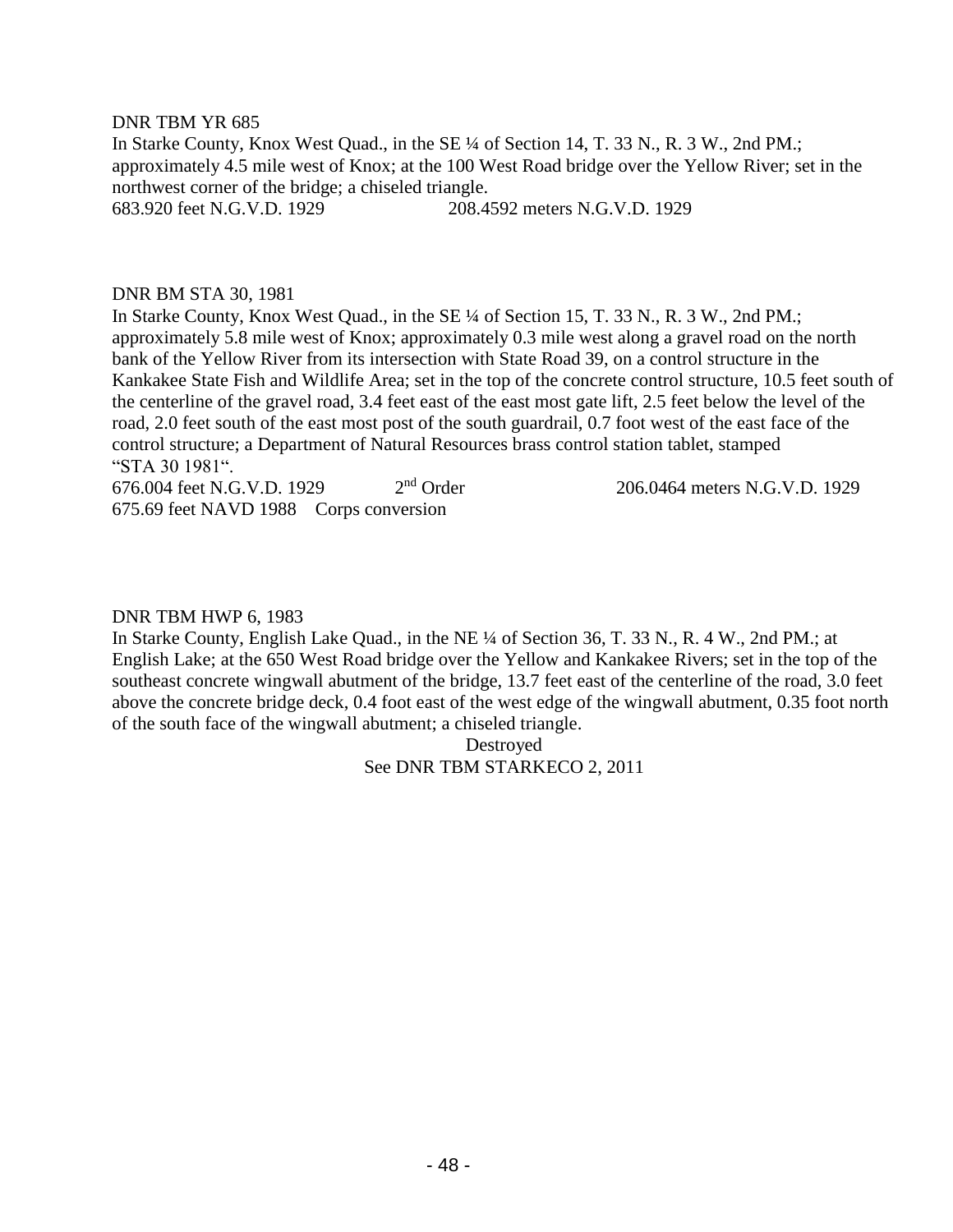#### DNR TBM YR 685

In Starke County, Knox West Quad., in the SE ¼ of Section 14, T. 33 N., R. 3 W., 2nd PM.; approximately 4.5 mile west of Knox; at the 100 West Road bridge over the Yellow River; set in the northwest corner of the bridge; a chiseled triangle. 683.920 feet N.G.V.D. 1929 208.4592 meters N.G.V.D. 1929

#### DNR BM STA 30, 1981

In Starke County, Knox West Quad., in the SE ¼ of Section 15, T. 33 N., R. 3 W., 2nd PM.; approximately 5.8 mile west of Knox; approximately 0.3 mile west along a gravel road on the north bank of the Yellow River from its intersection with State Road 39, on a control structure in the Kankakee State Fish and Wildlife Area; set in the top of the concrete control structure, 10.5 feet south of the centerline of the gravel road, 3.4 feet east of the east most gate lift, 2.5 feet below the level of the road, 2.0 feet south of the east most post of the south guardrail, 0.7 foot west of the east face of the control structure; a Department of Natural Resources brass control station tablet, stamped "STA 30 1981".

676.004 feet N.G.V.D. 1929 2<sup>nd</sup> Order 675.69 feet NAVD 1988 Corps conversion

206.0464 meters N.G.V.D. 1929

#### DNR TBM HWP 6, 1983

In Starke County, English Lake Quad., in the NE ¼ of Section 36, T. 33 N., R. 4 W., 2nd PM.; at English Lake; at the 650 West Road bridge over the Yellow and Kankakee Rivers; set in the top of the southeast concrete wingwall abutment of the bridge, 13.7 feet east of the centerline of the road, 3.0 feet above the concrete bridge deck, 0.4 foot east of the west edge of the wingwall abutment, 0.35 foot north of the south face of the wingwall abutment; a chiseled triangle.

> Destroyed See DNR TBM STARKECO 2, 2011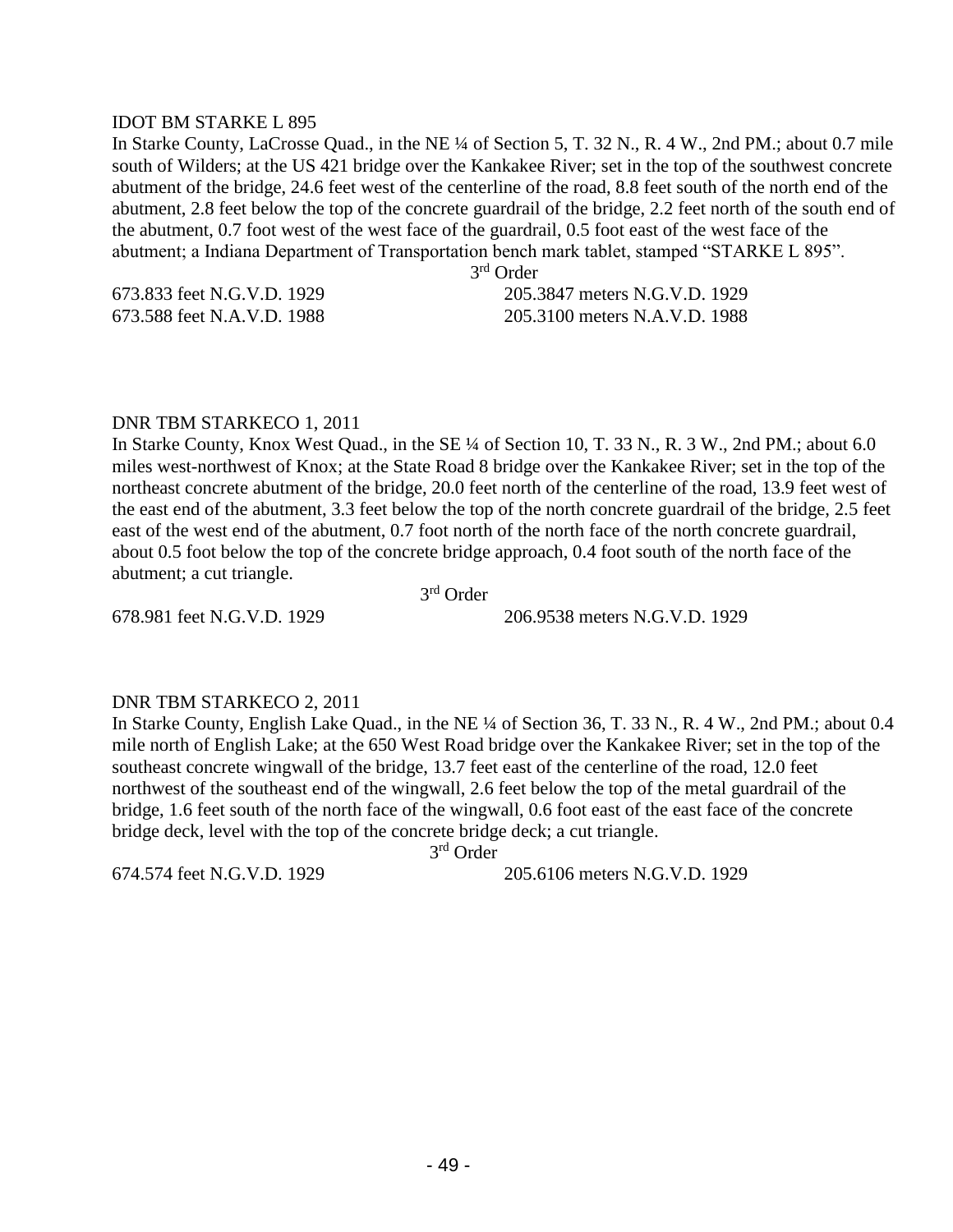#### IDOT BM STARKE L 895

In Starke County, LaCrosse Quad., in the NE ¼ of Section 5, T. 32 N., R. 4 W., 2nd PM.; about 0.7 mile south of Wilders; at the US 421 bridge over the Kankakee River; set in the top of the southwest concrete abutment of the bridge, 24.6 feet west of the centerline of the road, 8.8 feet south of the north end of the abutment, 2.8 feet below the top of the concrete guardrail of the bridge, 2.2 feet north of the south end of the abutment, 0.7 foot west of the west face of the guardrail, 0.5 foot east of the west face of the abutment; a Indiana Department of Transportation bench mark tablet, stamped "STARKE L 895".

3 rd Order

673.833 feet N.G.V.D. 1929 205.3847 meters N.G.V.D. 1929 673.588 feet N.A.V.D. 1988 205.3100 meters N.A.V.D. 1988

#### DNR TBM STARKECO 1, 2011

In Starke County, Knox West Quad., in the SE ¼ of Section 10, T. 33 N., R. 3 W., 2nd PM.; about 6.0 miles west-northwest of Knox; at the State Road 8 bridge over the Kankakee River; set in the top of the northeast concrete abutment of the bridge, 20.0 feet north of the centerline of the road, 13.9 feet west of the east end of the abutment, 3.3 feet below the top of the north concrete guardrail of the bridge, 2.5 feet east of the west end of the abutment, 0.7 foot north of the north face of the north concrete guardrail, about 0.5 foot below the top of the concrete bridge approach, 0.4 foot south of the north face of the abutment; a cut triangle.

 3 3<sup>rd</sup> Order

678.981 feet N.G.V.D. 1929 206.9538 meters N.G.V.D. 1929

#### DNR TBM STARKECO 2, 2011

In Starke County, English Lake Quad., in the NE ¼ of Section 36, T. 33 N., R. 4 W., 2nd PM.; about 0.4 mile north of English Lake; at the 650 West Road bridge over the Kankakee River; set in the top of the southeast concrete wingwall of the bridge, 13.7 feet east of the centerline of the road, 12.0 feet northwest of the southeast end of the wingwall, 2.6 feet below the top of the metal guardrail of the bridge, 1.6 feet south of the north face of the wingwall, 0.6 foot east of the east face of the concrete bridge deck, level with the top of the concrete bridge deck; a cut triangle.

 3 3<sup>rd</sup> Order

674.574 feet N.G.V.D. 1929 205.6106 meters N.G.V.D. 1929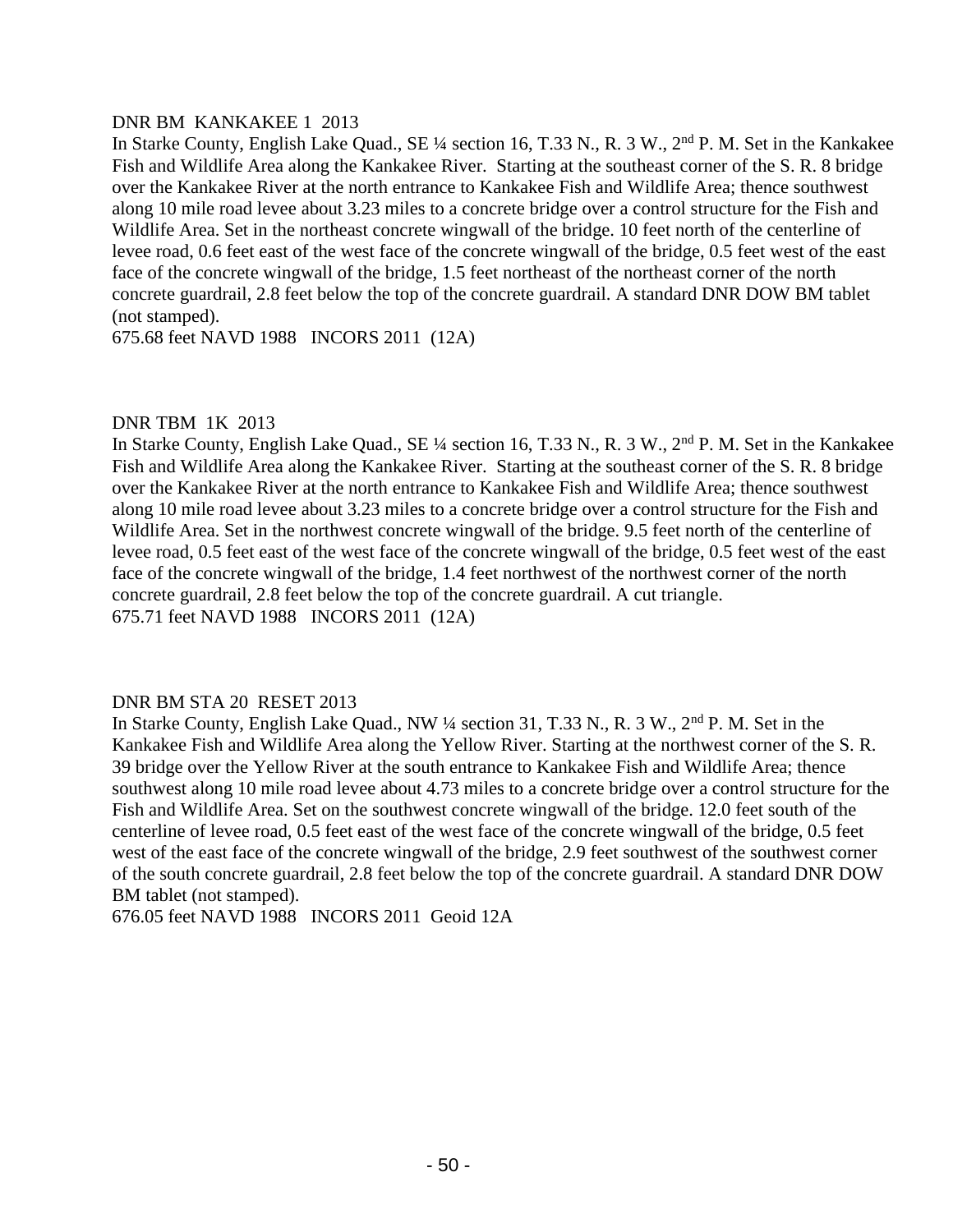# DNR BM KANKAKEE 1 2013

In Starke County, English Lake Quad., SE ¼ section 16, T.33 N., R. 3 W., 2nd P. M. Set in the Kankakee Fish and Wildlife Area along the Kankakee River. Starting at the southeast corner of the S. R. 8 bridge over the Kankakee River at the north entrance to Kankakee Fish and Wildlife Area; thence southwest along 10 mile road levee about 3.23 miles to a concrete bridge over a control structure for the Fish and Wildlife Area. Set in the northeast concrete wingwall of the bridge. 10 feet north of the centerline of levee road, 0.6 feet east of the west face of the concrete wingwall of the bridge, 0.5 feet west of the east face of the concrete wingwall of the bridge, 1.5 feet northeast of the northeast corner of the north concrete guardrail, 2.8 feet below the top of the concrete guardrail. A standard DNR DOW BM tablet (not stamped).

675.68 feet NAVD 1988 INCORS 2011 (12A)

# DNR TBM 1K 2013

In Starke County, English Lake Quad., SE ¼ section 16, T.33 N., R. 3 W., 2nd P. M. Set in the Kankakee Fish and Wildlife Area along the Kankakee River. Starting at the southeast corner of the S. R. 8 bridge over the Kankakee River at the north entrance to Kankakee Fish and Wildlife Area; thence southwest along 10 mile road levee about 3.23 miles to a concrete bridge over a control structure for the Fish and Wildlife Area. Set in the northwest concrete wingwall of the bridge. 9.5 feet north of the centerline of levee road, 0.5 feet east of the west face of the concrete wingwall of the bridge, 0.5 feet west of the east face of the concrete wingwall of the bridge, 1.4 feet northwest of the northwest corner of the north concrete guardrail, 2.8 feet below the top of the concrete guardrail. A cut triangle. 675.71 feet NAVD 1988 INCORS 2011 (12A)

# DNR BM STA 20 RESET 2013

In Starke County, English Lake Quad., NW ¼ section 31, T.33 N., R. 3 W., 2nd P. M. Set in the Kankakee Fish and Wildlife Area along the Yellow River. Starting at the northwest corner of the S. R. 39 bridge over the Yellow River at the south entrance to Kankakee Fish and Wildlife Area; thence southwest along 10 mile road levee about 4.73 miles to a concrete bridge over a control structure for the Fish and Wildlife Area. Set on the southwest concrete wingwall of the bridge. 12.0 feet south of the centerline of levee road, 0.5 feet east of the west face of the concrete wingwall of the bridge, 0.5 feet west of the east face of the concrete wingwall of the bridge, 2.9 feet southwest of the southwest corner of the south concrete guardrail, 2.8 feet below the top of the concrete guardrail. A standard DNR DOW BM tablet (not stamped).

676.05 feet NAVD 1988 INCORS 2011 Geoid 12A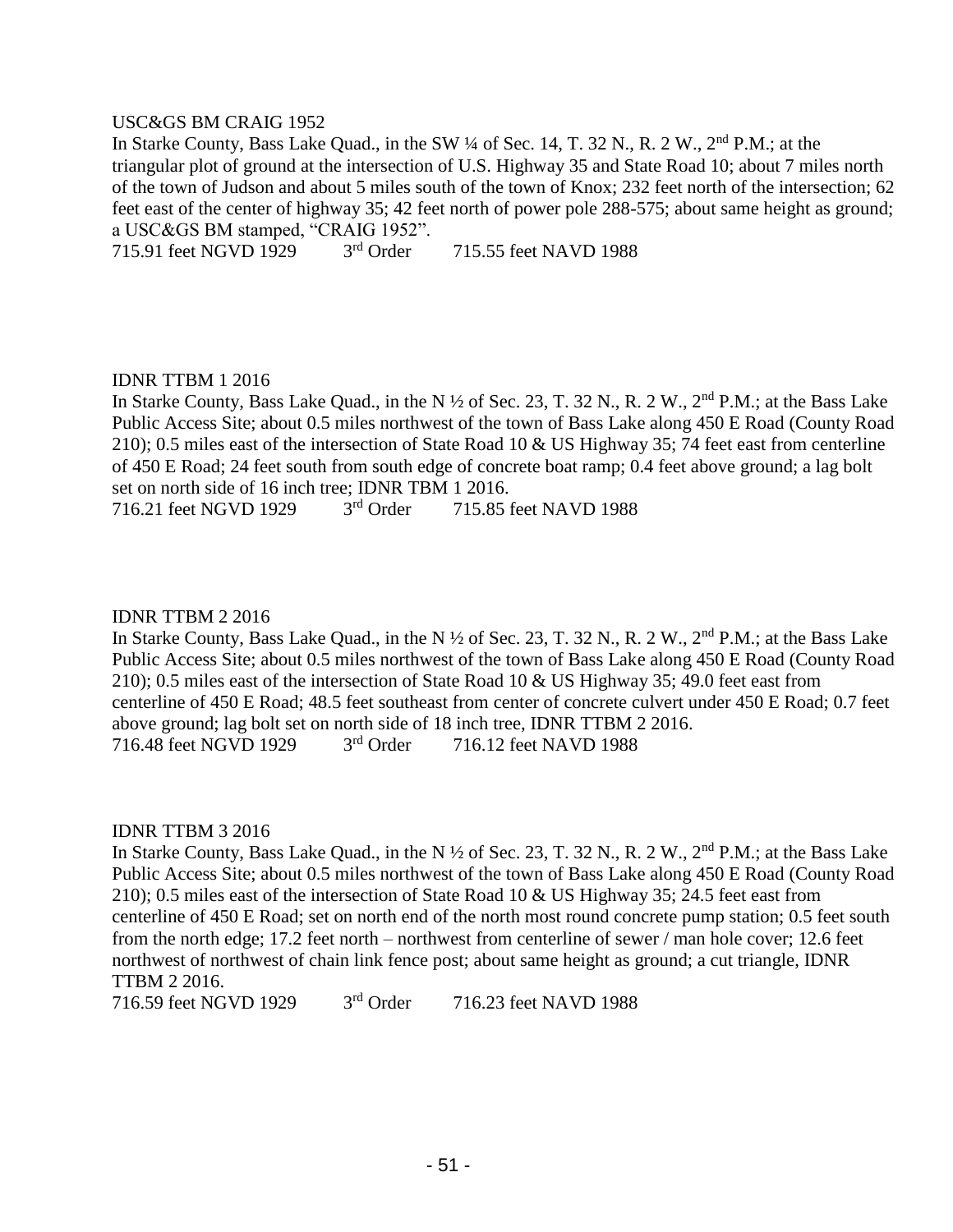#### USC&GS BM CRAIG 1952

In Starke County, Bass Lake Quad., in the SW 1/4 of Sec. 14, T. 32 N., R. 2 W., 2<sup>nd</sup> P.M.; at the triangular plot of ground at the intersection of U.S. Highway 35 and State Road 10; about 7 miles north of the town of Judson and about 5 miles south of the town of Knox; 232 feet north of the intersection; 62 feet east of the center of highway 35; 42 feet north of power pole 288-575; about same height as ground; a USC&GS BM stamped, "CRAIG 1952".

715.91 feet NGVD 1929 3rd Order 715.55 feet NAVD 1988

#### IDNR TTBM 1 2016

In Starke County, Bass Lake Quad., in the N  $\frac{1}{2}$  of Sec. 23, T. 32 N., R. 2 W., 2<sup>nd</sup> P.M.; at the Bass Lake Public Access Site; about 0.5 miles northwest of the town of Bass Lake along 450 E Road (County Road 210); 0.5 miles east of the intersection of State Road 10 & US Highway 35; 74 feet east from centerline of 450 E Road; 24 feet south from south edge of concrete boat ramp; 0.4 feet above ground; a lag bolt set on north side of 16 inch tree; IDNR TBM 1 2016.

716.21 feet NGVD 1929 3rd Order 715.85 feet NAVD 1988

#### IDNR TTBM 2 2016

In Starke County, Bass Lake Quad., in the N  $\frac{1}{2}$  of Sec. 23, T. 32 N., R. 2 W., 2<sup>nd</sup> P.M.; at the Bass Lake Public Access Site; about 0.5 miles northwest of the town of Bass Lake along 450 E Road (County Road 210); 0.5 miles east of the intersection of State Road 10 & US Highway 35; 49.0 feet east from centerline of 450 E Road; 48.5 feet southeast from center of concrete culvert under 450 E Road; 0.7 feet above ground; lag bolt set on north side of 18 inch tree, IDNR TTBM 2 2016.<br>716.48 feet NGVD 1929  $3<sup>rd</sup>$  Order 716.12 feet NAVD 1988 716.48 feet NGVD 1929 3rd Order 716.12 feet NAVD 1988

#### IDNR TTBM 3 2016

In Starke County, Bass Lake Quad., in the N  $\frac{1}{2}$  of Sec. 23, T. 32 N., R. 2 W., 2<sup>nd</sup> P.M.; at the Bass Lake Public Access Site; about 0.5 miles northwest of the town of Bass Lake along 450 E Road (County Road 210); 0.5 miles east of the intersection of State Road 10 & US Highway 35; 24.5 feet east from centerline of 450 E Road; set on north end of the north most round concrete pump station; 0.5 feet south from the north edge; 17.2 feet north – northwest from centerline of sewer / man hole cover; 12.6 feet northwest of northwest of chain link fence post; about same height as ground; a cut triangle, IDNR TTBM 2 2016.

716.59 feet NGVD 1929 3rd Order 716.23 feet NAVD 1988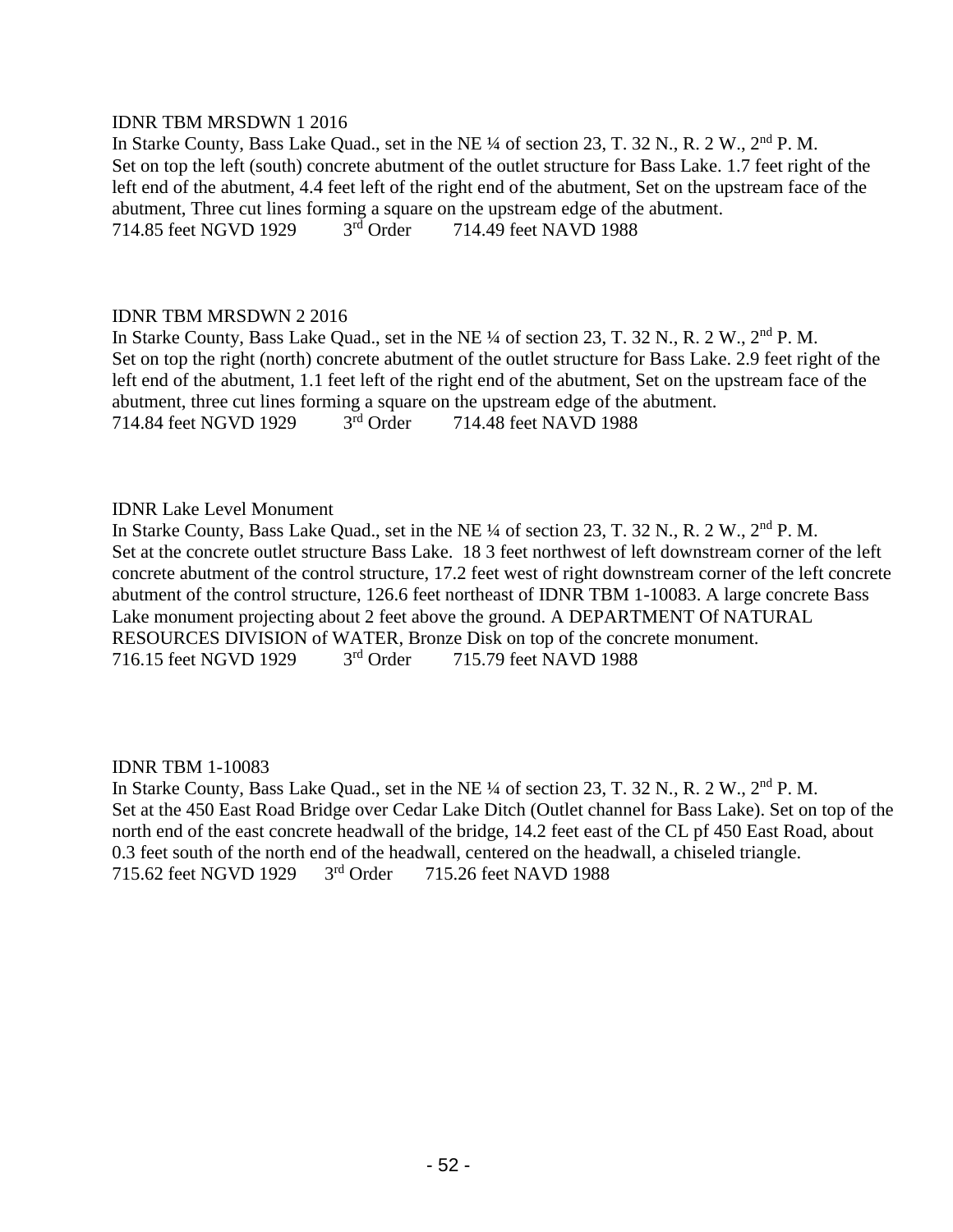# IDNR TBM MRSDWN 1 2016

In Starke County, Bass Lake Quad., set in the NE ¼ of section 23, T. 32 N., R. 2 W., 2<sup>nd</sup> P. M. Set on top the left (south) concrete abutment of the outlet structure for Bass Lake. 1.7 feet right of the left end of the abutment, 4.4 feet left of the right end of the abutment, Set on the upstream face of the abutment, Three cut lines forming a square on the upstream edge of the abutment.<br>714.85 feet NGVD 1929 3<sup>rd</sup> Order 714.49 feet NAVD 1988 714.85 feet NGVD 1929 3rd Order 714.49 feet NAVD 1988

#### IDNR TBM MRSDWN 2 2016

In Starke County, Bass Lake Quad., set in the NE ¼ of section 23, T. 32 N., R. 2 W., 2<sup>nd</sup> P. M. Set on top the right (north) concrete abutment of the outlet structure for Bass Lake. 2.9 feet right of the left end of the abutment, 1.1 feet left of the right end of the abutment, Set on the upstream face of the abutment, three cut lines forming a square on the upstream edge of the abutment.<br>714.84 feet NGVD 1929 3<sup>rd</sup> Order 714.48 feet NAVD 1988 714.84 feet NGVD 1929 3rd Order 714.48 feet NAVD 1988

# IDNR Lake Level Monument

In Starke County, Bass Lake Quad., set in the NE ¼ of section 23, T. 32 N., R. 2 W., 2<sup>nd</sup> P. M. Set at the concrete outlet structure Bass Lake. 18 3 feet northwest of left downstream corner of the left concrete abutment of the control structure, 17.2 feet west of right downstream corner of the left concrete abutment of the control structure, 126.6 feet northeast of IDNR TBM 1-10083. A large concrete Bass Lake monument projecting about 2 feet above the ground. A DEPARTMENT Of NATURAL RESOURCES DIVISION of WATER, Bronze Disk on top of the concrete monument. 716.15 feet NGVD 1929 3rd Order 715.79 feet NAVD 1988

# IDNR TBM 1-10083

In Starke County, Bass Lake Quad., set in the NE ¼ of section 23, T. 32 N., R. 2 W., 2<sup>nd</sup> P. M. Set at the 450 East Road Bridge over Cedar Lake Ditch (Outlet channel for Bass Lake). Set on top of the north end of the east concrete headwall of the bridge, 14.2 feet east of the CL pf 450 East Road, about 0.3 feet south of the north end of the headwall, centered on the headwall, a chiseled triangle.<br>715.62 feet NGVD 1929  $3<sup>rd</sup>$  Order  $3<sup>rd</sup>$  Order  $3<sup>rd</sup>$  Order  $3<sup>rd</sup>$  Order  $3<sup>rd</sup>$  Order  $3<sup>rd</sup>$  Order 715.62 feet NGVD 1929 3rd Order 715.26 feet NAVD 1988